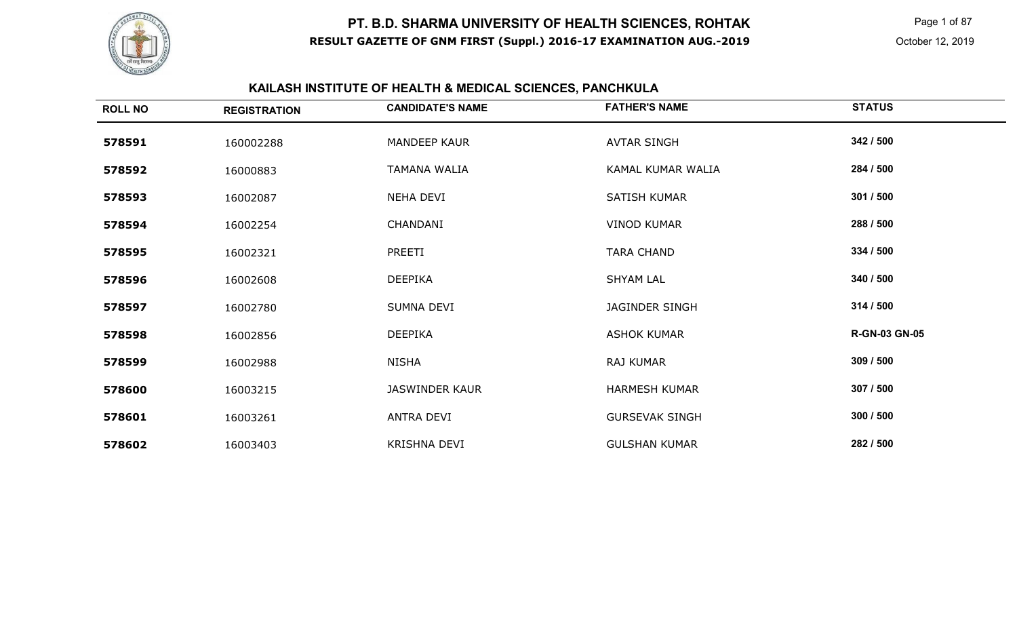

 Page 1 of 87 October 12, 2019

# **KAILASH INSTITUTE OF HEALTH & MEDICAL SCIENCES, PANCHKULA**

| <b>ROLL NO</b> | <b>REGISTRATION</b> | <b>CANDIDATE'S NAME</b> | <b>FATHER'S NAME</b>  | <b>STATUS</b>        |
|----------------|---------------------|-------------------------|-----------------------|----------------------|
| 578591         | 160002288           | MANDEEP KAUR            | <b>AVTAR SINGH</b>    | 342 / 500            |
| 578592         | 16000883            | TAMANA WALIA            | KAMAL KUMAR WALIA     | 284 / 500            |
| 578593         | 16002087            | NEHA DEVI               | SATISH KUMAR          | 301 / 500            |
| 578594         | 16002254            | CHANDANI                | <b>VINOD KUMAR</b>    | 288 / 500            |
| 578595         | 16002321            | PREETI                  | <b>TARA CHAND</b>     | 334 / 500            |
| 578596         | 16002608            | <b>DEEPIKA</b>          | <b>SHYAM LAL</b>      | 340 / 500            |
| 578597         | 16002780            | SUMNA DEVI              | <b>JAGINDER SINGH</b> | 314 / 500            |
| 578598         | 16002856            | <b>DEEPIKA</b>          | <b>ASHOK KUMAR</b>    | <b>R-GN-03 GN-05</b> |
| 578599         | 16002988            | <b>NISHA</b>            | RAJ KUMAR             | 309 / 500            |
| 578600         | 16003215            | <b>JASWINDER KAUR</b>   | <b>HARMESH KUMAR</b>  | 307 / 500            |
| 578601         | 16003261            | ANTRA DEVI              | <b>GURSEVAK SINGH</b> | 300 / 500            |
| 578602         | 16003403            | <b>KRISHNA DEVI</b>     | <b>GULSHAN KUMAR</b>  | 282 / 500            |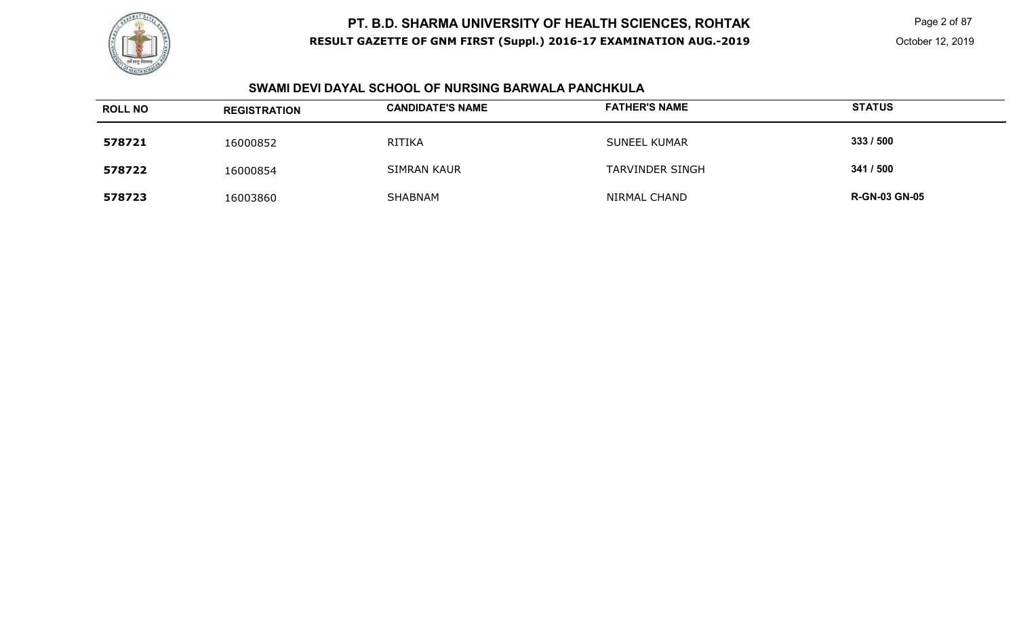

 Page 2 of 87 October 12, 2019

#### **SWAMI DEVI DAYAL SCHOOL OF NURSING BARWALA PANCHKULA**

| <b>ROLL NO</b> | <b>REGISTRATION</b> | <b>CANDIDATE'S NAME</b> | <b>FATHER'S NAME</b>   | <b>STATUS</b>        |
|----------------|---------------------|-------------------------|------------------------|----------------------|
| 578721         | 16000852            | <b>RITIKA</b>           | <b>SUNEEL KUMAR</b>    | 333/500              |
| 578722         | 16000854            | <b>SIMRAN KAUR</b>      | <b>TARVINDER SINGH</b> | 341 / 500            |
| 578723         | 16003860            | SHABNAM                 | NIRMAL CHAND           | <b>R-GN-03 GN-05</b> |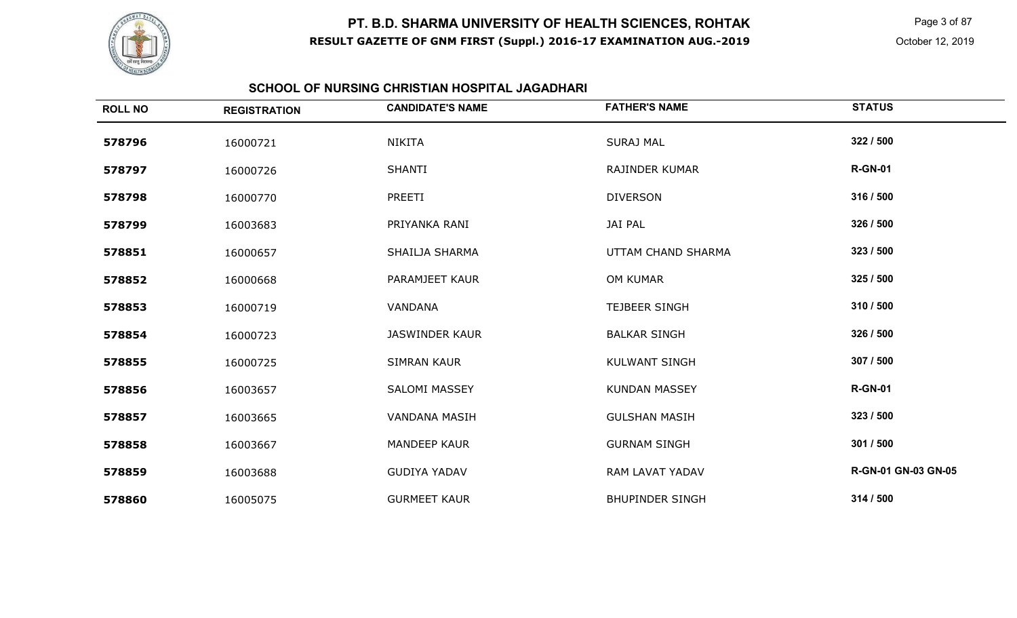

 Page 3 of 87 October 12, 2019

#### **SCHOOL OF NURSING CHRISTIAN HOSPITAL JAGADHARI**

| <b>ROLL NO</b> | <b>REGISTRATION</b> | <b>CANDIDATE'S NAME</b> | <b>FATHER'S NAME</b>   | <b>STATUS</b>       |
|----------------|---------------------|-------------------------|------------------------|---------------------|
| 578796         | 16000721            | <b>NIKITA</b>           | <b>SURAJ MAL</b>       | 322 / 500           |
| 578797         | 16000726            | <b>SHANTI</b>           | <b>RAJINDER KUMAR</b>  | <b>R-GN-01</b>      |
| 578798         | 16000770            | PREETI                  | <b>DIVERSON</b>        | 316 / 500           |
| 578799         | 16003683            | PRIYANKA RANI           | <b>JAI PAL</b>         | 326 / 500           |
| 578851         | 16000657            | SHAILJA SHARMA          | UTTAM CHAND SHARMA     | 323 / 500           |
| 578852         | 16000668            | PARAMJEET KAUR          | OM KUMAR               | 325 / 500           |
| 578853         | 16000719            | VANDANA                 | <b>TEJBEER SINGH</b>   | 310 / 500           |
| 578854         | 16000723            | <b>JASWINDER KAUR</b>   | <b>BALKAR SINGH</b>    | 326 / 500           |
| 578855         | 16000725            | <b>SIMRAN KAUR</b>      | <b>KULWANT SINGH</b>   | 307 / 500           |
| 578856         | 16003657            | <b>SALOMI MASSEY</b>    | <b>KUNDAN MASSEY</b>   | <b>R-GN-01</b>      |
| 578857         | 16003665            | <b>VANDANA MASIH</b>    | <b>GULSHAN MASIH</b>   | 323 / 500           |
| 578858         | 16003667            | <b>MANDEEP KAUR</b>     | <b>GURNAM SINGH</b>    | 301 / 500           |
| 578859         | 16003688            | <b>GUDIYA YADAV</b>     | RAM LAVAT YADAV        | R-GN-01 GN-03 GN-05 |
| 578860         | 16005075            | <b>GURMEET KAUR</b>     | <b>BHUPINDER SINGH</b> | 314 / 500           |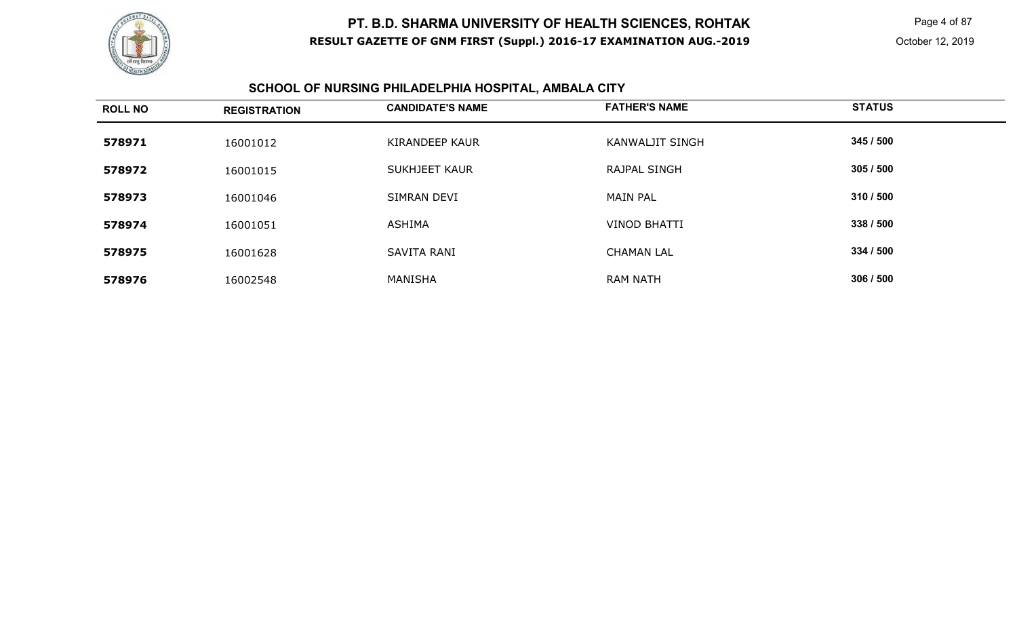

 Page 4 of 87 October 12, 2019

#### **SCHOOL OF NURSING PHILADELPHIA HOSPITAL, AMBALA CITY**

| <b>ROLL NO</b> | <b>REGISTRATION</b> | <b>CANDIDATE'S NAME</b> | <b>FATHER'S NAME</b>   | <b>STATUS</b> |
|----------------|---------------------|-------------------------|------------------------|---------------|
| 578971         | 16001012            | KIRANDEEP KAUR          | <b>KANWALJIT SINGH</b> | 345 / 500     |
| 578972         | 16001015            | SUKHJEET KAUR           | <b>RAJPAL SINGH</b>    | 305 / 500     |
| 578973         | 16001046            | SIMRAN DEVI             | <b>MAIN PAL</b>        | 310 / 500     |
| 578974         | 16001051            | <b>ASHIMA</b>           | <b>VINOD BHATTI</b>    | 338 / 500     |
| 578975         | 16001628            | SAVITA RANI             | <b>CHAMAN LAL</b>      | 334 / 500     |
| 578976         | 16002548            | MANISHA                 | <b>RAM NATH</b>        | 306/500       |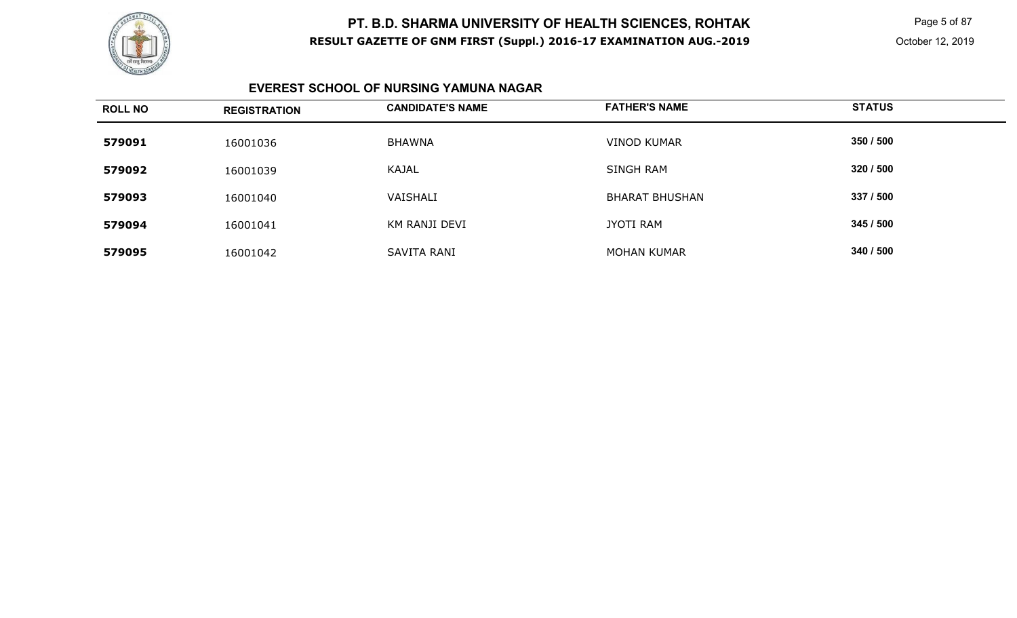

 Page 5 of 87 October 12, 2019

#### **EVEREST SCHOOL OF NURSING YAMUNA NAGAR**

| <b>ROLL NO</b> | <b>REGISTRATION</b> | <b>CANDIDATE'S NAME</b> | <b>FATHER'S NAME</b>  | <b>STATUS</b> |
|----------------|---------------------|-------------------------|-----------------------|---------------|
| 579091         | 16001036            | <b>BHAWNA</b>           | <b>VINOD KUMAR</b>    | 350 / 500     |
| 579092         | 16001039            | KAJAL                   | SINGH RAM             | 320 / 500     |
| 579093         | 16001040            | VAISHALI                | <b>BHARAT BHUSHAN</b> | 337 / 500     |
| 579094         | 16001041            | KM RANJI DEVI           | <b>JYOTI RAM</b>      | 345 / 500     |
| 579095         | 16001042            | SAVITA RANI             | <b>MOHAN KUMAR</b>    | 340 / 500     |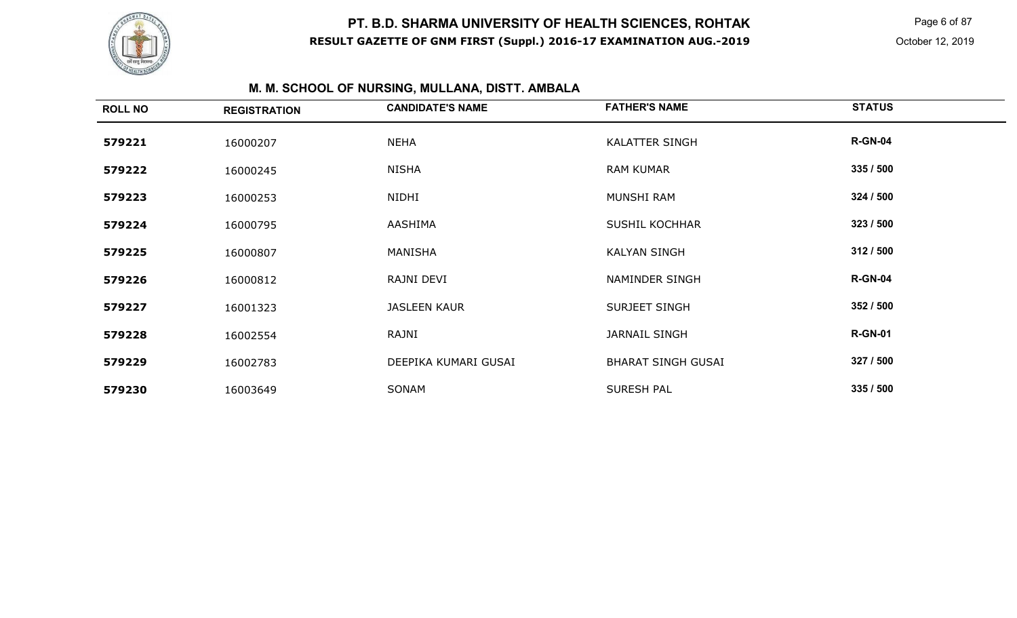

 Page 6 of 87 October 12, 2019

# **M. M. SCHOOL OF NURSING, MULLANA, DISTT. AMBALA**

| <b>ROLL NO</b> | <b>REGISTRATION</b> | <b>CANDIDATE'S NAME</b> | <b>FATHER'S NAME</b>      | <b>STATUS</b>  |
|----------------|---------------------|-------------------------|---------------------------|----------------|
| 579221         | 16000207            | <b>NEHA</b>             | <b>KALATTER SINGH</b>     | <b>R-GN-04</b> |
| 579222         | 16000245            | <b>NISHA</b>            | <b>RAM KUMAR</b>          | 335 / 500      |
| 579223         | 16000253            | NIDHI                   | MUNSHI RAM                | 324 / 500      |
| 579224         | 16000795            | AASHIMA                 | <b>SUSHIL KOCHHAR</b>     | 323/500        |
| 579225         | 16000807            | MANISHA                 | <b>KALYAN SINGH</b>       | 312 / 500      |
| 579226         | 16000812            | RAJNI DEVI              | NAMINDER SINGH            | <b>R-GN-04</b> |
| 579227         | 16001323            | <b>JASLEEN KAUR</b>     | SURJEET SINGH             | 352 / 500      |
| 579228         | 16002554            | RAJNI                   | <b>JARNAIL SINGH</b>      | <b>R-GN-01</b> |
| 579229         | 16002783            | DEEPIKA KUMARI GUSAI    | <b>BHARAT SINGH GUSAI</b> | 327 / 500      |
| 579230         | 16003649            | SONAM                   | <b>SURESH PAL</b>         | 335 / 500      |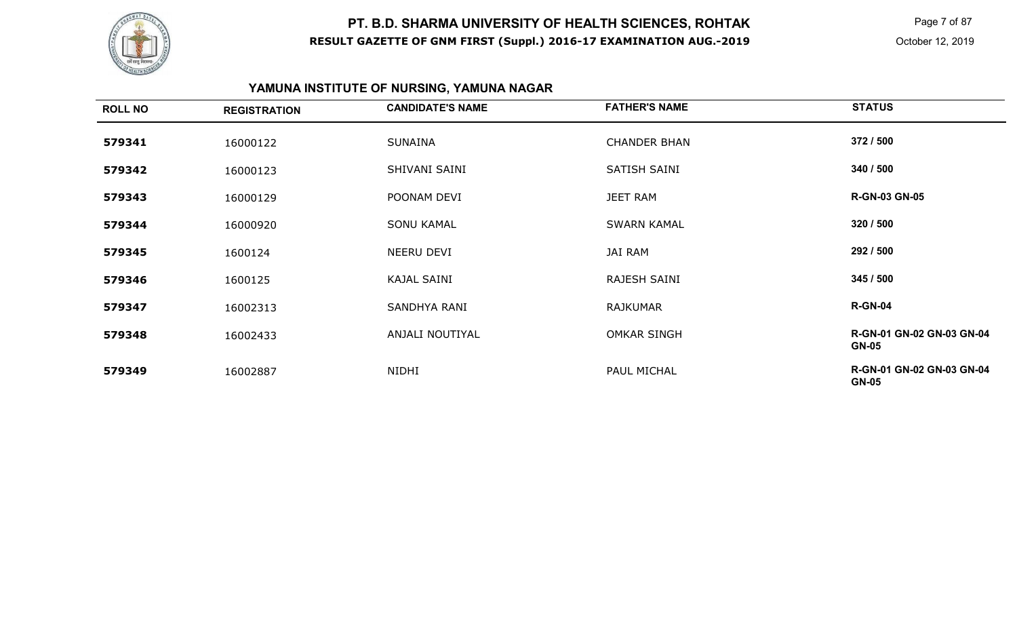

 Page 7 of 87 October 12, 2019

# **YAMUNA INSTITUTE OF NURSING, YAMUNA NAGAR**

| <b>ROLL NO</b> | <b>REGISTRATION</b> | <b>CANDIDATE'S NAME</b> | <b>FATHER'S NAME</b> | <b>STATUS</b>                             |
|----------------|---------------------|-------------------------|----------------------|-------------------------------------------|
| 579341         | 16000122            | <b>SUNAINA</b>          | <b>CHANDER BHAN</b>  | 372 / 500                                 |
| 579342         | 16000123            | SHIVANI SAINI           | SATISH SAINI         | 340 / 500                                 |
| 579343         | 16000129            | POONAM DEVI             | <b>JEET RAM</b>      | <b>R-GN-03 GN-05</b>                      |
| 579344         | 16000920            | <b>SONU KAMAL</b>       | <b>SWARN KAMAL</b>   | 320 / 500                                 |
| 579345         | 1600124             | NEERU DEVI              | JAI RAM              | 292 / 500                                 |
| 579346         | 1600125             | <b>KAJAL SAINI</b>      | RAJESH SAINI         | 345 / 500                                 |
| 579347         | 16002313            | SANDHYA RANI            | <b>RAJKUMAR</b>      | <b>R-GN-04</b>                            |
| 579348         | 16002433            | ANJALI NOUTIYAL         | <b>OMKAR SINGH</b>   | R-GN-01 GN-02 GN-03 GN-04<br><b>GN-05</b> |
| 579349         | 16002887            | NIDHI                   | PAUL MICHAL          | R-GN-01 GN-02 GN-03 GN-04<br><b>GN-05</b> |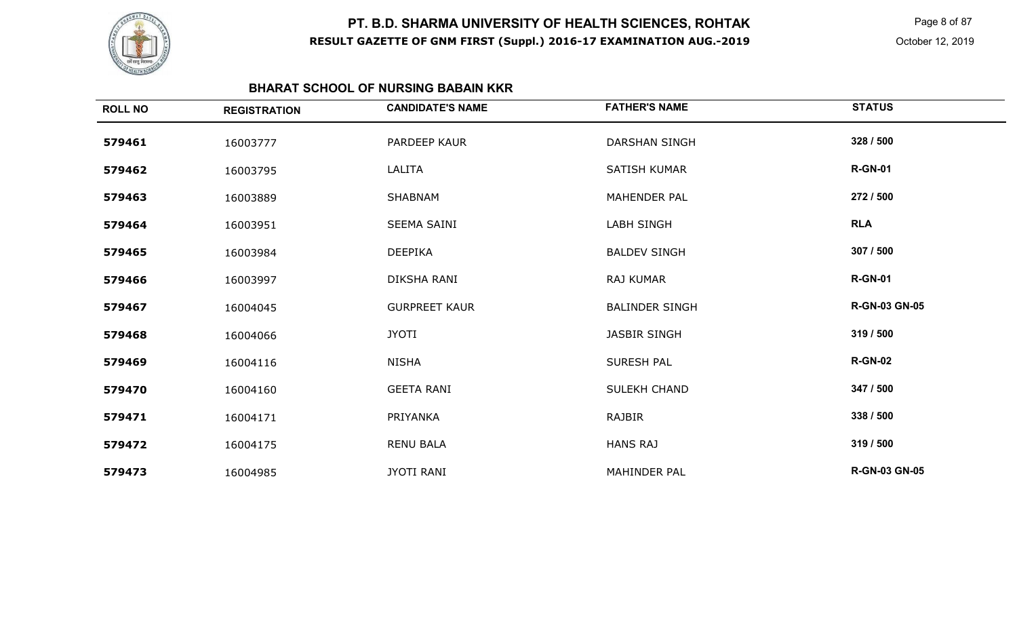

 Page 8 of 87 October 12, 2019

#### **BHARAT SCHOOL OF NURSING BABAIN KKR**

| <b>ROLL NO</b> | <b>REGISTRATION</b> | <b>CANDIDATE'S NAME</b> | <b>FATHER'S NAME</b>  | <b>STATUS</b>        |
|----------------|---------------------|-------------------------|-----------------------|----------------------|
| 579461         | 16003777            | PARDEEP KAUR            | <b>DARSHAN SINGH</b>  | 328 / 500            |
| 579462         | 16003795            | LALITA                  | <b>SATISH KUMAR</b>   | <b>R-GN-01</b>       |
| 579463         | 16003889            | SHABNAM                 | <b>MAHENDER PAL</b>   | 272 / 500            |
| 579464         | 16003951            | <b>SEEMA SAINI</b>      | <b>LABH SINGH</b>     | <b>RLA</b>           |
| 579465         | 16003984            | <b>DEEPIKA</b>          | <b>BALDEV SINGH</b>   | 307 / 500            |
| 579466         | 16003997            | DIKSHA RANI             | <b>RAJ KUMAR</b>      | <b>R-GN-01</b>       |
| 579467         | 16004045            | <b>GURPREET KAUR</b>    | <b>BALINDER SINGH</b> | <b>R-GN-03 GN-05</b> |
| 579468         | 16004066            | <b>JYOTI</b>            | <b>JASBIR SINGH</b>   | 319 / 500            |
| 579469         | 16004116            | <b>NISHA</b>            | <b>SURESH PAL</b>     | <b>R-GN-02</b>       |
| 579470         | 16004160            | <b>GEETA RANI</b>       | SULEKH CHAND          | 347 / 500            |
| 579471         | 16004171            | PRIYANKA                | RAJBIR                | 338 / 500            |
| 579472         | 16004175            | <b>RENU BALA</b>        | <b>HANS RAJ</b>       | 319 / 500            |
| 579473         | 16004985            | <b>JYOTI RANI</b>       | <b>MAHINDER PAL</b>   | <b>R-GN-03 GN-05</b> |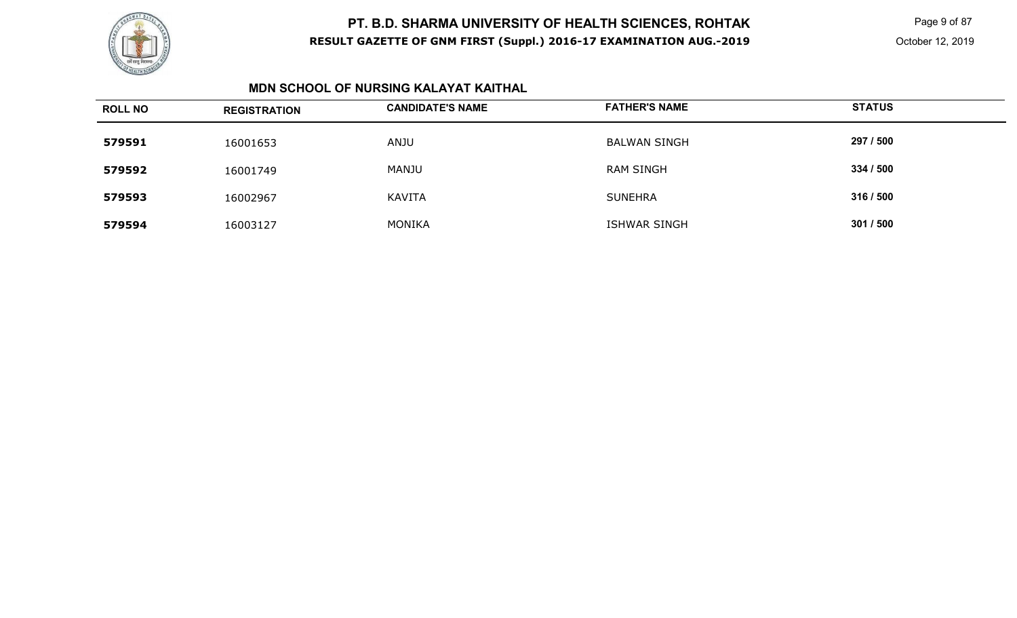

 Page 9 of 87 October 12, 2019

#### **MDN SCHOOL OF NURSING KALAYAT KAITHAL**

| <b>ROLL NO</b> | <b>REGISTRATION</b> | <b>CANDIDATE'S NAME</b> | <b>FATHER'S NAME</b> | <b>STATUS</b> |
|----------------|---------------------|-------------------------|----------------------|---------------|
| 579591         | 16001653            | ANJU                    | <b>BALWAN SINGH</b>  | 297 / 500     |
| 579592         | 16001749            | <b>MANJU</b>            | <b>RAM SINGH</b>     | 334 / 500     |
| 579593         | 16002967            | <b>KAVITA</b>           | <b>SUNEHRA</b>       | 316 / 500     |
| 579594         | 16003127            | <b>MONIKA</b>           | <b>ISHWAR SINGH</b>  | 301 / 500     |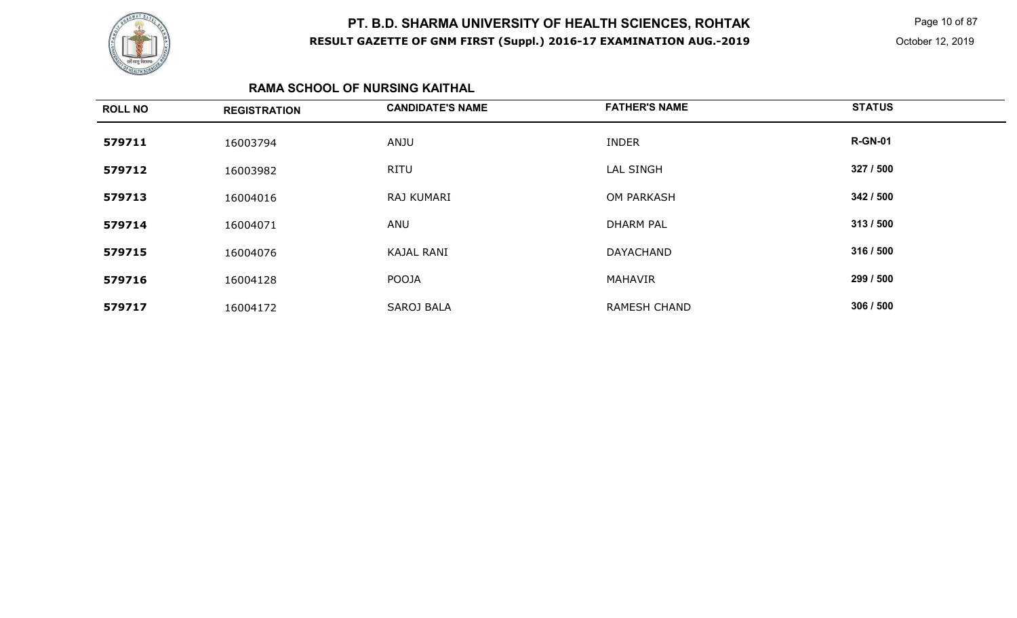

 Page 10 of 87 October 12, 2019

#### **RAMA SCHOOL OF NURSING KAITHAL**

| <b>ROLL NO</b> | <b>REGISTRATION</b> | <b>CANDIDATE'S NAME</b> | <b>FATHER'S NAME</b> | <b>STATUS</b>  |
|----------------|---------------------|-------------------------|----------------------|----------------|
| 579711         | 16003794            | ANJU                    | <b>INDER</b>         | <b>R-GN-01</b> |
| 579712         | 16003982            | <b>RITU</b>             | <b>LAL SINGH</b>     | 327 / 500      |
| 579713         | 16004016            | RAJ KUMARI              | OM PARKASH           | 342 / 500      |
| 579714         | 16004071            | ANU                     | <b>DHARM PAL</b>     | 313/500        |
| 579715         | 16004076            | <b>KAJAL RANI</b>       | <b>DAYACHAND</b>     | 316 / 500      |
| 579716         | 16004128            | POOJA                   | <b>MAHAVIR</b>       | 299 / 500      |
| 579717         | 16004172            | <b>SAROJ BALA</b>       | <b>RAMESH CHAND</b>  | 306 / 500      |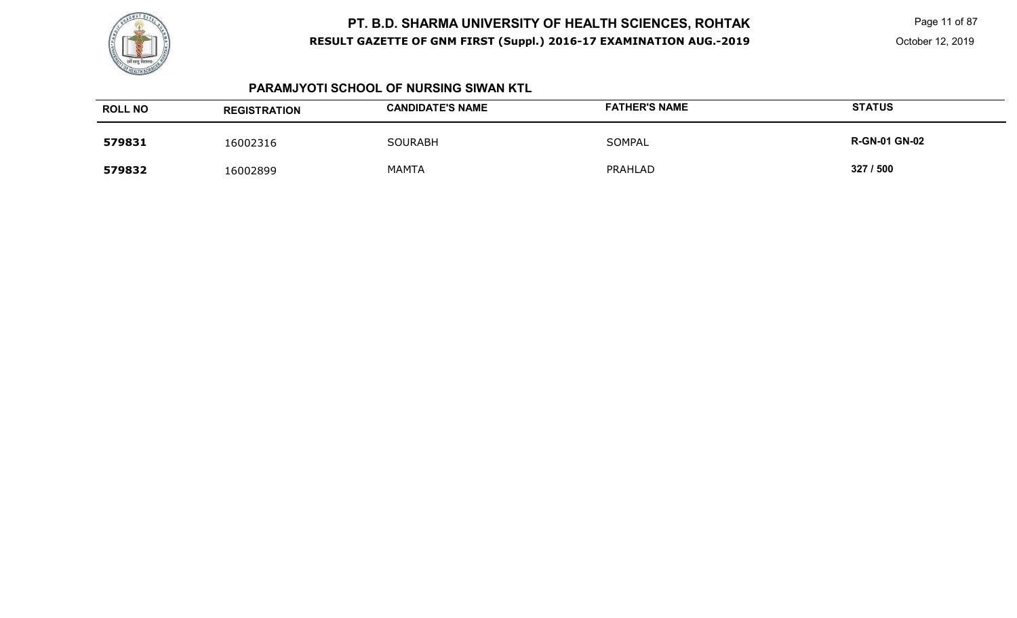

 Page 11 of 87 October 12, 2019

#### **PARAMJYOTI SCHOOL OF NURSING SIWAN KTL**

| <b>ROLL NO</b> | <b>REGISTRATION</b> | <b>CANDIDATE'S NAME</b> | <b>FATHER'S NAME</b> | <b>STATUS</b>        |
|----------------|---------------------|-------------------------|----------------------|----------------------|
| 579831         | 16002316            | <b>SOURABH</b>          | SOMPAL               | <b>R-GN-01 GN-02</b> |
| 579832         | 16002899            | <b>MAMTA</b>            | PRAHLAD              | 327 / 500            |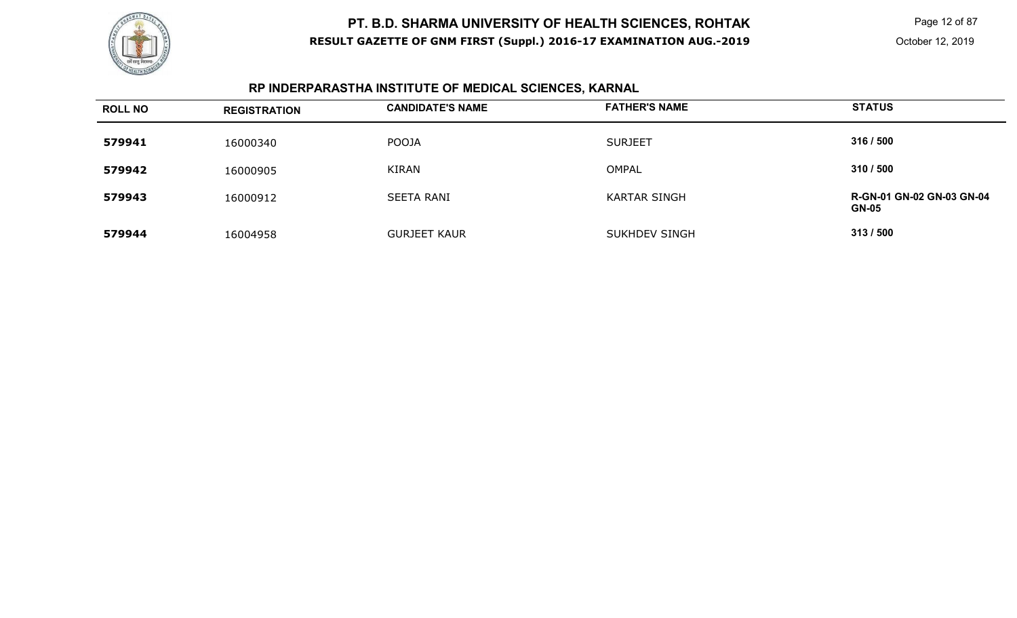

 Page 12 of 87 October 12, 2019

# **RP INDERPARASTHA INSTITUTE OF MEDICAL SCIENCES, KARNAL**

| <b>ROLL NO</b> | <b>REGISTRATION</b> | <b>CANDIDATE'S NAME</b> | <b>FATHER'S NAME</b> | <b>STATUS</b>                                    |
|----------------|---------------------|-------------------------|----------------------|--------------------------------------------------|
| 579941         | 16000340            | <b>POOJA</b>            | <b>SURJEET</b>       | 316 / 500                                        |
| 579942         | 16000905            | <b>KIRAN</b>            | <b>OMPAL</b>         | 310 / 500                                        |
| 579943         | 16000912            | <b>SEETA RANI</b>       | <b>KARTAR SINGH</b>  | <b>R-GN-01 GN-02 GN-03 GN-04</b><br><b>GN-05</b> |
| 579944         | 16004958            | <b>GURJEET KAUR</b>     | <b>SUKHDEV SINGH</b> | 313/500                                          |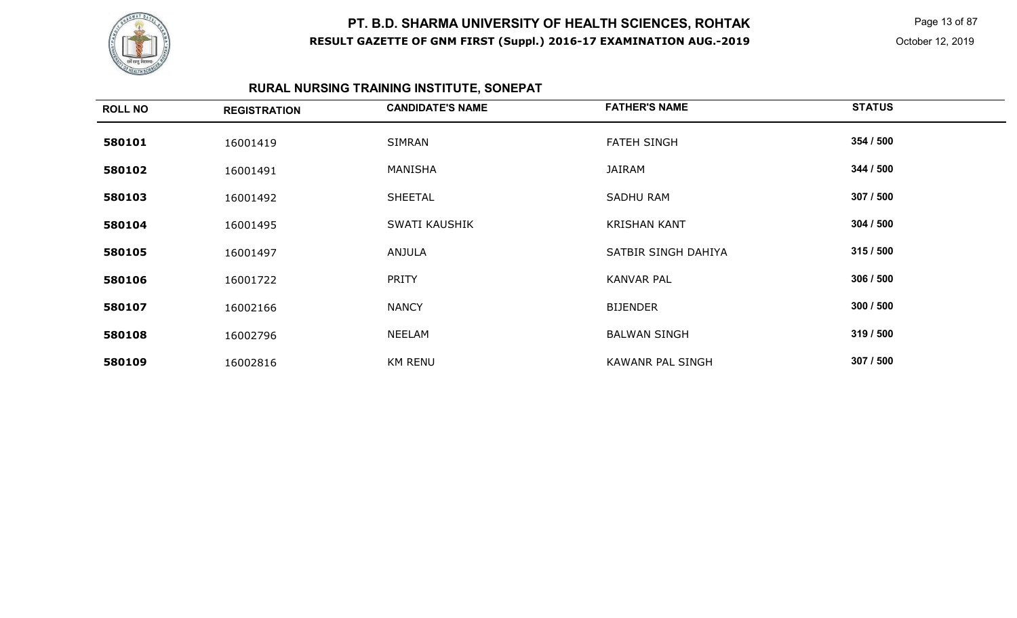

 Page 13 of 87 October 12, 2019

# **RURAL NURSING TRAINING INSTITUTE, SONEPAT**

| <b>ROLL NO</b> | <b>REGISTRATION</b> | <b>CANDIDATE'S NAME</b> | <b>FATHER'S NAME</b>    | <b>STATUS</b> |
|----------------|---------------------|-------------------------|-------------------------|---------------|
| 580101         | 16001419            | SIMRAN                  | <b>FATEH SINGH</b>      | 354 / 500     |
| 580102         | 16001491            | MANISHA                 | JAIRAM                  | 344 / 500     |
| 580103         | 16001492            | <b>SHEETAL</b>          | <b>SADHU RAM</b>        | 307 / 500     |
| 580104         | 16001495            | SWATI KAUSHIK           | <b>KRISHAN KANT</b>     | 304 / 500     |
| 580105         | 16001497            | ANJULA                  | SATBIR SINGH DAHIYA     | 315/500       |
| 580106         | 16001722            | PRITY                   | <b>KANVAR PAL</b>       | 306 / 500     |
| 580107         | 16002166            | <b>NANCY</b>            | <b>BIJENDER</b>         | 300 / 500     |
| 580108         | 16002796            | <b>NEELAM</b>           | <b>BALWAN SINGH</b>     | 319 / 500     |
| 580109         | 16002816            | <b>KM RENU</b>          | <b>KAWANR PAL SINGH</b> | 307 / 500     |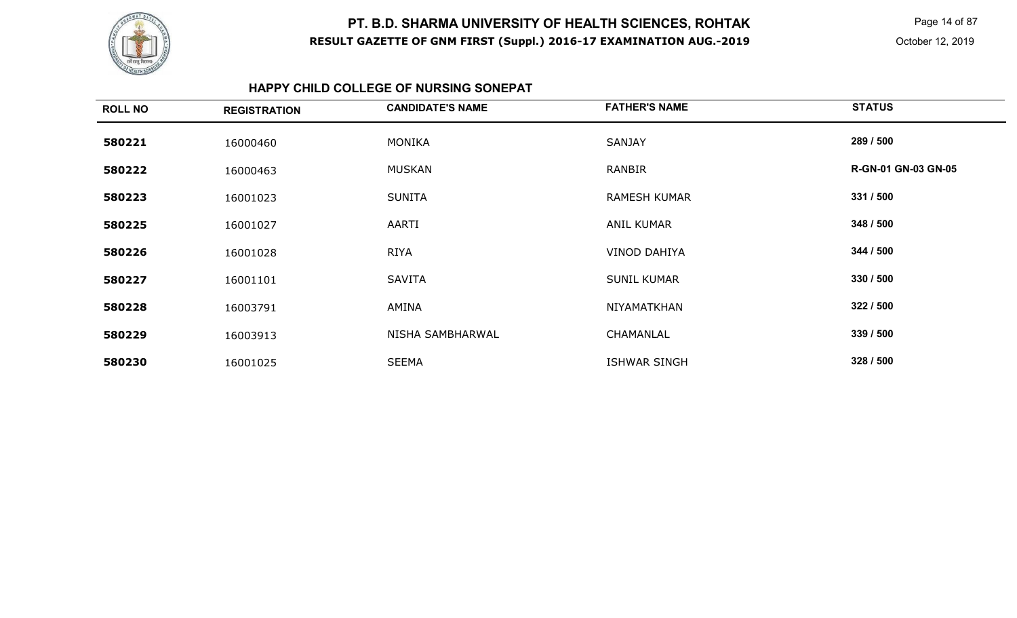

 Page 14 of 87 October 12, 2019

#### **HAPPY CHILD COLLEGE OF NURSING SONEPAT**

| <b>ROLL NO</b> | <b>REGISTRATION</b> | <b>CANDIDATE'S NAME</b> | <b>FATHER'S NAME</b> | <b>STATUS</b>       |
|----------------|---------------------|-------------------------|----------------------|---------------------|
| 580221         | 16000460            | <b>MONIKA</b>           | SANJAY               | 289 / 500           |
| 580222         | 16000463            | <b>MUSKAN</b>           | RANBIR               | R-GN-01 GN-03 GN-05 |
| 580223         | 16001023            | <b>SUNITA</b>           | <b>RAMESH KUMAR</b>  | 331 / 500           |
| 580225         | 16001027            | AARTI                   | <b>ANIL KUMAR</b>    | 348 / 500           |
| 580226         | 16001028            | <b>RIYA</b>             | <b>VINOD DAHIYA</b>  | 344 / 500           |
| 580227         | 16001101            | <b>SAVITA</b>           | <b>SUNIL KUMAR</b>   | 330 / 500           |
| 580228         | 16003791            | <b>AMINA</b>            | NIYAMATKHAN          | 322 / 500           |
| 580229         | 16003913            | NISHA SAMBHARWAL        | CHAMANLAL            | 339 / 500           |
| 580230         | 16001025            | <b>SEEMA</b>            | <b>ISHWAR SINGH</b>  | 328 / 500           |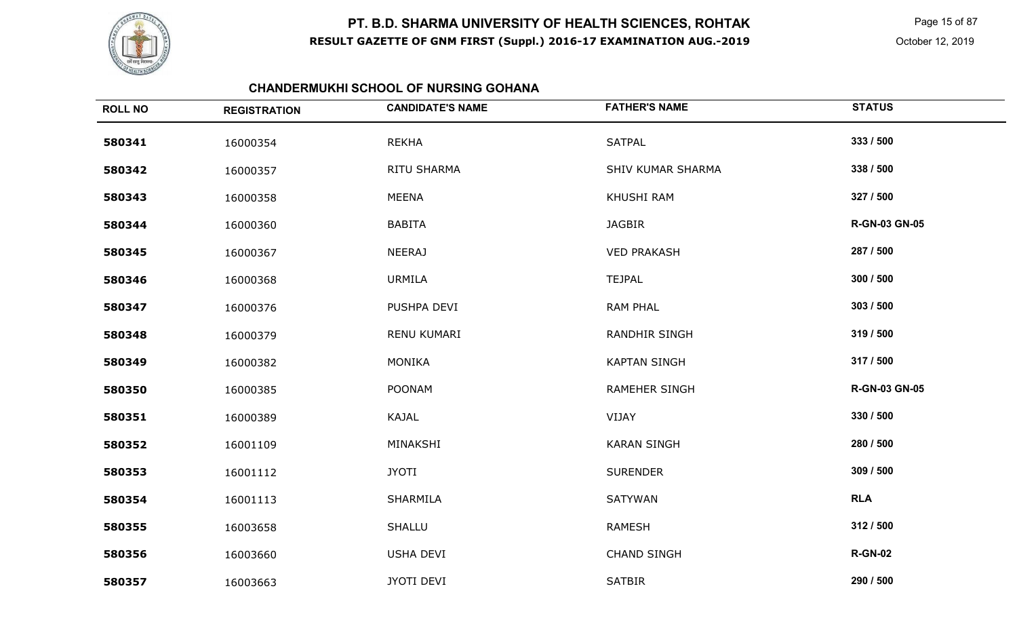

 Page 15 of 87 October 12, 2019

### **CHANDERMUKHI SCHOOL OF NURSING GOHANA**

| <b>ROLL NO</b> | <b>REGISTRATION</b> | <b>CANDIDATE'S NAME</b> | <b>FATHER'S NAME</b>     | <b>STATUS</b>        |
|----------------|---------------------|-------------------------|--------------------------|----------------------|
| 580341         | 16000354            | <b>REKHA</b>            | <b>SATPAL</b>            | 333 / 500            |
| 580342         | 16000357            | RITU SHARMA             | <b>SHIV KUMAR SHARMA</b> | 338 / 500            |
| 580343         | 16000358            | <b>MEENA</b>            | KHUSHI RAM               | 327 / 500            |
| 580344         | 16000360            | <b>BABITA</b>           | <b>JAGBIR</b>            | <b>R-GN-03 GN-05</b> |
| 580345         | 16000367            | <b>NEERAJ</b>           | <b>VED PRAKASH</b>       | 287 / 500            |
| 580346         | 16000368            | <b>URMILA</b>           | <b>TEJPAL</b>            | 300 / 500            |
| 580347         | 16000376            | PUSHPA DEVI             | <b>RAM PHAL</b>          | 303 / 500            |
| 580348         | 16000379            | RENU KUMARI             | <b>RANDHIR SINGH</b>     | 319 / 500            |
| 580349         | 16000382            | <b>MONIKA</b>           | <b>KAPTAN SINGH</b>      | 317 / 500            |
| 580350         | 16000385            | <b>POONAM</b>           | RAMEHER SINGH            | <b>R-GN-03 GN-05</b> |
| 580351         | 16000389            | KAJAL                   | VIJAY                    | 330 / 500            |
| 580352         | 16001109            | MINAKSHI                | <b>KARAN SINGH</b>       | 280 / 500            |
| 580353         | 16001112            | <b>JYOTI</b>            | <b>SURENDER</b>          | 309 / 500            |
| 580354         | 16001113            | SHARMILA                | SATYWAN                  | <b>RLA</b>           |
| 580355         | 16003658            | <b>SHALLU</b>           | <b>RAMESH</b>            | 312 / 500            |
| 580356         | 16003660            | USHA DEVI               | <b>CHAND SINGH</b>       | <b>R-GN-02</b>       |
| 580357         | 16003663            | JYOTI DEVI              | <b>SATBIR</b>            | 290 / 500            |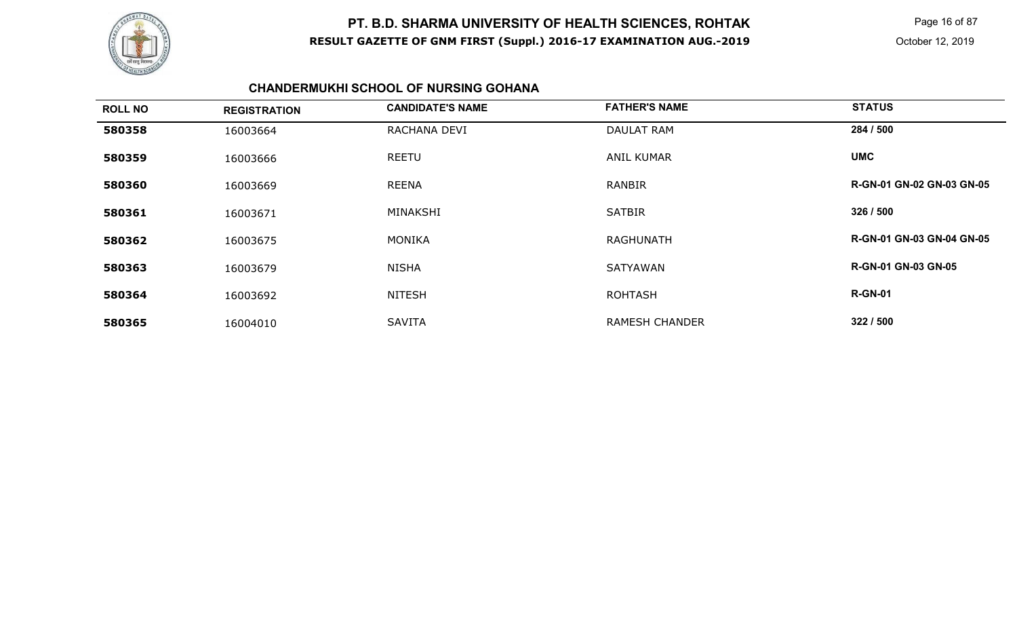

 Page 16 of 87 October 12, 2019

### **CHANDERMUKHI SCHOOL OF NURSING GOHANA**

| <b>ROLL NO</b> | <b>REGISTRATION</b> | <b>CANDIDATE'S NAME</b> | <b>FATHER'S NAME</b>  | <b>STATUS</b>                    |
|----------------|---------------------|-------------------------|-----------------------|----------------------------------|
| 580358         | 16003664            | RACHANA DEVI            | <b>DAULAT RAM</b>     | 284 / 500                        |
| 580359         | 16003666            | <b>REETU</b>            | <b>ANIL KUMAR</b>     | <b>UMC</b>                       |
| 580360         | 16003669            | <b>REENA</b>            | RANBIR                | <b>R-GN-01 GN-02 GN-03 GN-05</b> |
| 580361         | 16003671            | MINAKSHI                | <b>SATBIR</b>         | 326 / 500                        |
| 580362         | 16003675            | <b>MONIKA</b>           | RAGHUNATH             | R-GN-01 GN-03 GN-04 GN-05        |
| 580363         | 16003679            | <b>NISHA</b>            | <b>SATYAWAN</b>       | <b>R-GN-01 GN-03 GN-05</b>       |
| 580364         | 16003692            | <b>NITESH</b>           | <b>ROHTASH</b>        | <b>R-GN-01</b>                   |
| 580365         | 16004010            | <b>SAVITA</b>           | <b>RAMESH CHANDER</b> | 322/500                          |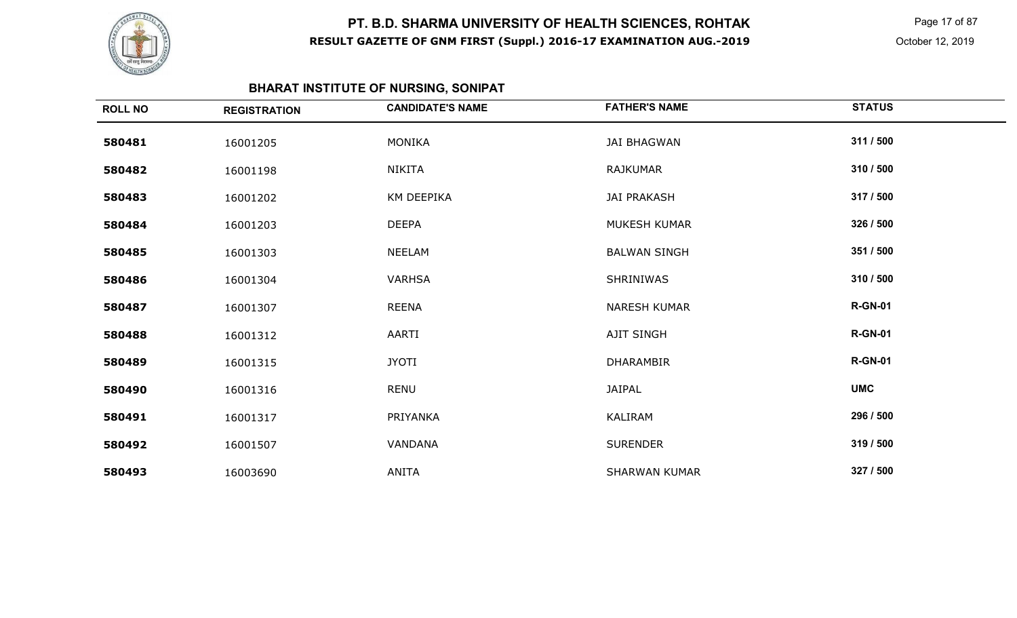

 Page 17 of 87 October 12, 2019

# **BHARAT INSTITUTE OF NURSING, SONIPAT**

| <b>ROLL NO</b> | <b>REGISTRATION</b> | <b>CANDIDATE'S NAME</b> | <b>FATHER'S NAME</b> | <b>STATUS</b>  |
|----------------|---------------------|-------------------------|----------------------|----------------|
| 580481         | 16001205            | MONIKA                  | <b>JAI BHAGWAN</b>   | 311 / 500      |
| 580482         | 16001198            | NIKITA                  | RAJKUMAR             | 310 / 500      |
| 580483         | 16001202            | KM DEEPIKA              | <b>JAI PRAKASH</b>   | 317 / 500      |
| 580484         | 16001203            | <b>DEEPA</b>            | MUKESH KUMAR         | 326 / 500      |
| 580485         | 16001303            | <b>NEELAM</b>           | <b>BALWAN SINGH</b>  | 351 / 500      |
| 580486         | 16001304            | <b>VARHSA</b>           | <b>SHRINIWAS</b>     | 310 / 500      |
| 580487         | 16001307            | REENA                   | <b>NARESH KUMAR</b>  | <b>R-GN-01</b> |
| 580488         | 16001312            | AARTI                   | AJIT SINGH           | <b>R-GN-01</b> |
| 580489         | 16001315            | <b>JYOTI</b>            | <b>DHARAMBIR</b>     | <b>R-GN-01</b> |
| 580490         | 16001316            | RENU                    | JAIPAL               | <b>UMC</b>     |
| 580491         | 16001317            | PRIYANKA                | KALIRAM              | 296 / 500      |
| 580492         | 16001507            | VANDANA                 | <b>SURENDER</b>      | 319 / 500      |
| 580493         | 16003690            | ANITA                   | <b>SHARWAN KUMAR</b> | 327 / 500      |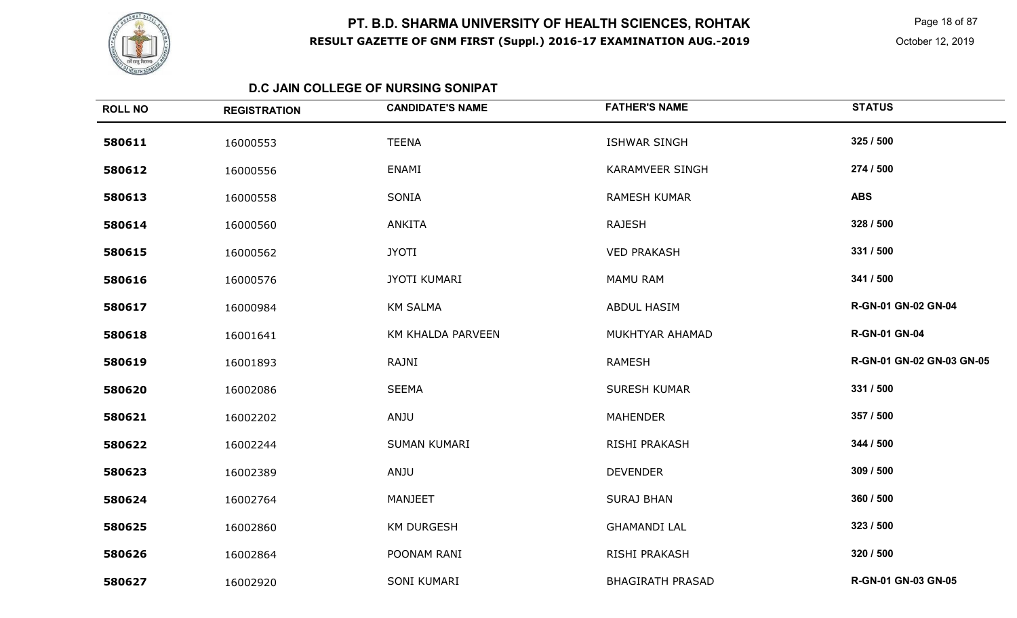

 Page 18 of 87 October 12, 2019

#### **D.C JAIN COLLEGE OF NURSING SONIPAT**

| <b>ROLL NO</b> | <b>REGISTRATION</b> | <b>CANDIDATE'S NAME</b> | <b>FATHER'S NAME</b>    | <b>STATUS</b>             |
|----------------|---------------------|-------------------------|-------------------------|---------------------------|
| 580611         | 16000553            | <b>TEENA</b>            | <b>ISHWAR SINGH</b>     | 325 / 500                 |
| 580612         | 16000556            | ENAMI                   | <b>KARAMVEER SINGH</b>  | 274 / 500                 |
| 580613         | 16000558            | SONIA                   | <b>RAMESH KUMAR</b>     | <b>ABS</b>                |
| 580614         | 16000560            | <b>ANKITA</b>           | <b>RAJESH</b>           | 328 / 500                 |
| 580615         | 16000562            | <b>JYOTI</b>            | <b>VED PRAKASH</b>      | 331 / 500                 |
| 580616         | 16000576            | JYOTI KUMARI            | <b>MAMU RAM</b>         | 341 / 500                 |
| 580617         | 16000984            | <b>KM SALMA</b>         | ABDUL HASIM             | R-GN-01 GN-02 GN-04       |
| 580618         | 16001641            | KM KHALDA PARVEEN       | MUKHTYAR AHAMAD         | <b>R-GN-01 GN-04</b>      |
| 580619         | 16001893            | RAJNI                   | <b>RAMESH</b>           | R-GN-01 GN-02 GN-03 GN-05 |
| 580620         | 16002086            | <b>SEEMA</b>            | <b>SURESH KUMAR</b>     | 331 / 500                 |
| 580621         | 16002202            | ANJU                    | <b>MAHENDER</b>         | 357 / 500                 |
| 580622         | 16002244            | <b>SUMAN KUMARI</b>     | RISHI PRAKASH           | 344 / 500                 |
| 580623         | 16002389            | ANJU                    | <b>DEVENDER</b>         | 309 / 500                 |
| 580624         | 16002764            | MANJEET                 | <b>SURAJ BHAN</b>       | 360 / 500                 |
| 580625         | 16002860            | <b>KM DURGESH</b>       | <b>GHAMANDI LAL</b>     | 323 / 500                 |
| 580626         | 16002864            | POONAM RANI             | RISHI PRAKASH           | 320 / 500                 |
| 580627         | 16002920            | SONI KUMARI             | <b>BHAGIRATH PRASAD</b> | R-GN-01 GN-03 GN-05       |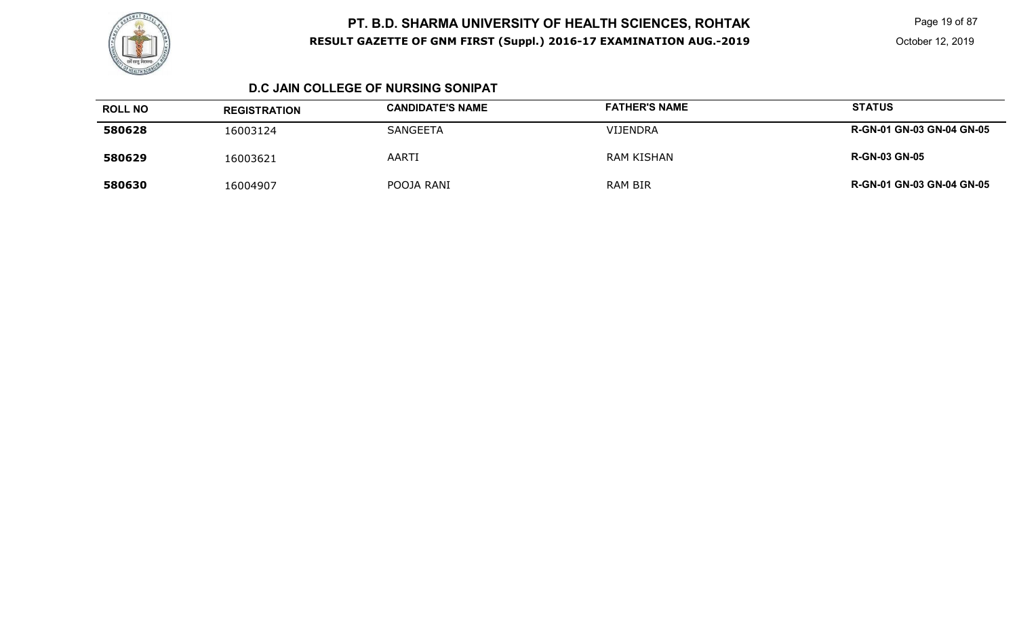

 Page 19 of 87 October 12, 2019

### **D.C JAIN COLLEGE OF NURSING SONIPAT**

| <b>ROLL NO</b> | <b>REGISTRATION</b> | <b>CANDIDATE'S NAME</b> | <b>FATHER'S NAME</b> | <b>STATUS</b>                    |
|----------------|---------------------|-------------------------|----------------------|----------------------------------|
| 580628         | 16003124            | <b>SANGEETA</b>         | <b>VIJENDRA</b>      | <b>R-GN-01 GN-03 GN-04 GN-05</b> |
| 580629         | 16003621            | AARTI                   | <b>RAM KISHAN</b>    | <b>R-GN-03 GN-05</b>             |
| 580630         | 16004907            | POOJA RANI              | RAM BIR              | <b>R-GN-01 GN-03 GN-04 GN-05</b> |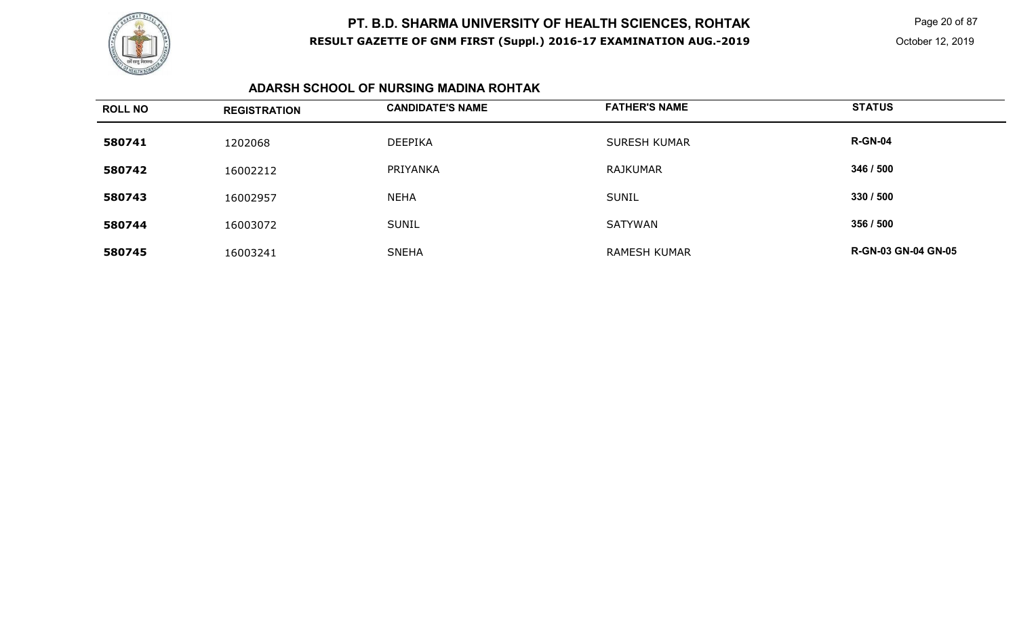

 Page 20 of 87 October 12, 2019

### **ADARSH SCHOOL OF NURSING MADINA ROHTAK**

| <b>ROLL NO</b> | <b>REGISTRATION</b> | <b>CANDIDATE'S NAME</b> | <b>FATHER'S NAME</b> | <b>STATUS</b>              |
|----------------|---------------------|-------------------------|----------------------|----------------------------|
| 580741         | 1202068             | <b>DEEPIKA</b>          | <b>SURESH KUMAR</b>  | <b>R-GN-04</b>             |
| 580742         | 16002212            | PRIYANKA                | <b>RAJKUMAR</b>      | 346 / 500                  |
| 580743         | 16002957            | <b>NEHA</b>             | <b>SUNIL</b>         | 330 / 500                  |
| 580744         | 16003072            | <b>SUNIL</b>            | SATYWAN              | 356 / 500                  |
| 580745         | 16003241            | <b>SNEHA</b>            | <b>RAMESH KUMAR</b>  | <b>R-GN-03 GN-04 GN-05</b> |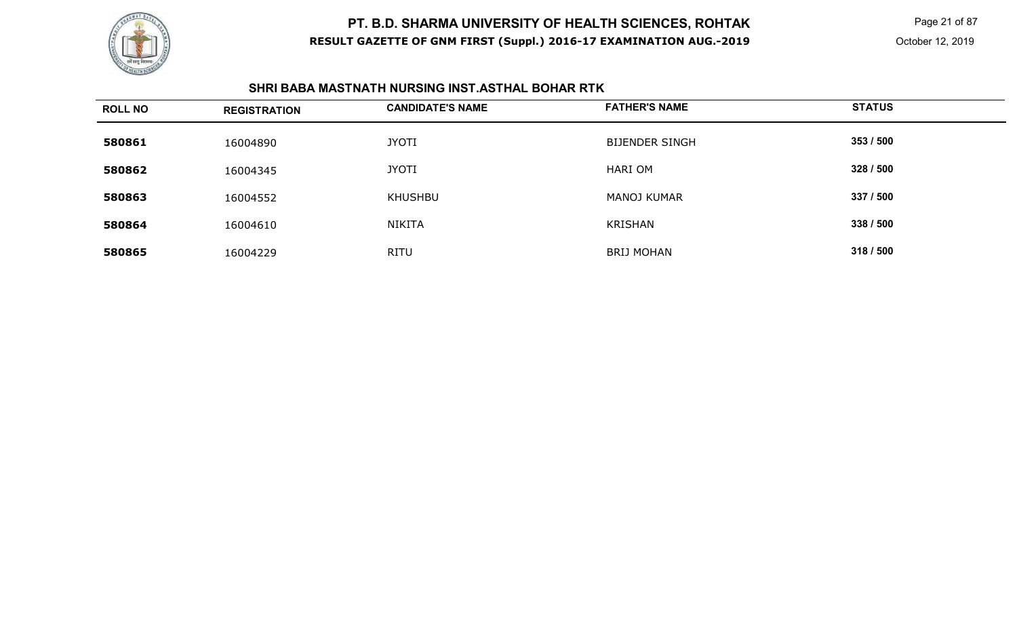

 Page 21 of 87 October 12, 2019

#### **SHRI BABA MASTNATH NURSING INST.ASTHAL BOHAR RTK**

| <b>ROLL NO</b> | <b>REGISTRATION</b> | <b>CANDIDATE'S NAME</b> | <b>FATHER'S NAME</b>  | <b>STATUS</b> |
|----------------|---------------------|-------------------------|-----------------------|---------------|
| 580861         | 16004890            | <b>JYOTI</b>            | <b>BIJENDER SINGH</b> | 353 / 500     |
| 580862         | 16004345            | <b>JYOTI</b>            | HARI OM               | 328 / 500     |
| 580863         | 16004552            | <b>KHUSHBU</b>          | <b>MANOJ KUMAR</b>    | 337 / 500     |
| 580864         | 16004610            | NIKITA                  | KRISHAN               | 338 / 500     |
| 580865         | 16004229            | <b>RITU</b>             | <b>BRIJ MOHAN</b>     | 318 / 500     |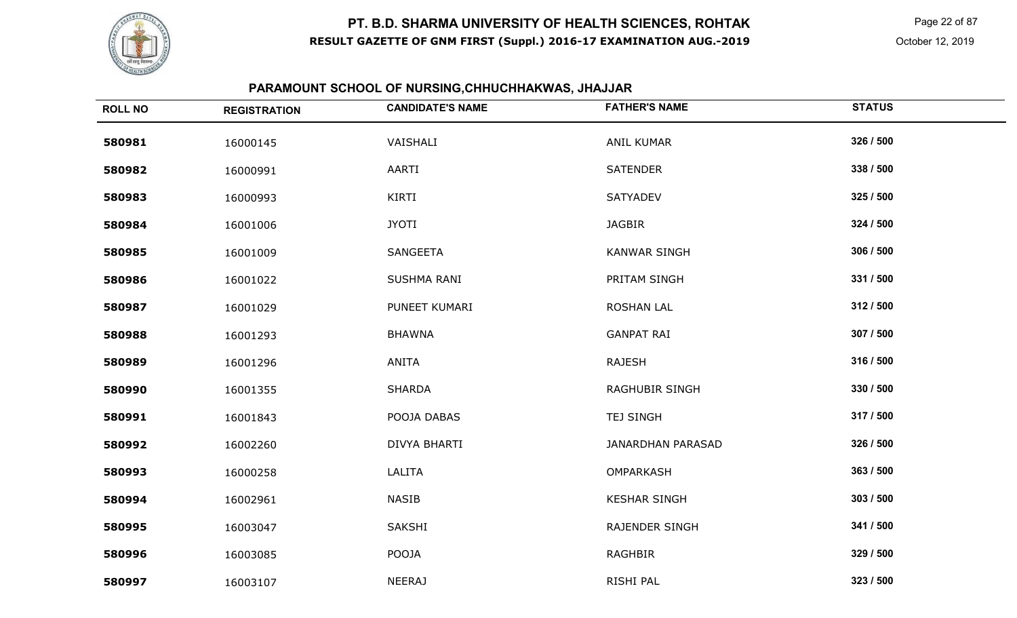

Page 22 of 87

# **PARAMOUNT SCHOOL OF NURSING,CHHUCHHAKWAS, JHAJJAR**

| <b>ROLL NO</b> | <b>REGISTRATION</b> | <b>CANDIDATE'S NAME</b> | <b>FATHER'S NAME</b>     | <b>STATUS</b> |
|----------------|---------------------|-------------------------|--------------------------|---------------|
| 580981         | 16000145            | VAISHALI                | <b>ANIL KUMAR</b>        | 326 / 500     |
| 580982         | 16000991            | AARTI                   | <b>SATENDER</b>          | 338 / 500     |
| 580983         | 16000993            | KIRTI                   | <b>SATYADEV</b>          | 325 / 500     |
| 580984         | 16001006            | <b>JYOTI</b>            | <b>JAGBIR</b>            | 324 / 500     |
| 580985         | 16001009            | SANGEETA                | <b>KANWAR SINGH</b>      | 306 / 500     |
| 580986         | 16001022            | SUSHMA RANI             | PRITAM SINGH             | 331 / 500     |
| 580987         | 16001029            | PUNEET KUMARI           | <b>ROSHAN LAL</b>        | 312 / 500     |
| 580988         | 16001293            | <b>BHAWNA</b>           | <b>GANPAT RAI</b>        | 307 / 500     |
| 580989         | 16001296            | ANITA                   | <b>RAJESH</b>            | 316 / 500     |
| 580990         | 16001355            | <b>SHARDA</b>           | <b>RAGHUBIR SINGH</b>    | 330 / 500     |
| 580991         | 16001843            | POOJA DABAS             | <b>TEJ SINGH</b>         | 317 / 500     |
| 580992         | 16002260            | DIVYA BHARTI            | <b>JANARDHAN PARASAD</b> | 326 / 500     |
| 580993         | 16000258            | LALITA                  | OMPARKASH                | 363 / 500     |
| 580994         | 16002961            | <b>NASIB</b>            | <b>KESHAR SINGH</b>      | 303 / 500     |
| 580995         | 16003047            | SAKSHI                  | RAJENDER SINGH           | 341 / 500     |
| 580996         | 16003085            | POOJA                   | <b>RAGHBIR</b>           | 329 / 500     |
| 580997         | 16003107            | <b>NEERAJ</b>           | RISHI PAL                | 323 / 500     |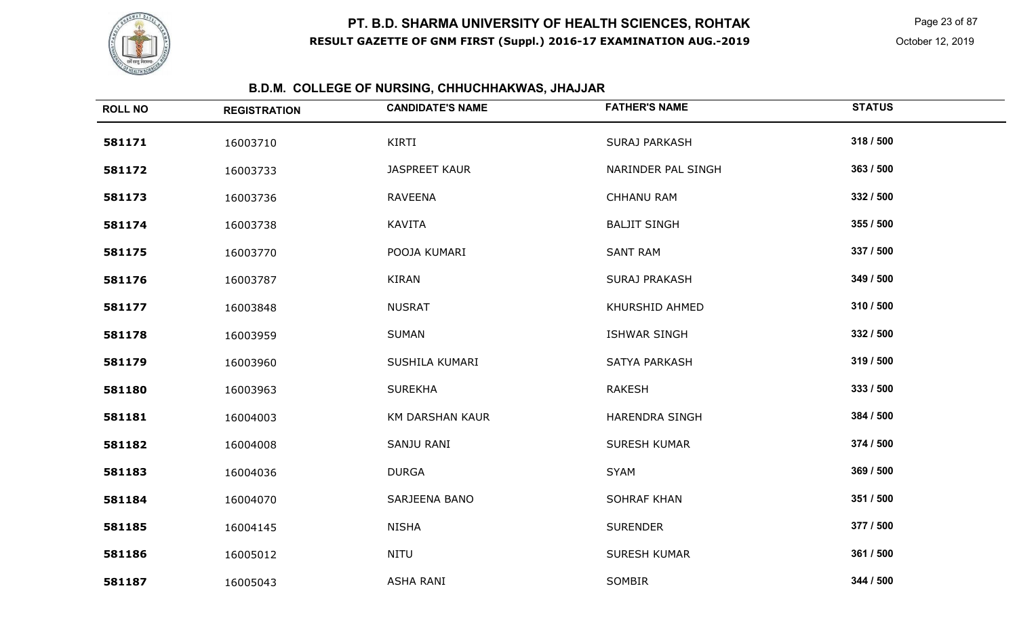

 Page 23 of 87 October 12, 2019

# **B.D.M. COLLEGE OF NURSING, CHHUCHHAKWAS, JHAJJAR**

| <b>ROLL NO</b> | <b>REGISTRATION</b> | <b>CANDIDATE'S NAME</b> | <b>FATHER'S NAME</b>  | <b>STATUS</b> |
|----------------|---------------------|-------------------------|-----------------------|---------------|
| 581171         | 16003710            | KIRTI                   | <b>SURAJ PARKASH</b>  | 318 / 500     |
| 581172         | 16003733            | <b>JASPREET KAUR</b>    | NARINDER PAL SINGH    | 363 / 500     |
| 581173         | 16003736            | <b>RAVEENA</b>          | <b>CHHANU RAM</b>     | 332 / 500     |
| 581174         | 16003738            | <b>KAVITA</b>           | <b>BALJIT SINGH</b>   | 355 / 500     |
| 581175         | 16003770            | POOJA KUMARI            | <b>SANT RAM</b>       | 337 / 500     |
| 581176         | 16003787            | KIRAN                   | <b>SURAJ PRAKASH</b>  | 349 / 500     |
| 581177         | 16003848            | <b>NUSRAT</b>           | KHURSHID AHMED        | 310 / 500     |
| 581178         | 16003959            | <b>SUMAN</b>            | <b>ISHWAR SINGH</b>   | 332 / 500     |
| 581179         | 16003960            | SUSHILA KUMARI          | SATYA PARKASH         | 319 / 500     |
| 581180         | 16003963            | <b>SUREKHA</b>          | <b>RAKESH</b>         | 333 / 500     |
| 581181         | 16004003            | <b>KM DARSHAN KAUR</b>  | <b>HARENDRA SINGH</b> | 384 / 500     |
| 581182         | 16004008            | SANJU RANI              | SURESH KUMAR          | 374 / 500     |
| 581183         | 16004036            | <b>DURGA</b>            | <b>SYAM</b>           | 369 / 500     |
| 581184         | 16004070            | SARJEENA BANO           | <b>SOHRAF KHAN</b>    | 351 / 500     |
| 581185         | 16004145            | <b>NISHA</b>            | <b>SURENDER</b>       | 377 / 500     |
| 581186         | 16005012            | <b>NITU</b>             | <b>SURESH KUMAR</b>   | 361 / 500     |
| 581187         | 16005043            | <b>ASHA RANI</b>        | SOMBIR                | 344 / 500     |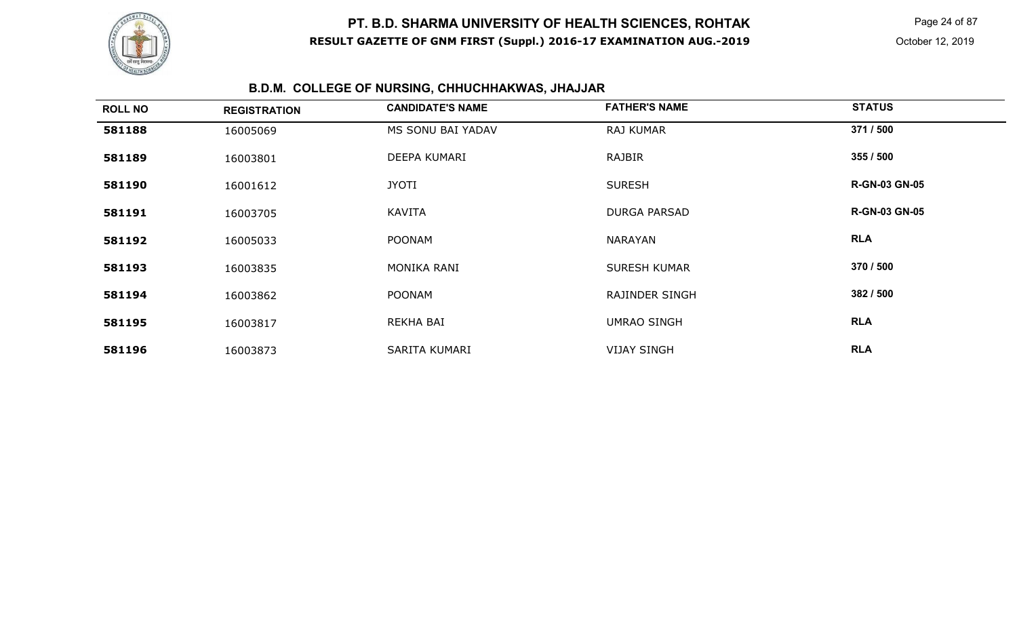

Page 24 of 87

# **B.D.M. COLLEGE OF NURSING, CHHUCHHAKWAS, JHAJJAR**

| <b>ROLL NO</b> | <b>REGISTRATION</b> | <b>CANDIDATE'S NAME</b> | <b>FATHER'S NAME</b>  | <b>STATUS</b>        |
|----------------|---------------------|-------------------------|-----------------------|----------------------|
| 581188         | 16005069            | MS SONU BAI YADAV       | <b>RAJ KUMAR</b>      | 371 / 500            |
| 581189         | 16003801            | DEEPA KUMARI            | <b>RAJBIR</b>         | 355 / 500            |
| 581190         | 16001612            | <b>JYOTI</b>            | <b>SURESH</b>         | <b>R-GN-03 GN-05</b> |
| 581191         | 16003705            | <b>KAVITA</b>           | DURGA PARSAD          | <b>R-GN-03 GN-05</b> |
| 581192         | 16005033            | <b>POONAM</b>           | NARAYAN               | <b>RLA</b>           |
| 581193         | 16003835            | MONIKA RANI             | <b>SURESH KUMAR</b>   | 370 / 500            |
| 581194         | 16003862            | <b>POONAM</b>           | <b>RAJINDER SINGH</b> | 382 / 500            |
| 581195         | 16003817            | REKHA BAI               | <b>UMRAO SINGH</b>    | <b>RLA</b>           |
| 581196         | 16003873            | SARITA KUMARI           | <b>VIJAY SINGH</b>    | <b>RLA</b>           |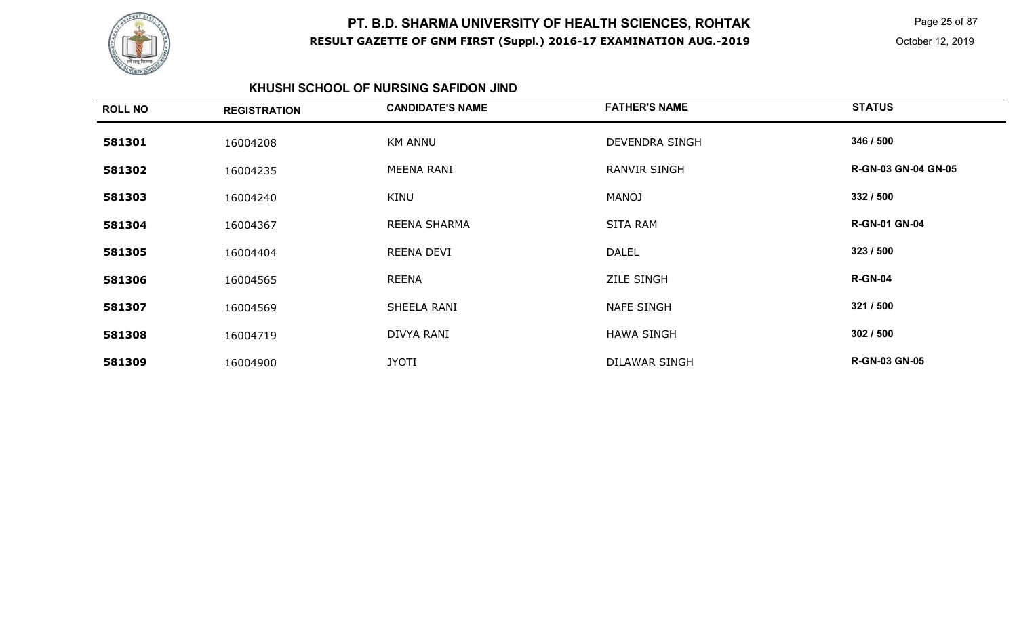

 Page 25 of 87 October 12, 2019

### **KHUSHI SCHOOL OF NURSING SAFIDON JIND**

| <b>ROLL NO</b> | <b>REGISTRATION</b> | <b>CANDIDATE'S NAME</b> | <b>FATHER'S NAME</b>  | <b>STATUS</b>              |
|----------------|---------------------|-------------------------|-----------------------|----------------------------|
| 581301         | 16004208            | <b>KM ANNU</b>          | <b>DEVENDRA SINGH</b> | 346 / 500                  |
| 581302         | 16004235            | MEENA RANI              | RANVIR SINGH          | <b>R-GN-03 GN-04 GN-05</b> |
| 581303         | 16004240            | KINU                    | <b>MANOJ</b>          | 332 / 500                  |
| 581304         | 16004367            | <b>REENA SHARMA</b>     | <b>SITA RAM</b>       | <b>R-GN-01 GN-04</b>       |
| 581305         | 16004404            | REENA DEVI              | <b>DALEL</b>          | 323 / 500                  |
| 581306         | 16004565            | REENA                   | <b>ZILE SINGH</b>     | <b>R-GN-04</b>             |
| 581307         | 16004569            | SHEELA RANI             | <b>NAFE SINGH</b>     | 321 / 500                  |
| 581308         | 16004719            | DIVYA RANI              | <b>HAWA SINGH</b>     | 302 / 500                  |
| 581309         | 16004900            | <b>JYOTI</b>            | <b>DILAWAR SINGH</b>  | <b>R-GN-03 GN-05</b>       |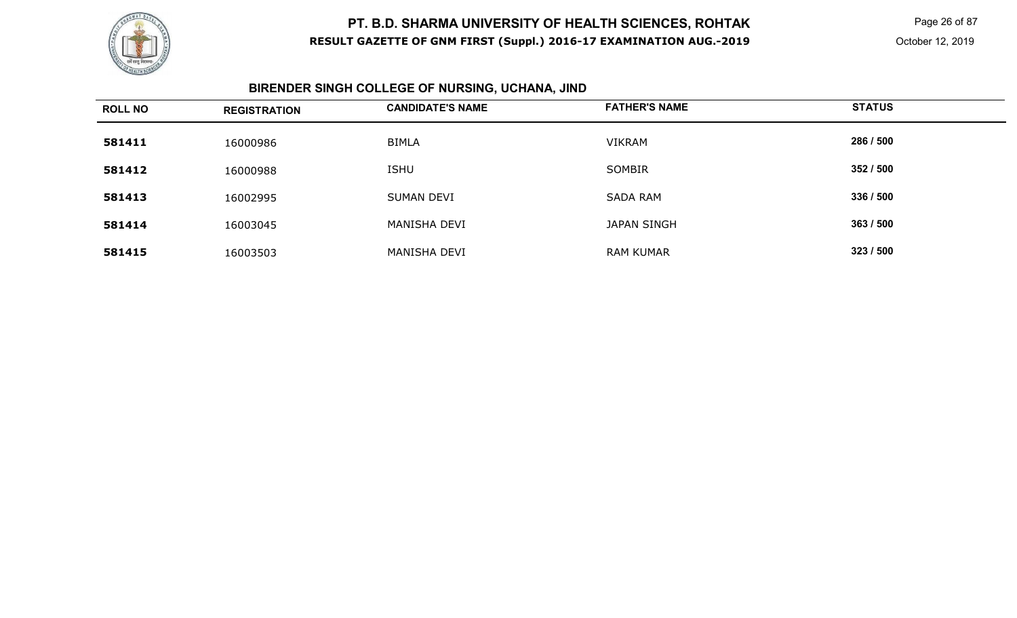

Page 26 of 87

# **BIRENDER SINGH COLLEGE OF NURSING, UCHANA, JIND**

| <b>ROLL NO</b> | <b>REGISTRATION</b> | <b>CANDIDATE'S NAME</b> | <b>FATHER'S NAME</b> | <b>STATUS</b> |
|----------------|---------------------|-------------------------|----------------------|---------------|
| 581411         | 16000986            | <b>BIMLA</b>            | <b>VIKRAM</b>        | 286 / 500     |
| 581412         | 16000988            | <b>ISHU</b>             | SOMBIR               | 352 / 500     |
| 581413         | 16002995            | <b>SUMAN DEVI</b>       | <b>SADA RAM</b>      | 336 / 500     |
| 581414         | 16003045            | MANISHA DEVI            | JAPAN SINGH          | 363 / 500     |
| 581415         | 16003503            | MANISHA DEVI            | <b>RAM KUMAR</b>     | 323/500       |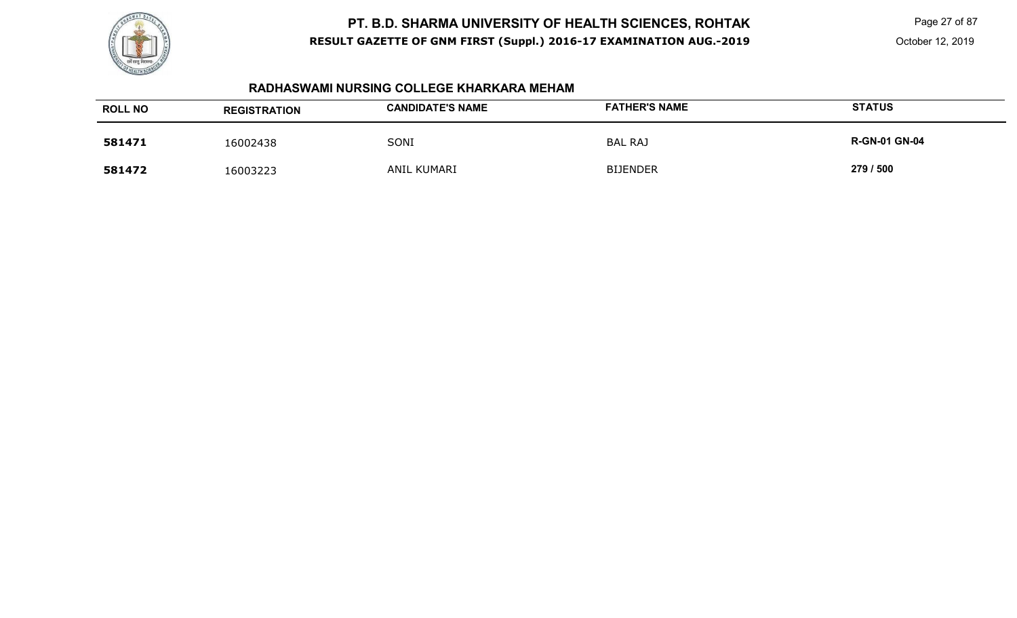

Page 27 of 87

#### **RADHASWAMI NURSING COLLEGE KHARKARA MEHAM**

| <b>ROLL NO</b> | <b>REGISTRATION</b> | <b>CANDIDATE'S NAME</b> | <b>FATHER'S NAME</b> | <b>STATUS</b>        |
|----------------|---------------------|-------------------------|----------------------|----------------------|
| 581471         | 16002438            | SONI                    | <b>BAL RAJ</b>       | <b>R-GN-01 GN-04</b> |
| 581472         | 16003223            | <b>ANIL KUMARI</b>      | <b>BIJENDER</b>      | 279 / 500            |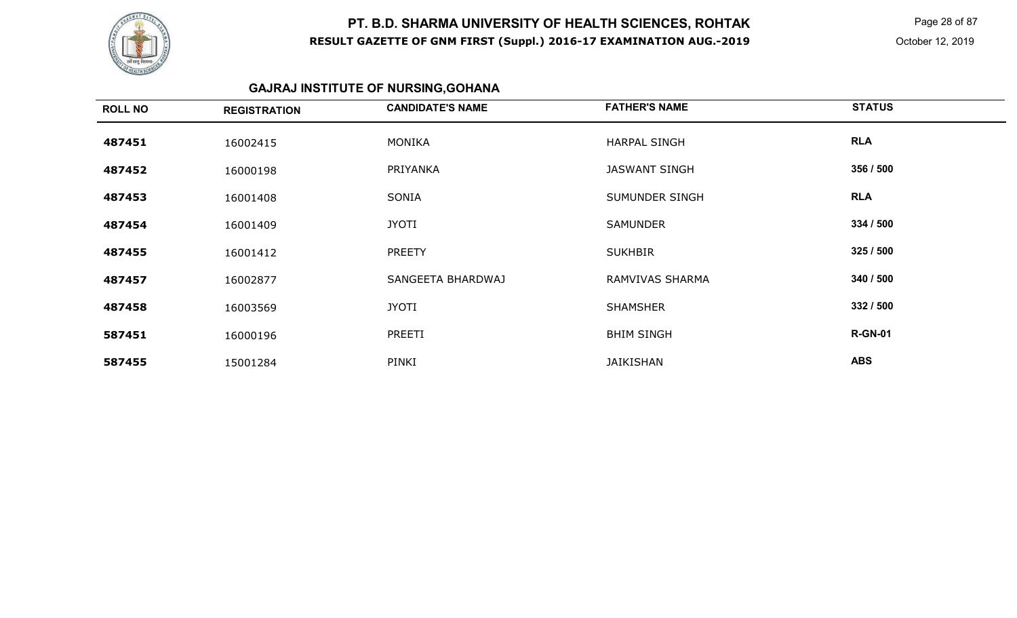

 Page 28 of 87 October 12, 2019

# **GAJRAJ INSTITUTE OF NURSING,GOHANA**

| <b>ROLL NO</b> | <b>REGISTRATION</b> | <b>CANDIDATE'S NAME</b> | <b>FATHER'S NAME</b>   | <b>STATUS</b>  |
|----------------|---------------------|-------------------------|------------------------|----------------|
| 487451         | 16002415            | <b>MONIKA</b>           | <b>HARPAL SINGH</b>    | <b>RLA</b>     |
| 487452         | 16000198            | PRIYANKA                | <b>JASWANT SINGH</b>   | 356 / 500      |
| 487453         | 16001408            | SONIA                   | SUMUNDER SINGH         | <b>RLA</b>     |
| 487454         | 16001409            | <b>JYOTI</b>            | <b>SAMUNDER</b>        | 334 / 500      |
| 487455         | 16001412            | <b>PREETY</b>           | <b>SUKHBIR</b>         | 325/500        |
| 487457         | 16002877            | SANGEETA BHARDWAJ       | <b>RAMVIVAS SHARMA</b> | 340 / 500      |
| 487458         | 16003569            | <b>JYOTI</b>            | <b>SHAMSHER</b>        | 332 / 500      |
| 587451         | 16000196            | PREETI                  | <b>BHIM SINGH</b>      | <b>R-GN-01</b> |
| 587455         | 15001284            | PINKI                   | <b>JAIKISHAN</b>       | <b>ABS</b>     |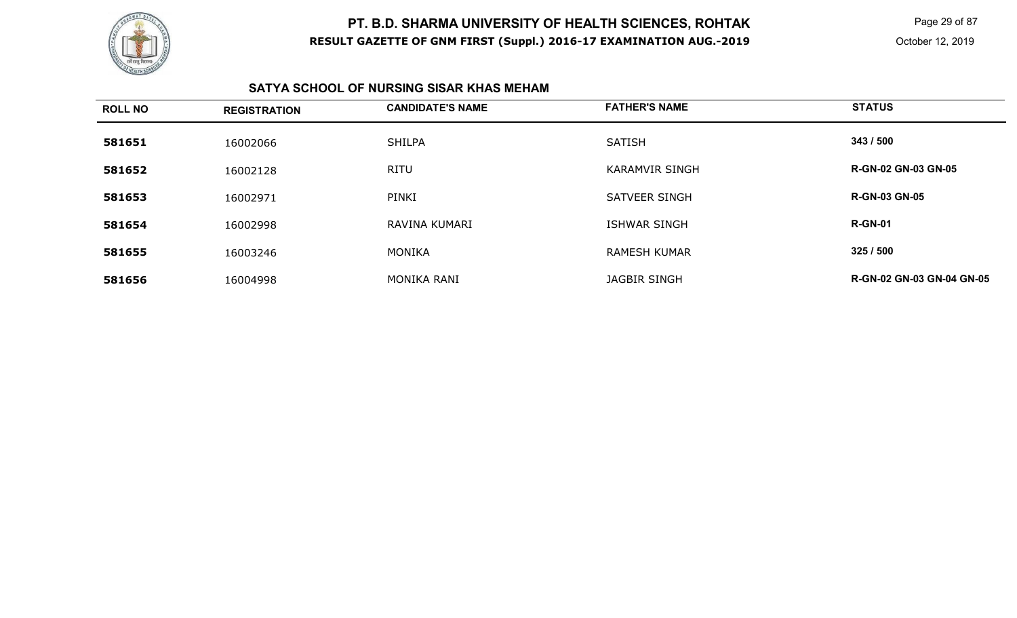

 Page 29 of 87 October 12, 2019

### **SATYA SCHOOL OF NURSING SISAR KHAS MEHAM**

| <b>ROLL NO</b> | <b>REGISTRATION</b> | <b>CANDIDATE'S NAME</b> | <b>FATHER'S NAME</b>  | <b>STATUS</b>                    |
|----------------|---------------------|-------------------------|-----------------------|----------------------------------|
| 581651         | 16002066            | <b>SHILPA</b>           | <b>SATISH</b>         | 343 / 500                        |
| 581652         | 16002128            | <b>RITU</b>             | <b>KARAMVIR SINGH</b> | <b>R-GN-02 GN-03 GN-05</b>       |
| 581653         | 16002971            | PINKI                   | <b>SATVEER SINGH</b>  | <b>R-GN-03 GN-05</b>             |
| 581654         | 16002998            | RAVINA KUMARI           | <b>ISHWAR SINGH</b>   | <b>R-GN-01</b>                   |
| 581655         | 16003246            | MONIKA                  | <b>RAMESH KUMAR</b>   | 325 / 500                        |
| 581656         | 16004998            | <b>MONIKA RANI</b>      | <b>JAGBIR SINGH</b>   | <b>R-GN-02 GN-03 GN-04 GN-05</b> |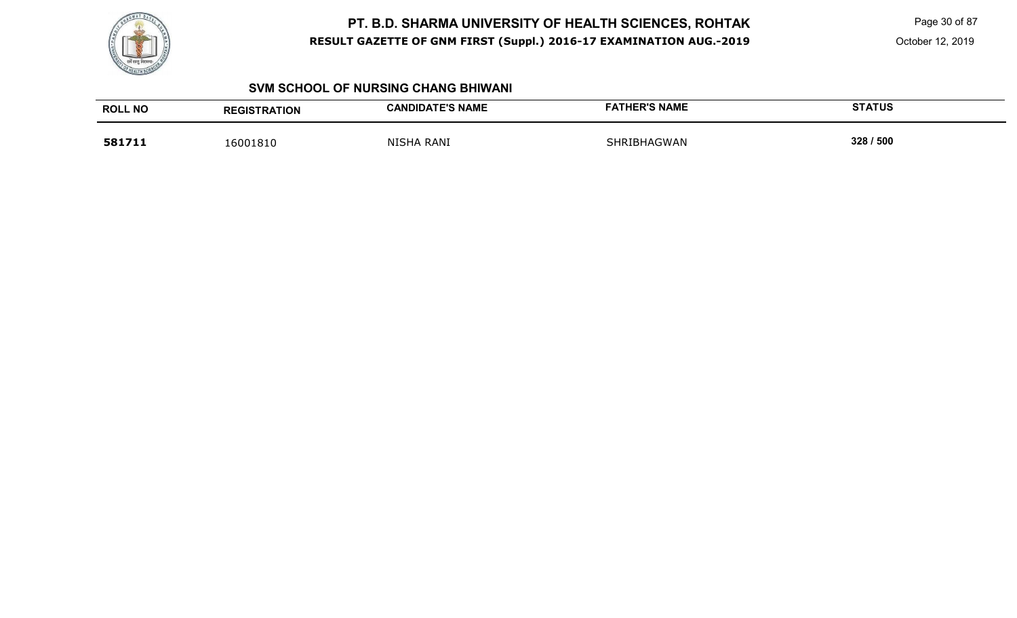

Page 30 of 87

October 12, 2019

#### **SVM SCHOOL OF NURSING CHANG BHIWANI**

| <b>ROLL NO</b> | <b>REGISTRATION</b> | <b>CANDIDATE'S NAME</b> | <b>FATHER'S NAME</b> | <b>STATUS</b> |
|----------------|---------------------|-------------------------|----------------------|---------------|
| 581711         | 16001810            | <b>NISHA RANI</b>       | SHRIBHAGWAN          | 328 / 500     |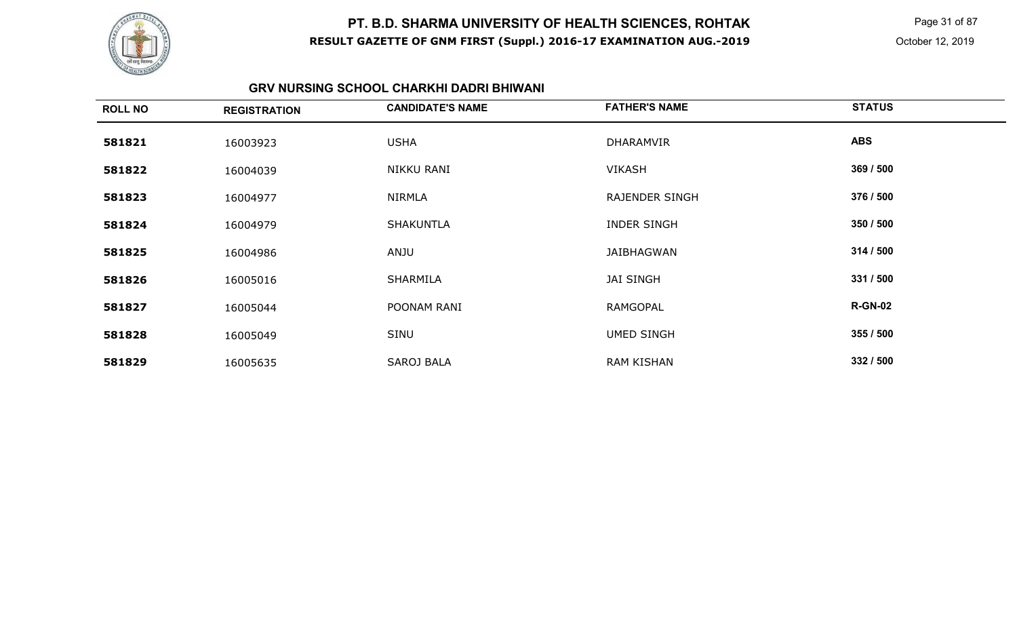

 Page 31 of 87 October 12, 2019

#### **GRV NURSING SCHOOL CHARKHI DADRI BHIWANI**

| <b>ROLL NO</b> | <b>REGISTRATION</b> | <b>CANDIDATE'S NAME</b> | <b>FATHER'S NAME</b>  | <b>STATUS</b>  |
|----------------|---------------------|-------------------------|-----------------------|----------------|
| 581821         | 16003923            | <b>USHA</b>             | <b>DHARAMVIR</b>      | <b>ABS</b>     |
| 581822         | 16004039            | NIKKU RANI              | <b>VIKASH</b>         | 369 / 500      |
| 581823         | 16004977            | <b>NIRMLA</b>           | <b>RAJENDER SINGH</b> | 376 / 500      |
| 581824         | 16004979            | <b>SHAKUNTLA</b>        | <b>INDER SINGH</b>    | 350 / 500      |
| 581825         | 16004986            | ANJU                    | JAIBHAGWAN            | 314 / 500      |
| 581826         | 16005016            | SHARMILA                | <b>JAI SINGH</b>      | 331 / 500      |
| 581827         | 16005044            | POONAM RANI             | RAMGOPAL              | <b>R-GN-02</b> |
| 581828         | 16005049            | SINU                    | <b>UMED SINGH</b>     | 355 / 500      |
| 581829         | 16005635            | <b>SAROJ BALA</b>       | <b>RAM KISHAN</b>     | 332 / 500      |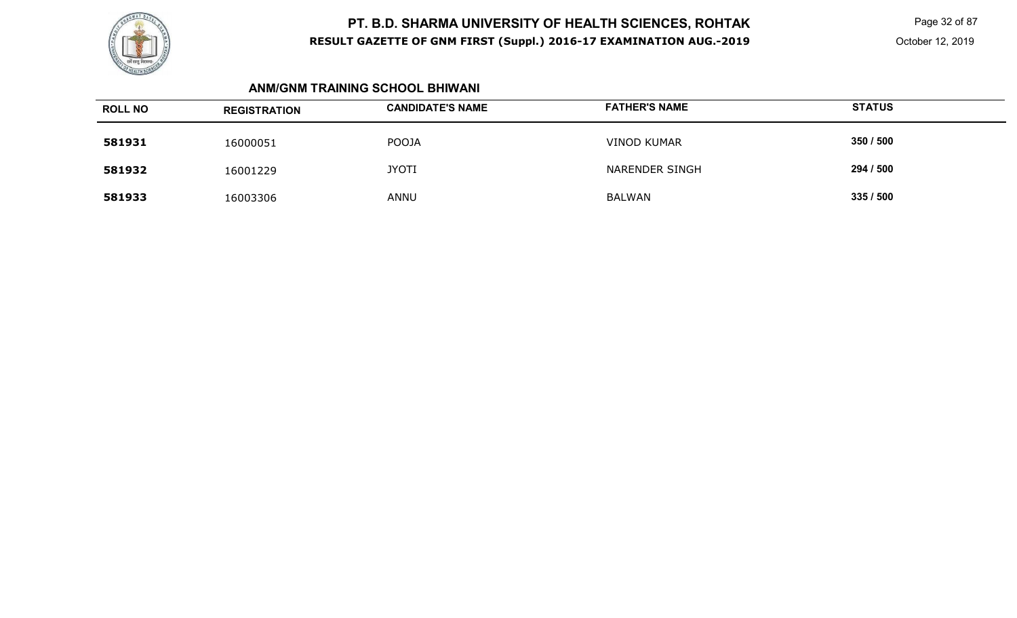

 Page 32 of 87 October 12, 2019

#### **ANM/GNM TRAINING SCHOOL BHIWANI**

| <b>ROLL NO</b> | <b>REGISTRATION</b> | <b>CANDIDATE'S NAME</b> | <b>FATHER'S NAME</b> | <b>STATUS</b> |
|----------------|---------------------|-------------------------|----------------------|---------------|
| 581931         | 16000051            | <b>POOJA</b>            | <b>VINOD KUMAR</b>   | 350 / 500     |
| 581932         | 16001229            | <b>JYOTI</b>            | NARENDER SINGH       | 294 / 500     |
| 581933         | 16003306            | <b>ANNU</b>             | <b>BALWAN</b>        | 335/500       |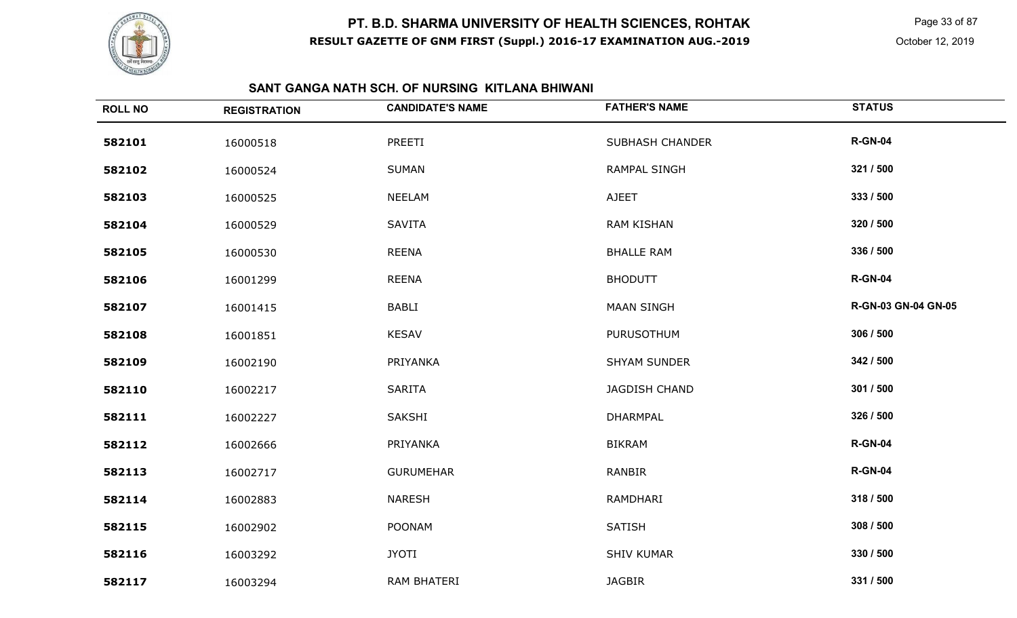

 Page 33 of 87 October 12, 2019

# **SANT GANGA NATH SCH. OF NURSING KITLANA BHIWANI**

| <b>ROLL NO</b> | <b>REGISTRATION</b> | <b>CANDIDATE'S NAME</b> | <b>FATHER'S NAME</b>   | <b>STATUS</b>              |
|----------------|---------------------|-------------------------|------------------------|----------------------------|
| 582101         | 16000518            | PREETI                  | <b>SUBHASH CHANDER</b> | <b>R-GN-04</b>             |
| 582102         | 16000524            | <b>SUMAN</b>            | RAMPAL SINGH           | 321 / 500                  |
| 582103         | 16000525            | <b>NEELAM</b>           | <b>AJEET</b>           | 333 / 500                  |
| 582104         | 16000529            | <b>SAVITA</b>           | <b>RAM KISHAN</b>      | 320 / 500                  |
| 582105         | 16000530            | <b>REENA</b>            | <b>BHALLE RAM</b>      | 336 / 500                  |
| 582106         | 16001299            | <b>REENA</b>            | <b>BHODUTT</b>         | <b>R-GN-04</b>             |
| 582107         | 16001415            | <b>BABLI</b>            | <b>MAAN SINGH</b>      | <b>R-GN-03 GN-04 GN-05</b> |
| 582108         | 16001851            | <b>KESAV</b>            | <b>PURUSOTHUM</b>      | 306 / 500                  |
| 582109         | 16002190            | PRIYANKA                | <b>SHYAM SUNDER</b>    | 342 / 500                  |
| 582110         | 16002217            | <b>SARITA</b>           | JAGDISH CHAND          | 301 / 500                  |
| 582111         | 16002227            | SAKSHI                  | <b>DHARMPAL</b>        | 326 / 500                  |
| 582112         | 16002666            | PRIYANKA                | <b>BIKRAM</b>          | <b>R-GN-04</b>             |
| 582113         | 16002717            | <b>GURUMEHAR</b>        | RANBIR                 | <b>R-GN-04</b>             |
| 582114         | 16002883            | <b>NARESH</b>           | RAMDHARI               | 318 / 500                  |
| 582115         | 16002902            | <b>POONAM</b>           | <b>SATISH</b>          | 308 / 500                  |
| 582116         | 16003292            | <b>JYOTI</b>            | <b>SHIV KUMAR</b>      | 330 / 500                  |
| 582117         | 16003294            | <b>RAM BHATERI</b>      | <b>JAGBIR</b>          | 331 / 500                  |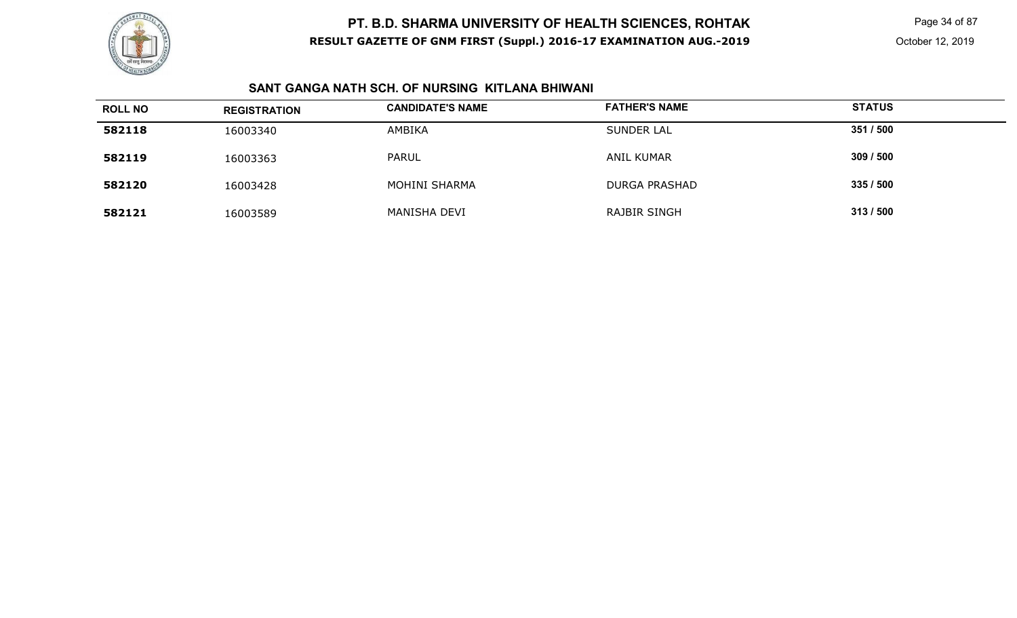

Page 34 of 87

### **SANT GANGA NATH SCH. OF NURSING KITLANA BHIWANI**

| <b>ROLL NO</b> | <b>REGISTRATION</b> | <b>CANDIDATE'S NAME</b> | <b>FATHER'S NAME</b> | <b>STATUS</b> |  |
|----------------|---------------------|-------------------------|----------------------|---------------|--|
| 582118         | 16003340            | AMBIKA                  | <b>SUNDER LAL</b>    | 351 / 500     |  |
| 582119         | 16003363            | <b>PARUL</b>            | <b>ANIL KUMAR</b>    | 309/500       |  |
| 582120         | 16003428            | <b>MOHINI SHARMA</b>    | <b>DURGA PRASHAD</b> | 335/500       |  |
| 582121         | 16003589            | MANISHA DEVI            | RAJBIR SINGH         | 313/500       |  |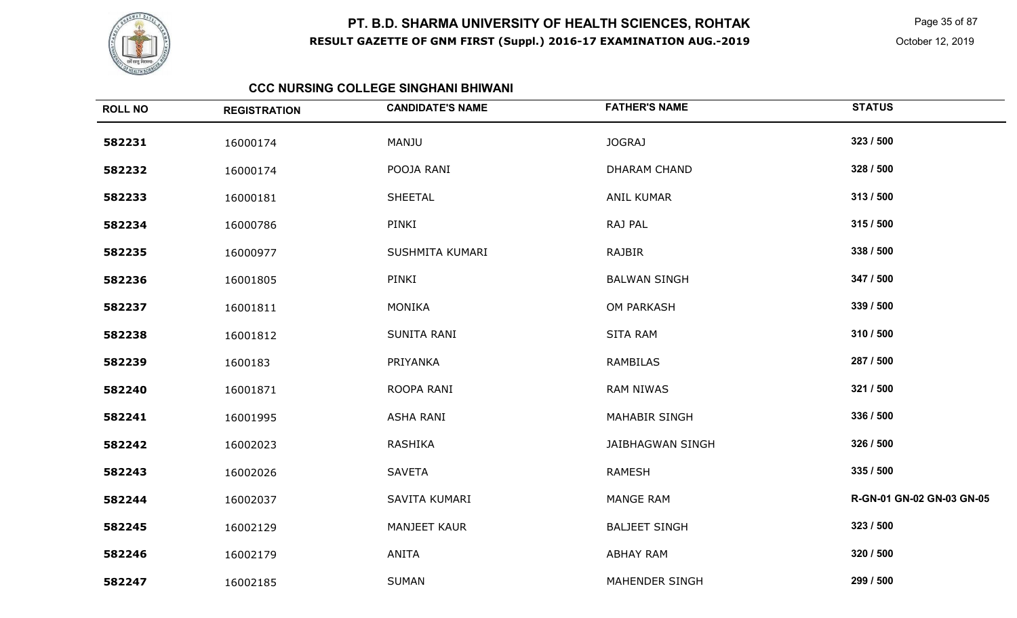

Page 35 of 87

October 12, 2019

#### **CCC NURSING COLLEGE SINGHANI BHIWANI**

| <b>ROLL NO</b> | <b>REGISTRATION</b> | <b>CANDIDATE'S NAME</b> | <b>FATHER'S NAME</b>    | <b>STATUS</b>             |
|----------------|---------------------|-------------------------|-------------------------|---------------------------|
| 582231         | 16000174            | MANJU                   | JOGRAJ                  | 323 / 500                 |
| 582232         | 16000174            | POOJA RANI              | <b>DHARAM CHAND</b>     | 328 / 500                 |
| 582233         | 16000181            | <b>SHEETAL</b>          | <b>ANIL KUMAR</b>       | 313 / 500                 |
| 582234         | 16000786            | PINKI                   | RAJ PAL                 | 315 / 500                 |
| 582235         | 16000977            | SUSHMITA KUMARI         | RAJBIR                  | 338 / 500                 |
| 582236         | 16001805            | PINKI                   | <b>BALWAN SINGH</b>     | 347 / 500                 |
| 582237         | 16001811            | <b>MONIKA</b>           | OM PARKASH              | 339 / 500                 |
| 582238         | 16001812            | SUNITA RANI             | <b>SITA RAM</b>         | 310 / 500                 |
| 582239         | 1600183             | PRIYANKA                | <b>RAMBILAS</b>         | 287 / 500                 |
| 582240         | 16001871            | ROOPA RANI              | <b>RAM NIWAS</b>        | 321 / 500                 |
| 582241         | 16001995            | <b>ASHA RANI</b>        | <b>MAHABIR SINGH</b>    | 336 / 500                 |
| 582242         | 16002023            | <b>RASHIKA</b>          | <b>JAIBHAGWAN SINGH</b> | 326 / 500                 |
| 582243         | 16002026            | <b>SAVETA</b>           | <b>RAMESH</b>           | 335 / 500                 |
| 582244         | 16002037            | SAVITA KUMARI           | MANGE RAM               | R-GN-01 GN-02 GN-03 GN-05 |
| 582245         | 16002129            | <b>MANJEET KAUR</b>     | <b>BALJEET SINGH</b>    | 323 / 500                 |
| 582246         | 16002179            | <b>ANITA</b>            | <b>ABHAY RAM</b>        | 320 / 500                 |
| 582247         | 16002185            | <b>SUMAN</b>            | <b>MAHENDER SINGH</b>   | 299 / 500                 |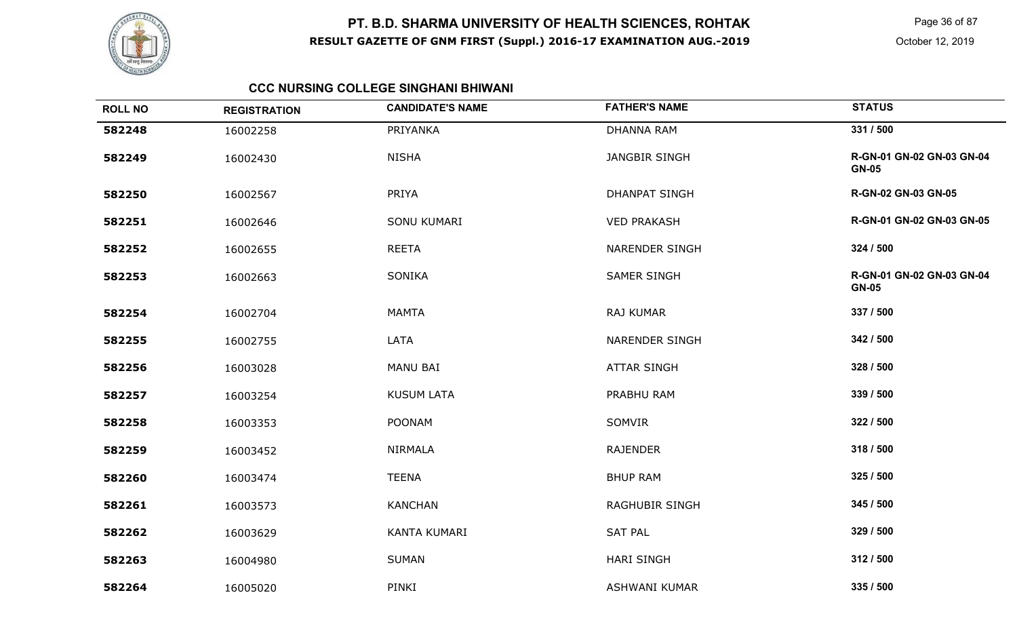

 Page 36 of 87 October 12, 2019

### **CCC NURSING COLLEGE SINGHANI BHIWANI**

| <b>ROLL NO</b> | <b>REGISTRATION</b> | <b>CANDIDATE'S NAME</b> | <b>FATHER'S NAME</b>  | <b>STATUS</b>                             |
|----------------|---------------------|-------------------------|-----------------------|-------------------------------------------|
| 582248         | 16002258            | PRIYANKA                | <b>DHANNA RAM</b>     | 331 / 500                                 |
| 582249         | 16002430            | <b>NISHA</b>            | <b>JANGBIR SINGH</b>  | R-GN-01 GN-02 GN-03 GN-04<br><b>GN-05</b> |
| 582250         | 16002567            | PRIYA                   | <b>DHANPAT SINGH</b>  | R-GN-02 GN-03 GN-05                       |
| 582251         | 16002646            | SONU KUMARI             | <b>VED PRAKASH</b>    | R-GN-01 GN-02 GN-03 GN-05                 |
| 582252         | 16002655            | <b>REETA</b>            | <b>NARENDER SINGH</b> | 324 / 500                                 |
| 582253         | 16002663            | SONIKA                  | <b>SAMER SINGH</b>    | R-GN-01 GN-02 GN-03 GN-04<br><b>GN-05</b> |
| 582254         | 16002704            | <b>MAMTA</b>            | <b>RAJ KUMAR</b>      | 337 / 500                                 |
| 582255         | 16002755            | LATA                    | <b>NARENDER SINGH</b> | 342 / 500                                 |
| 582256         | 16003028            | <b>MANU BAI</b>         | <b>ATTAR SINGH</b>    | 328 / 500                                 |
| 582257         | 16003254            | <b>KUSUM LATA</b>       | PRABHU RAM            | 339 / 500                                 |
| 582258         | 16003353            | <b>POONAM</b>           | SOMVIR                | 322 / 500                                 |
| 582259         | 16003452            | <b>NIRMALA</b>          | <b>RAJENDER</b>       | 318 / 500                                 |
| 582260         | 16003474            | <b>TEENA</b>            | <b>BHUP RAM</b>       | 325 / 500                                 |
| 582261         | 16003573            | <b>KANCHAN</b>          | <b>RAGHUBIR SINGH</b> | 345 / 500                                 |
| 582262         | 16003629            | KANTA KUMARI            | <b>SAT PAL</b>        | 329 / 500                                 |
| 582263         | 16004980            | <b>SUMAN</b>            | <b>HARI SINGH</b>     | 312 / 500                                 |
| 582264         | 16005020            | PINKI                   | <b>ASHWANI KUMAR</b>  | 335 / 500                                 |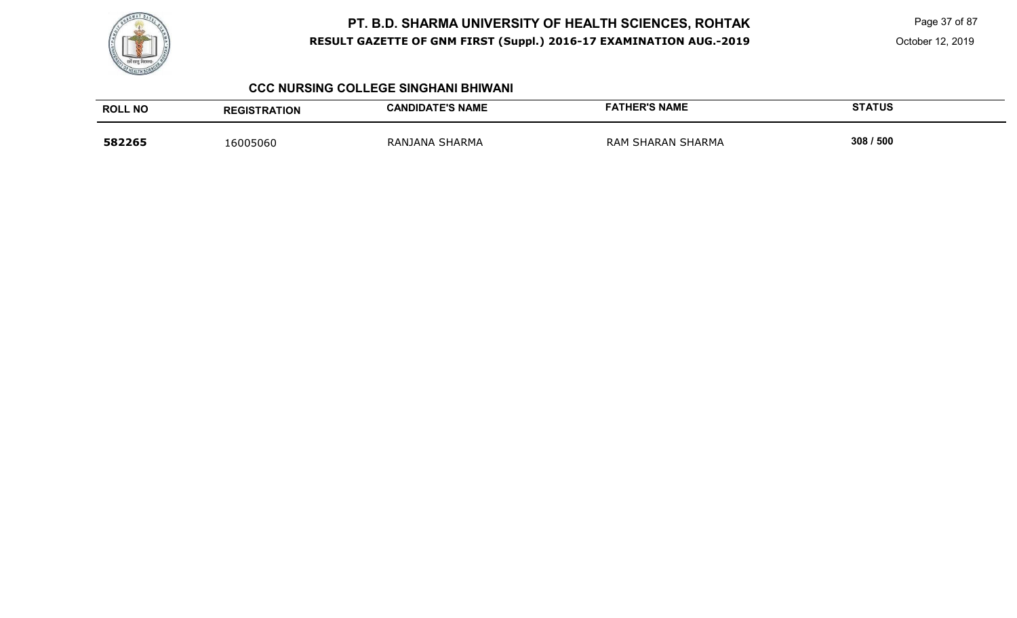

Page 37 of 87

October 12, 2019

#### **CCC NURSING COLLEGE SINGHANI BHIWANI**

| <b>ROLL NO</b> | <b>REGISTRATION</b> | <b>CANDIDATE'S NAME</b> | <b>FATHER'S NAME</b> | <b>STATUS</b> |
|----------------|---------------------|-------------------------|----------------------|---------------|
| 582265         | .6005060            | RANJANA SHARMA          | RAM SHARAN SHARMA    | 308 / 500     |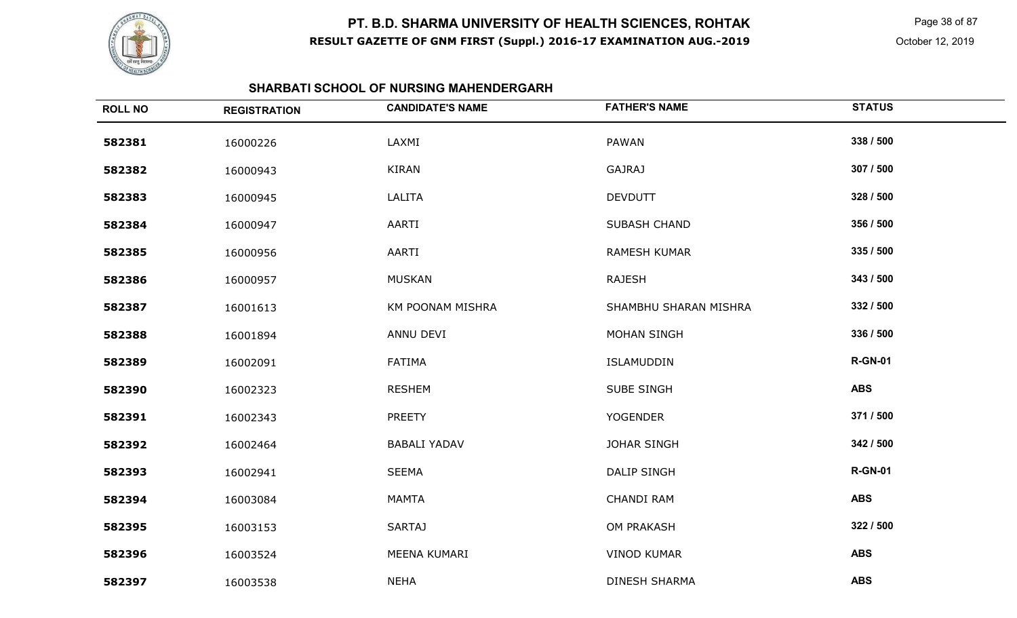

 Page 38 of 87 October 12, 2019

#### **SHARBATI SCHOOL OF NURSING MAHENDERGARH**

| <b>ROLL NO</b> | <b>REGISTRATION</b> | <b>CANDIDATE'S NAME</b> | <b>FATHER'S NAME</b>  | <b>STATUS</b>  |
|----------------|---------------------|-------------------------|-----------------------|----------------|
| 582381         | 16000226            | LAXMI                   | PAWAN                 | 338 / 500      |
| 582382         | 16000943            | <b>KIRAN</b>            | <b>GAJRAJ</b>         | 307 / 500      |
| 582383         | 16000945            | LALITA                  | <b>DEVDUTT</b>        | 328 / 500      |
| 582384         | 16000947            | AARTI                   | SUBASH CHAND          | 356 / 500      |
| 582385         | 16000956            | AARTI                   | <b>RAMESH KUMAR</b>   | 335 / 500      |
| 582386         | 16000957            | <b>MUSKAN</b>           | <b>RAJESH</b>         | 343 / 500      |
| 582387         | 16001613            | KM POONAM MISHRA        | SHAMBHU SHARAN MISHRA | 332 / 500      |
| 582388         | 16001894            | ANNU DEVI               | <b>MOHAN SINGH</b>    | 336 / 500      |
| 582389         | 16002091            | <b>FATIMA</b>           | ISLAMUDDIN            | <b>R-GN-01</b> |
| 582390         | 16002323            | <b>RESHEM</b>           | SUBE SINGH            | <b>ABS</b>     |
| 582391         | 16002343            | <b>PREETY</b>           | <b>YOGENDER</b>       | 371 / 500      |
| 582392         | 16002464            | <b>BABALI YADAV</b>     | <b>JOHAR SINGH</b>    | 342 / 500      |
| 582393         | 16002941            | <b>SEEMA</b>            | <b>DALIP SINGH</b>    | <b>R-GN-01</b> |
| 582394         | 16003084            | <b>MAMTA</b>            | CHANDI RAM            | <b>ABS</b>     |
| 582395         | 16003153            | <b>SARTAJ</b>           | OM PRAKASH            | 322 / 500      |
| 582396         | 16003524            | MEENA KUMARI            | <b>VINOD KUMAR</b>    | <b>ABS</b>     |
| 582397         | 16003538            | <b>NEHA</b>             | <b>DINESH SHARMA</b>  | <b>ABS</b>     |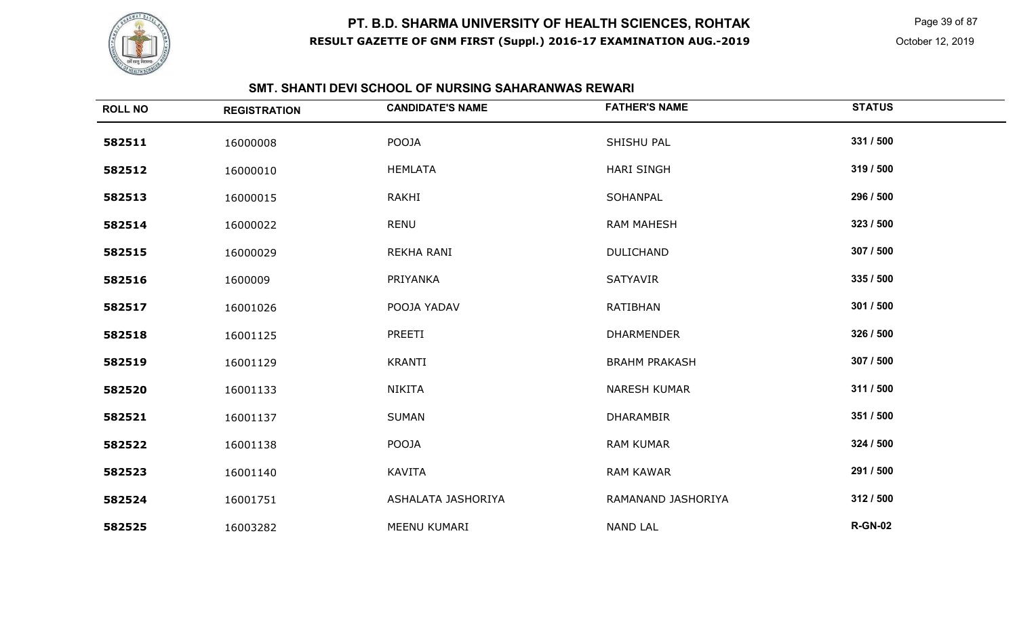

 Page 39 of 87 October 12, 2019

### **SMT. SHANTI DEVI SCHOOL OF NURSING SAHARANWAS REWARI**

| <b>ROLL NO</b> | <b>REGISTRATION</b> | <b>CANDIDATE'S NAME</b> | <b>FATHER'S NAME</b> | <b>STATUS</b>  |
|----------------|---------------------|-------------------------|----------------------|----------------|
| 582511         | 16000008            | POOJA                   | SHISHU PAL           | 331 / 500      |
| 582512         | 16000010            | <b>HEMLATA</b>          | <b>HARI SINGH</b>    | 319 / 500      |
| 582513         | 16000015            | RAKHI                   | SOHANPAL             | 296 / 500      |
| 582514         | 16000022            | <b>RENU</b>             | <b>RAM MAHESH</b>    | 323 / 500      |
| 582515         | 16000029            | REKHA RANI              | <b>DULICHAND</b>     | 307 / 500      |
| 582516         | 1600009             | PRIYANKA                | SATYAVIR             | 335 / 500      |
| 582517         | 16001026            | POOJA YADAV             | <b>RATIBHAN</b>      | 301 / 500      |
| 582518         | 16001125            | PREETI                  | <b>DHARMENDER</b>    | 326 / 500      |
| 582519         | 16001129            | <b>KRANTI</b>           | <b>BRAHM PRAKASH</b> | 307 / 500      |
| 582520         | 16001133            | <b>NIKITA</b>           | <b>NARESH KUMAR</b>  | 311 / 500      |
| 582521         | 16001137            | <b>SUMAN</b>            | <b>DHARAMBIR</b>     | 351 / 500      |
| 582522         | 16001138            | POOJA                   | <b>RAM KUMAR</b>     | 324 / 500      |
| 582523         | 16001140            | KAVITA                  | <b>RAM KAWAR</b>     | 291 / 500      |
| 582524         | 16001751            | ASHALATA JASHORIYA      | RAMANAND JASHORIYA   | 312 / 500      |
| 582525         | 16003282            | MEENU KUMARI            | <b>NAND LAL</b>      | <b>R-GN-02</b> |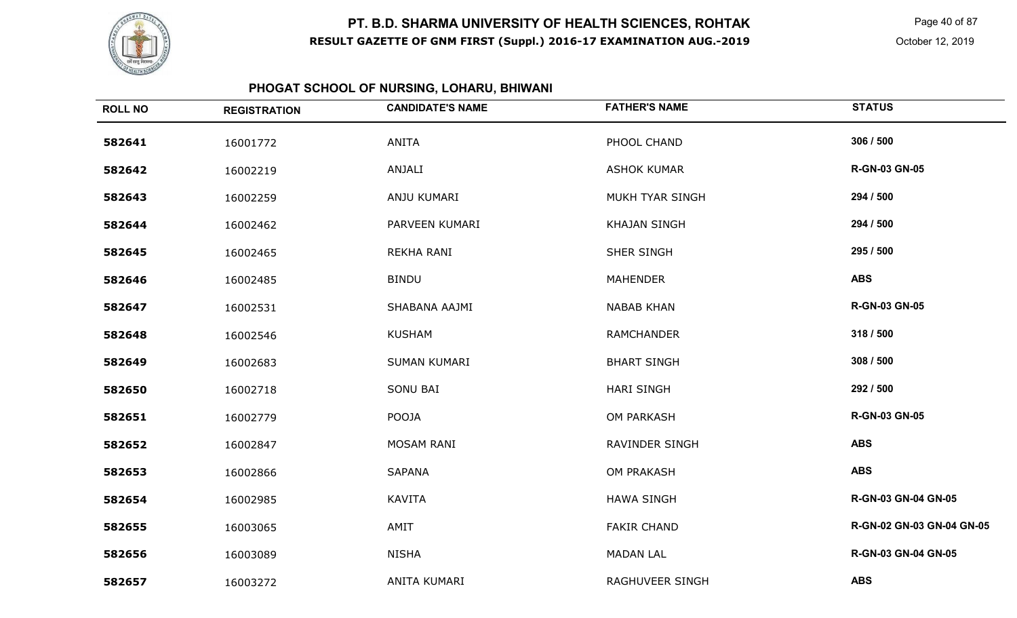

Page 40 of 87

October 12, 2019

#### **PHOGAT SCHOOL OF NURSING, LOHARU, BHIWANI**

| <b>ROLL NO</b> | <b>REGISTRATION</b> | <b>CANDIDATE'S NAME</b> | <b>FATHER'S NAME</b>  | <b>STATUS</b>             |
|----------------|---------------------|-------------------------|-----------------------|---------------------------|
| 582641         | 16001772            | <b>ANITA</b>            | PHOOL CHAND           | 306 / 500                 |
| 582642         | 16002219            | ANJALI                  | <b>ASHOK KUMAR</b>    | <b>R-GN-03 GN-05</b>      |
| 582643         | 16002259            | ANJU KUMARI             | MUKH TYAR SINGH       | 294 / 500                 |
| 582644         | 16002462            | PARVEEN KUMARI          | <b>KHAJAN SINGH</b>   | 294 / 500                 |
| 582645         | 16002465            | REKHA RANI              | SHER SINGH            | 295 / 500                 |
| 582646         | 16002485            | <b>BINDU</b>            | <b>MAHENDER</b>       | <b>ABS</b>                |
| 582647         | 16002531            | SHABANA AAJMI           | <b>NABAB KHAN</b>     | <b>R-GN-03 GN-05</b>      |
| 582648         | 16002546            | <b>KUSHAM</b>           | <b>RAMCHANDER</b>     | 318 / 500                 |
| 582649         | 16002683            | SUMAN KUMARI            | <b>BHART SINGH</b>    | 308 / 500                 |
| 582650         | 16002718            | SONU BAI                | <b>HARI SINGH</b>     | 292 / 500                 |
| 582651         | 16002779            | POOJA                   | OM PARKASH            | <b>R-GN-03 GN-05</b>      |
| 582652         | 16002847            | MOSAM RANI              | <b>RAVINDER SINGH</b> | <b>ABS</b>                |
| 582653         | 16002866            | <b>SAPANA</b>           | <b>OM PRAKASH</b>     | <b>ABS</b>                |
| 582654         | 16002985            | <b>KAVITA</b>           | <b>HAWA SINGH</b>     | R-GN-03 GN-04 GN-05       |
| 582655         | 16003065            | AMIT                    | <b>FAKIR CHAND</b>    | R-GN-02 GN-03 GN-04 GN-05 |
| 582656         | 16003089            | <b>NISHA</b>            | <b>MADAN LAL</b>      | R-GN-03 GN-04 GN-05       |
| 582657         | 16003272            | ANITA KUMARI            | RAGHUVEER SINGH       | <b>ABS</b>                |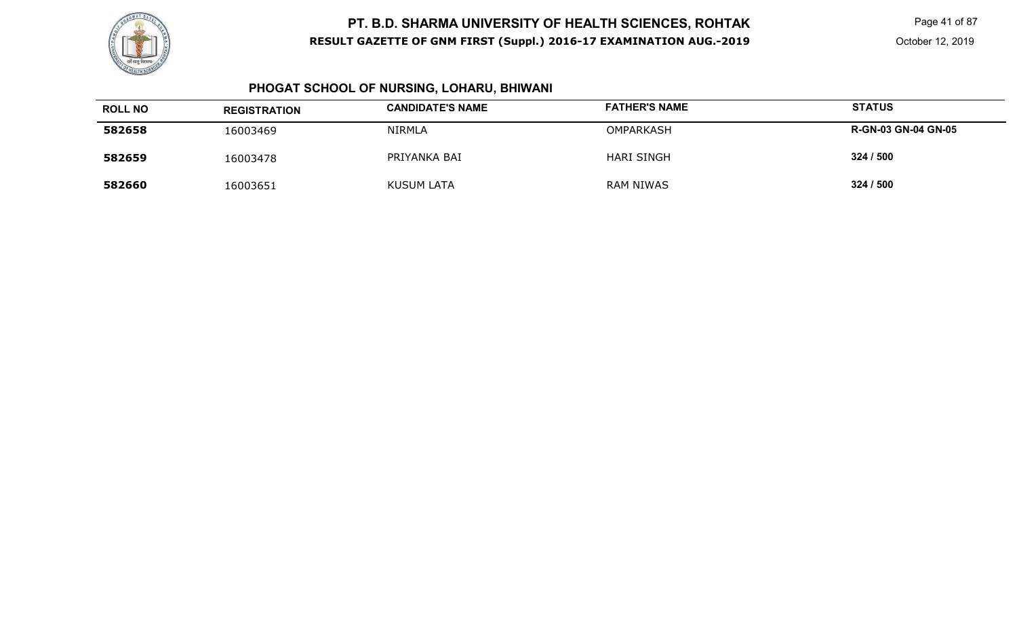

Page 41 of 87

#### **PHOGAT SCHOOL OF NURSING, LOHARU, BHIWANI**

| <b>ROLL NO</b> | <b>REGISTRATION</b> | <b>CANDIDATE'S NAME</b> | <b>FATHER'S NAME</b> | <b>STATUS</b>              |
|----------------|---------------------|-------------------------|----------------------|----------------------------|
| 582658         | 16003469            | <b>NIRMLA</b>           | <b>OMPARKASH</b>     | <b>R-GN-03 GN-04 GN-05</b> |
| 582659         | 16003478            | PRIYANKA BAI            | <b>HARI SINGH</b>    | 324 / 500                  |
| 582660         | 16003651            | <b>KUSUM LATA</b>       | RAM NIWAS            | 324 / 500                  |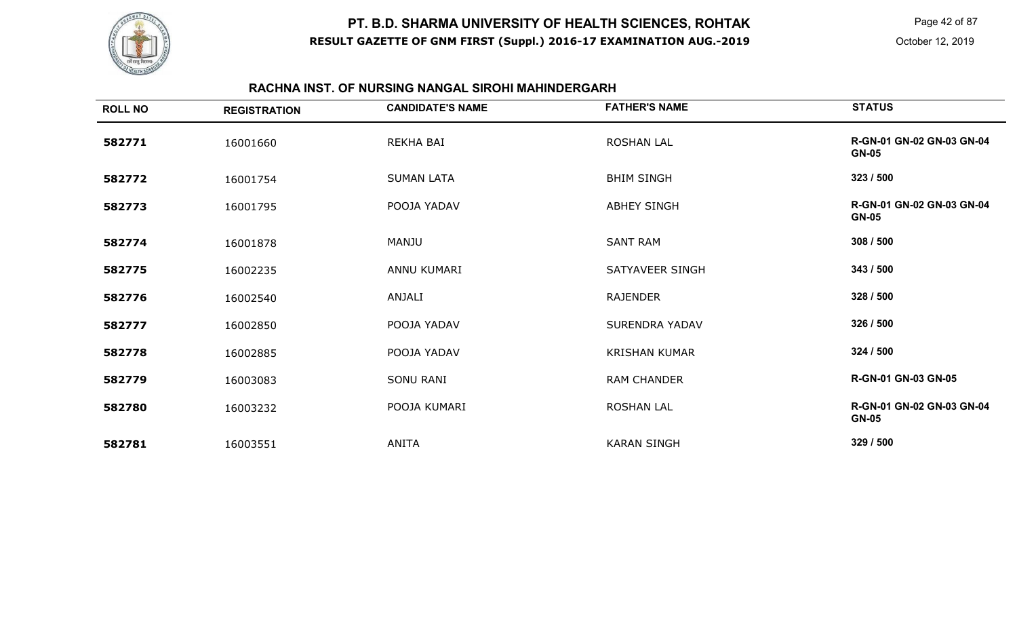

Page 42 of 87

### **RACHNA INST. OF NURSING NANGAL SIROHI MAHINDERGARH**

| <b>ROLL NO</b> | <b>REGISTRATION</b> | <b>CANDIDATE'S NAME</b> | <b>FATHER'S NAME</b>  | <b>STATUS</b>                                    |
|----------------|---------------------|-------------------------|-----------------------|--------------------------------------------------|
| 582771         | 16001660            | REKHA BAI               | <b>ROSHAN LAL</b>     | R-GN-01 GN-02 GN-03 GN-04<br><b>GN-05</b>        |
| 582772         | 16001754            | <b>SUMAN LATA</b>       | <b>BHIM SINGH</b>     | 323 / 500                                        |
| 582773         | 16001795            | POOJA YADAV             | <b>ABHEY SINGH</b>    | <b>R-GN-01 GN-02 GN-03 GN-04</b><br><b>GN-05</b> |
| 582774         | 16001878            | MANJU                   | <b>SANT RAM</b>       | 308 / 500                                        |
| 582775         | 16002235            | ANNU KUMARI             | SATYAVEER SINGH       | 343 / 500                                        |
| 582776         | 16002540            | ANJALI                  | <b>RAJENDER</b>       | 328 / 500                                        |
| 582777         | 16002850            | POOJA YADAV             | <b>SURENDRA YADAV</b> | 326 / 500                                        |
| 582778         | 16002885            | POOJA YADAV             | <b>KRISHAN KUMAR</b>  | 324 / 500                                        |
| 582779         | 16003083            | SONU RANI               | <b>RAM CHANDER</b>    | R-GN-01 GN-03 GN-05                              |
| 582780         | 16003232            | POOJA KUMARI            | <b>ROSHAN LAL</b>     | R-GN-01 GN-02 GN-03 GN-04<br><b>GN-05</b>        |
| 582781         | 16003551            | ANITA                   | <b>KARAN SINGH</b>    | 329 / 500                                        |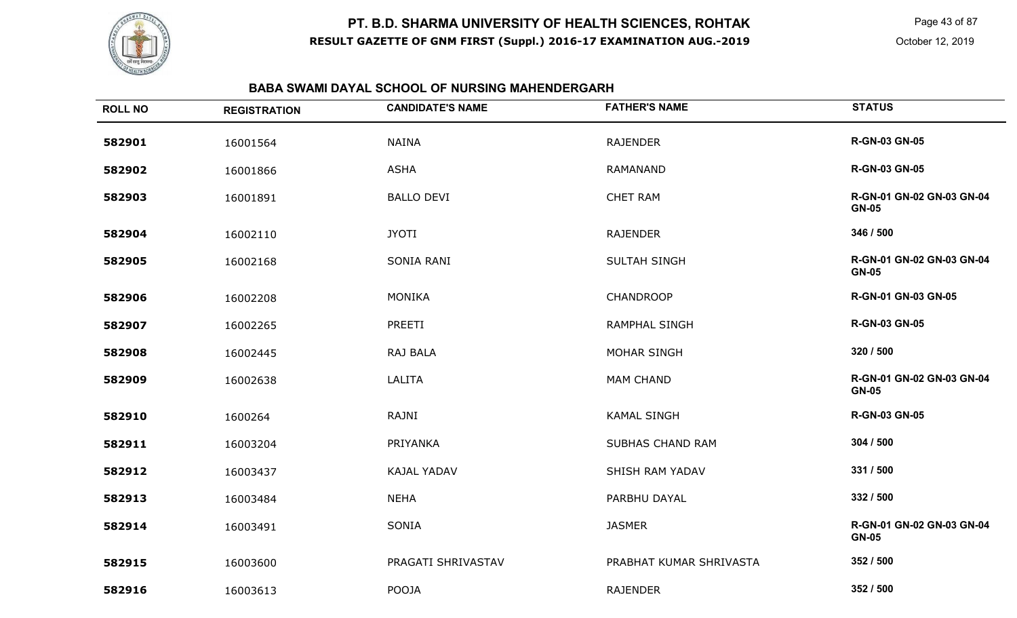

Page 43 of 87

### **BABA SWAMI DAYAL SCHOOL OF NURSING MAHENDERGARH**

| <b>ROLL NO</b> | <b>REGISTRATION</b> | <b>CANDIDATE'S NAME</b> | <b>FATHER'S NAME</b>    | <b>STATUS</b>                             |
|----------------|---------------------|-------------------------|-------------------------|-------------------------------------------|
| 582901         | 16001564            | <b>NAINA</b>            | <b>RAJENDER</b>         | <b>R-GN-03 GN-05</b>                      |
| 582902         | 16001866            | <b>ASHA</b>             | RAMANAND                | <b>R-GN-03 GN-05</b>                      |
| 582903         | 16001891            | <b>BALLO DEVI</b>       | <b>CHET RAM</b>         | R-GN-01 GN-02 GN-03 GN-04<br><b>GN-05</b> |
| 582904         | 16002110            | <b>JYOTI</b>            | <b>RAJENDER</b>         | 346 / 500                                 |
| 582905         | 16002168            | SONIA RANI              | SULTAH SINGH            | R-GN-01 GN-02 GN-03 GN-04<br><b>GN-05</b> |
| 582906         | 16002208            | <b>MONIKA</b>           | <b>CHANDROOP</b>        | R-GN-01 GN-03 GN-05                       |
| 582907         | 16002265            | PREETI                  | <b>RAMPHAL SINGH</b>    | <b>R-GN-03 GN-05</b>                      |
| 582908         | 16002445            | RAJ BALA                | <b>MOHAR SINGH</b>      | 320 / 500                                 |
| 582909         | 16002638            | LALITA                  | <b>MAM CHAND</b>        | R-GN-01 GN-02 GN-03 GN-04<br><b>GN-05</b> |
| 582910         | 1600264             | RAJNI                   | <b>KAMAL SINGH</b>      | <b>R-GN-03 GN-05</b>                      |
| 582911         | 16003204            | PRIYANKA                | SUBHAS CHAND RAM        | 304 / 500                                 |
| 582912         | 16003437            | <b>KAJAL YADAV</b>      | SHISH RAM YADAV         | 331 / 500                                 |
| 582913         | 16003484            | <b>NEHA</b>             | PARBHU DAYAL            | 332 / 500                                 |
| 582914         | 16003491            | SONIA                   | <b>JASMER</b>           | R-GN-01 GN-02 GN-03 GN-04<br><b>GN-05</b> |
| 582915         | 16003600            | PRAGATI SHRIVASTAV      | PRABHAT KUMAR SHRIVASTA | 352 / 500                                 |
| 582916         | 16003613            | POOJA                   | <b>RAJENDER</b>         | 352 / 500                                 |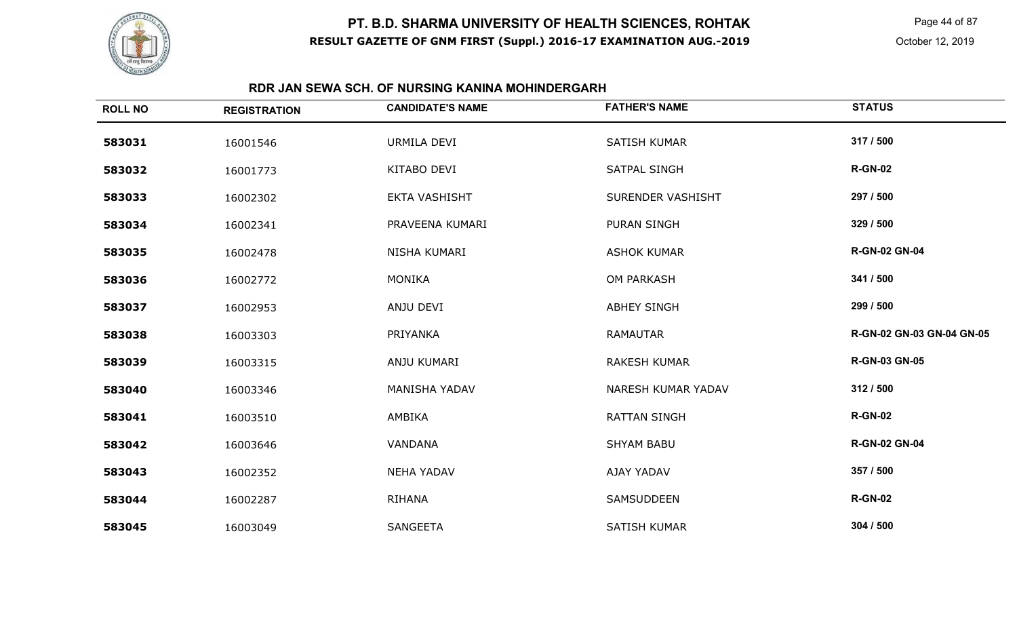

Page 44 of 87

### **RDR JAN SEWA SCH. OF NURSING KANINA MOHINDERGARH**

| <b>ROLL NO</b> | <b>REGISTRATION</b> | <b>CANDIDATE'S NAME</b> | <b>FATHER'S NAME</b> | <b>STATUS</b>             |
|----------------|---------------------|-------------------------|----------------------|---------------------------|
| 583031         | 16001546            | URMILA DEVI             | <b>SATISH KUMAR</b>  | 317 / 500                 |
| 583032         | 16001773            | KITABO DEVI             | <b>SATPAL SINGH</b>  | <b>R-GN-02</b>            |
| 583033         | 16002302            | EKTA VASHISHT           | SURENDER VASHISHT    | 297 / 500                 |
| 583034         | 16002341            | PRAVEENA KUMARI         | PURAN SINGH          | 329 / 500                 |
| 583035         | 16002478            | NISHA KUMARI            | <b>ASHOK KUMAR</b>   | <b>R-GN-02 GN-04</b>      |
| 583036         | 16002772            | <b>MONIKA</b>           | <b>OM PARKASH</b>    | 341 / 500                 |
| 583037         | 16002953            | ANJU DEVI               | <b>ABHEY SINGH</b>   | 299 / 500                 |
| 583038         | 16003303            | PRIYANKA                | RAMAUTAR             | R-GN-02 GN-03 GN-04 GN-05 |
| 583039         | 16003315            | ANJU KUMARI             | <b>RAKESH KUMAR</b>  | <b>R-GN-03 GN-05</b>      |
| 583040         | 16003346            | MANISHA YADAV           | NARESH KUMAR YADAV   | 312 / 500                 |
| 583041         | 16003510            | AMBIKA                  | <b>RATTAN SINGH</b>  | <b>R-GN-02</b>            |
| 583042         | 16003646            | VANDANA                 | <b>SHYAM BABU</b>    | <b>R-GN-02 GN-04</b>      |
| 583043         | 16002352            | <b>NEHA YADAV</b>       | AJAY YADAV           | 357 / 500                 |
| 583044         | 16002287            | <b>RIHANA</b>           | <b>SAMSUDDEEN</b>    | <b>R-GN-02</b>            |
| 583045         | 16003049            | <b>SANGEETA</b>         | <b>SATISH KUMAR</b>  | 304 / 500                 |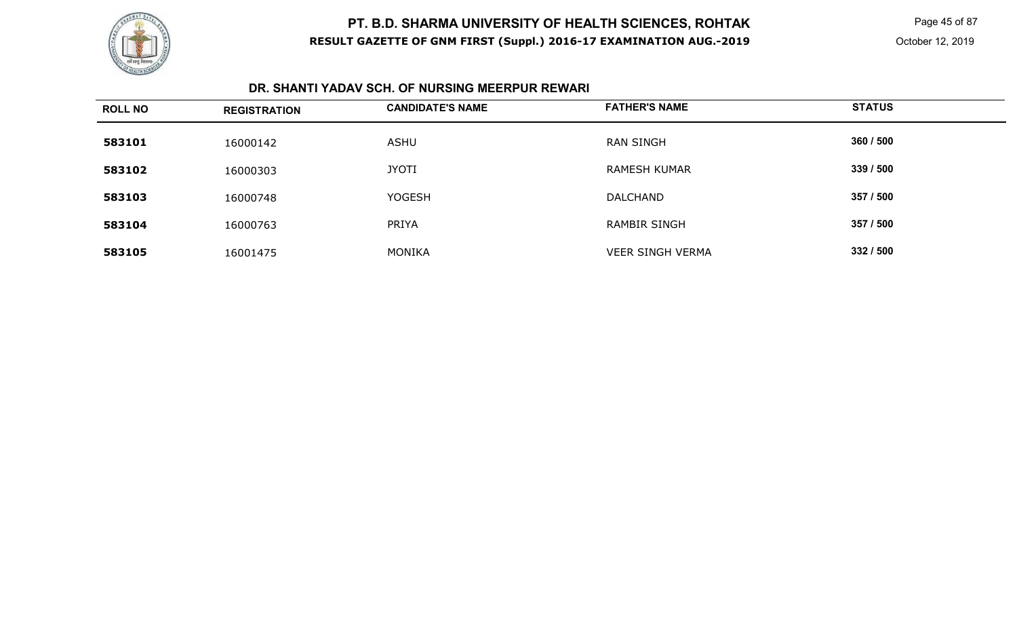

 Page 45 of 87 October 12, 2019

### **DR. SHANTI YADAV SCH. OF NURSING MEERPUR REWARI**

| <b>ROLL NO</b> | <b>REGISTRATION</b> | <b>CANDIDATE'S NAME</b> | <b>FATHER'S NAME</b>    | <b>STATUS</b> |
|----------------|---------------------|-------------------------|-------------------------|---------------|
| 583101         | 16000142            | <b>ASHU</b>             | <b>RAN SINGH</b>        | 360 / 500     |
| 583102         | 16000303            | <b>JYOTI</b>            | <b>RAMESH KUMAR</b>     | 339 / 500     |
| 583103         | 16000748            | <b>YOGESH</b>           | <b>DALCHAND</b>         | 357 / 500     |
| 583104         | 16000763            | <b>PRIYA</b>            | <b>RAMBIR SINGH</b>     | 357 / 500     |
| 583105         | 16001475            | MONIKA                  | <b>VEER SINGH VERMA</b> | 332 / 500     |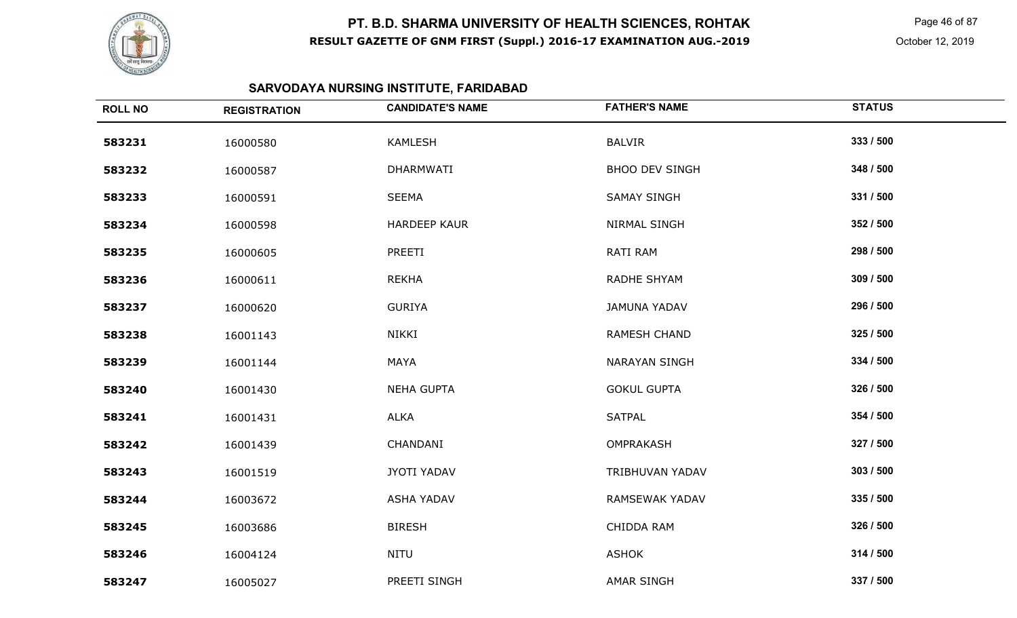

 Page 46 of 87 October 12, 2019

# **SARVODAYA NURSING INSTITUTE, FARIDABAD**

| <b>ROLL NO</b> | <b>REGISTRATION</b> | <b>CANDIDATE'S NAME</b> | <b>FATHER'S NAME</b>  | <b>STATUS</b> |
|----------------|---------------------|-------------------------|-----------------------|---------------|
| 583231         | 16000580            | <b>KAMLESH</b>          | <b>BALVIR</b>         | 333 / 500     |
| 583232         | 16000587            | DHARMWATI               | <b>BHOO DEV SINGH</b> | 348 / 500     |
| 583233         | 16000591            | <b>SEEMA</b>            | <b>SAMAY SINGH</b>    | 331 / 500     |
| 583234         | 16000598            | <b>HARDEEP KAUR</b>     | NIRMAL SINGH          | 352 / 500     |
| 583235         | 16000605            | PREETI                  | RATI RAM              | 298 / 500     |
| 583236         | 16000611            | <b>REKHA</b>            | RADHE SHYAM           | 309 / 500     |
| 583237         | 16000620            | <b>GURIYA</b>           | <b>JAMUNA YADAV</b>   | 296 / 500     |
| 583238         | 16001143            | NIKKI                   | RAMESH CHAND          | 325 / 500     |
| 583239         | 16001144            | <b>MAYA</b>             | <b>NARAYAN SINGH</b>  | 334 / 500     |
| 583240         | 16001430            | <b>NEHA GUPTA</b>       | <b>GOKUL GUPTA</b>    | 326 / 500     |
| 583241         | 16001431            | <b>ALKA</b>             | <b>SATPAL</b>         | 354 / 500     |
| 583242         | 16001439            | CHANDANI                | <b>OMPRAKASH</b>      | 327 / 500     |
| 583243         | 16001519            | JYOTI YADAV             | TRIBHUVAN YADAV       | 303 / 500     |
| 583244         | 16003672            | <b>ASHA YADAV</b>       | RAMSEWAK YADAV        | 335 / 500     |
| 583245         | 16003686            | <b>BIRESH</b>           | CHIDDA RAM            | 326 / 500     |
| 583246         | 16004124            | <b>NITU</b>             | <b>ASHOK</b>          | 314 / 500     |
| 583247         | 16005027            | PREETI SINGH            | <b>AMAR SINGH</b>     | 337 / 500     |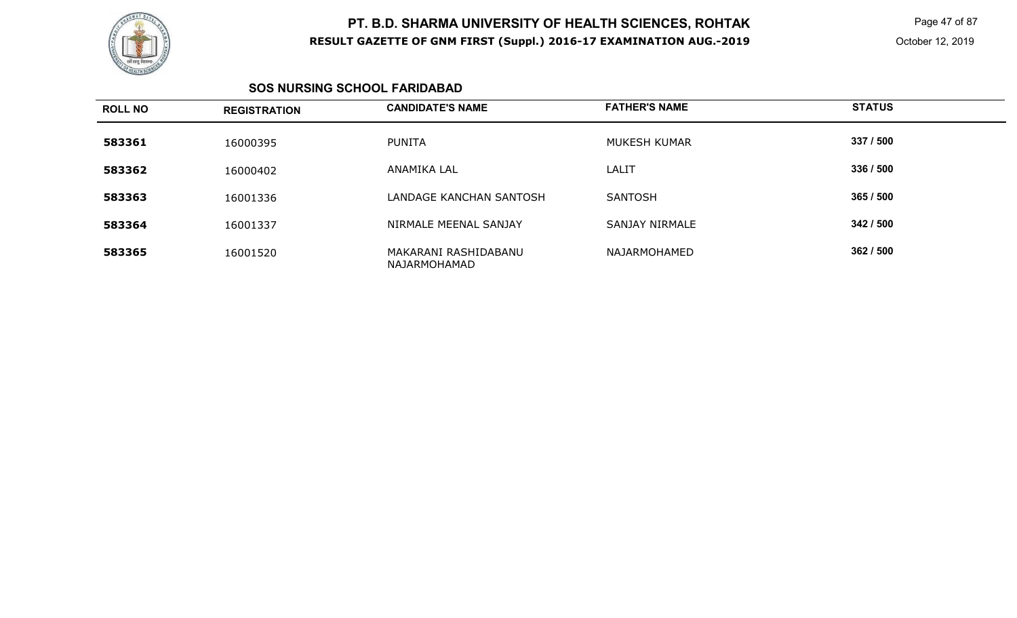

 Page 47 of 87 October 12, 2019

#### **SOS NURSING SCHOOL FARIDABAD**

| <b>ROLL NO</b> | <b>REGISTRATION</b> | <b>CANDIDATE'S NAME</b>              | <b>FATHER'S NAME</b> | <b>STATUS</b> |
|----------------|---------------------|--------------------------------------|----------------------|---------------|
| 583361         | 16000395            | <b>PUNITA</b>                        | MUKESH KUMAR         | 337 / 500     |
| 583362         | 16000402            | ANAMIKA LAL                          | LALIT                | 336 / 500     |
| 583363         | 16001336            | LANDAGE KANCHAN SANTOSH              | <b>SANTOSH</b>       | 365/500       |
| 583364         | 16001337            | NIRMALE MEENAL SANJAY                | SANJAY NIRMALE       | 342/500       |
| 583365         | 16001520            | MAKARANI RASHIDABANU<br>NAJARMOHAMAD | NAJARMOHAMED         | 362/500       |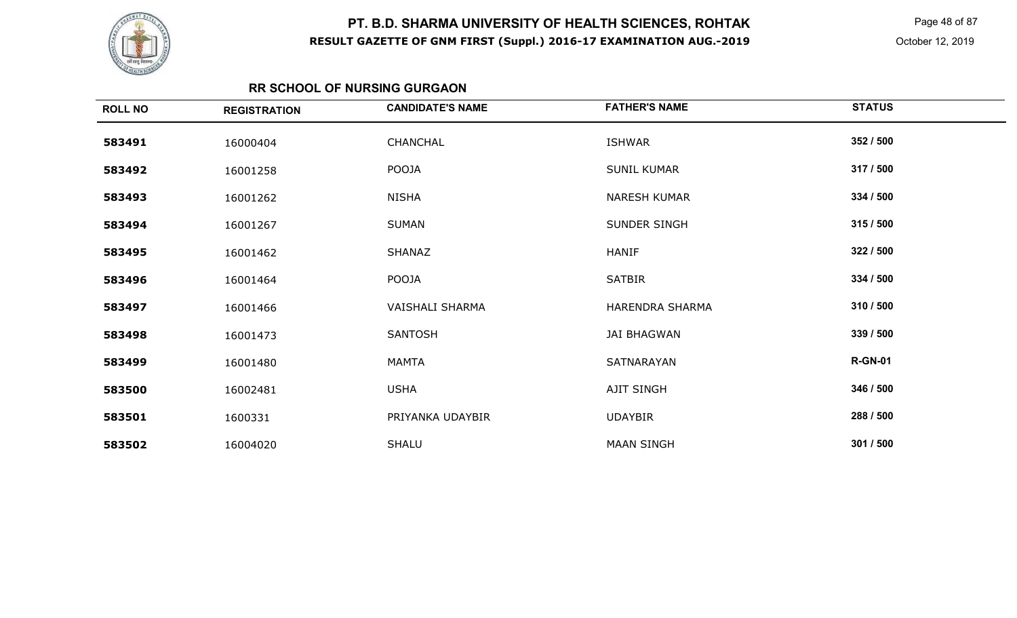

 Page 48 of 87 October 12, 2019

### **RR SCHOOL OF NURSING GURGAON**

| <b>ROLL NO</b> | <b>REGISTRATION</b> | <b>CANDIDATE'S NAME</b> | <b>FATHER'S NAME</b> | <b>STATUS</b>  |
|----------------|---------------------|-------------------------|----------------------|----------------|
| 583491         | 16000404            | CHANCHAL                | ISHWAR               | 352 / 500      |
| 583492         | 16001258            | POOJA                   | <b>SUNIL KUMAR</b>   | 317 / 500      |
| 583493         | 16001262            | <b>NISHA</b>            | <b>NARESH KUMAR</b>  | 334 / 500      |
| 583494         | 16001267            | <b>SUMAN</b>            | SUNDER SINGH         | 315 / 500      |
| 583495         | 16001462            | SHANAZ                  | <b>HANIF</b>         | 322 / 500      |
| 583496         | 16001464            | POOJA                   | <b>SATBIR</b>        | 334 / 500      |
| 583497         | 16001466            | VAISHALI SHARMA         | HARENDRA SHARMA      | 310 / 500      |
| 583498         | 16001473            | <b>SANTOSH</b>          | <b>JAI BHAGWAN</b>   | 339 / 500      |
| 583499         | 16001480            | <b>MAMTA</b>            | SATNARAYAN           | <b>R-GN-01</b> |
| 583500         | 16002481            | <b>USHA</b>             | AJIT SINGH           | 346 / 500      |
| 583501         | 1600331             | PRIYANKA UDAYBIR        | <b>UDAYBIR</b>       | 288 / 500      |
| 583502         | 16004020            | <b>SHALU</b>            | <b>MAAN SINGH</b>    | 301 / 500      |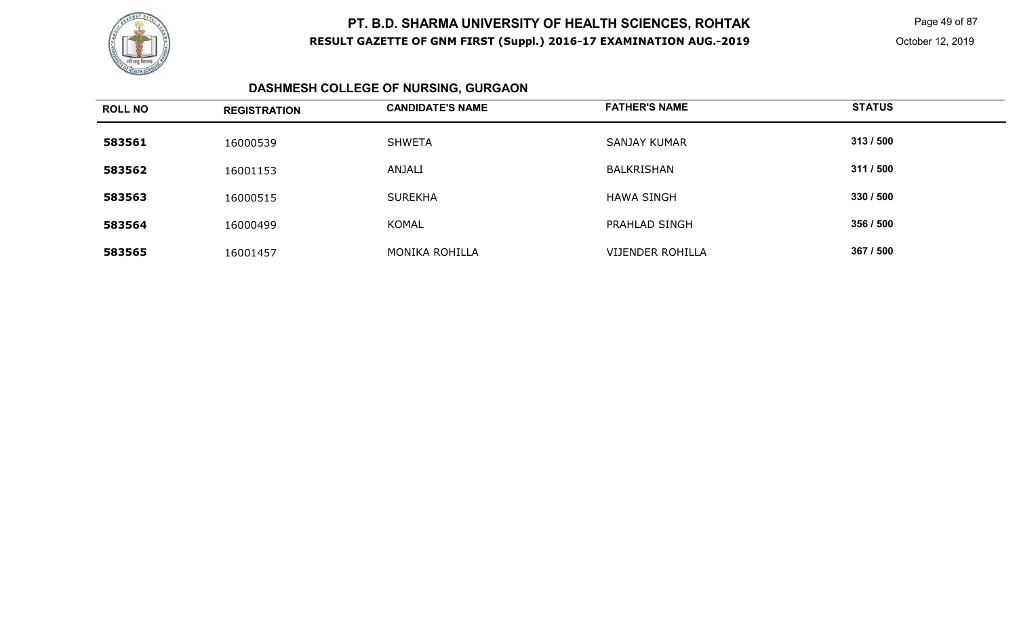

 Page 49 of 87 October 12, 2019

# **DASHMESH COLLEGE OF NURSING, GURGAON**

| <b>ROLL NO</b> | <b>REGISTRATION</b> | <b>CANDIDATE'S NAME</b> | <b>FATHER'S NAME</b> | <b>STATUS</b> |
|----------------|---------------------|-------------------------|----------------------|---------------|
| 583561         | 16000539            | SHWETA                  | SANJAY KUMAR         | 313/500       |
| 583562         | 16001153            | ANJALI                  | BALKRISHAN           | 311 / 500     |
| 583563         | 16000515            | <b>SUREKHA</b>          | <b>HAWA SINGH</b>    | 330 / 500     |
| 583564         | 16000499            | <b>KOMAL</b>            | PRAHLAD SINGH        | 356 / 500     |
| 583565         | 16001457            | MONIKA ROHILLA          | VIJENDER ROHILLA     | 367 / 500     |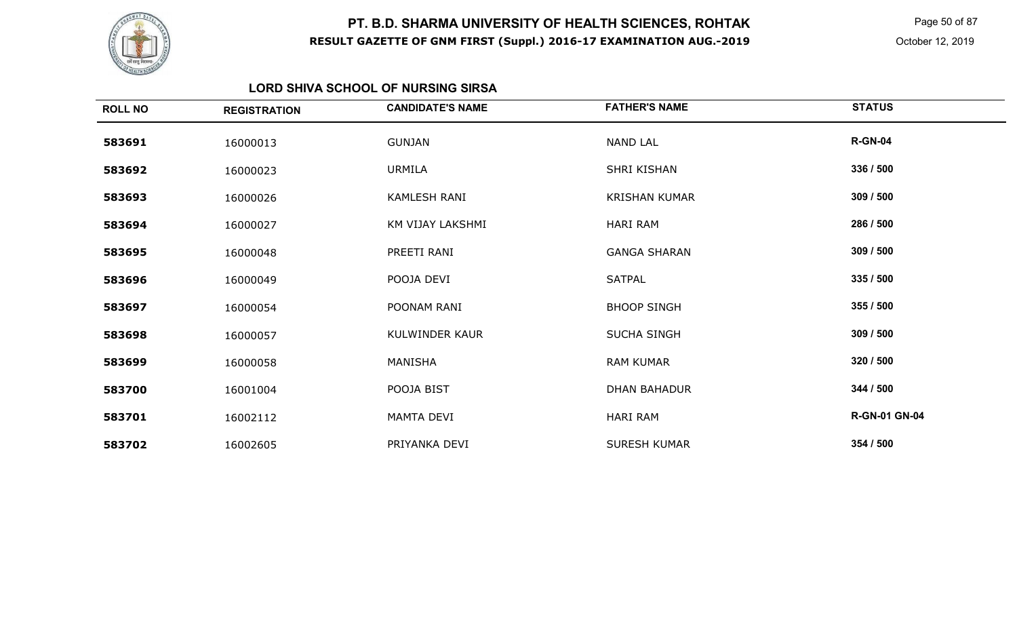

 Page 50 of 87 October 12, 2019

#### **LORD SHIVA SCHOOL OF NURSING SIRSA**

| <b>ROLL NO</b> | <b>REGISTRATION</b> | <b>CANDIDATE'S NAME</b> | <b>FATHER'S NAME</b> | <b>STATUS</b>        |
|----------------|---------------------|-------------------------|----------------------|----------------------|
| 583691         | 16000013            | <b>GUNJAN</b>           | <b>NAND LAL</b>      | <b>R-GN-04</b>       |
| 583692         | 16000023            | <b>URMILA</b>           | SHRI KISHAN          | 336 / 500            |
| 583693         | 16000026            | KAMLESH RANI            | <b>KRISHAN KUMAR</b> | 309 / 500            |
| 583694         | 16000027            | KM VIJAY LAKSHMI        | <b>HARI RAM</b>      | 286 / 500            |
| 583695         | 16000048            | PREETI RANI             | <b>GANGA SHARAN</b>  | 309 / 500            |
| 583696         | 16000049            | POOJA DEVI              | <b>SATPAL</b>        | 335 / 500            |
| 583697         | 16000054            | POONAM RANI             | <b>BHOOP SINGH</b>   | 355 / 500            |
| 583698         | 16000057            | KULWINDER KAUR          | <b>SUCHA SINGH</b>   | 309 / 500            |
| 583699         | 16000058            | MANISHA                 | <b>RAM KUMAR</b>     | 320 / 500            |
| 583700         | 16001004            | POOJA BIST              | <b>DHAN BAHADUR</b>  | 344 / 500            |
| 583701         | 16002112            | MAMTA DEVI              | HARI RAM             | <b>R-GN-01 GN-04</b> |
| 583702         | 16002605            | PRIYANKA DEVI           | <b>SURESH KUMAR</b>  | 354 / 500            |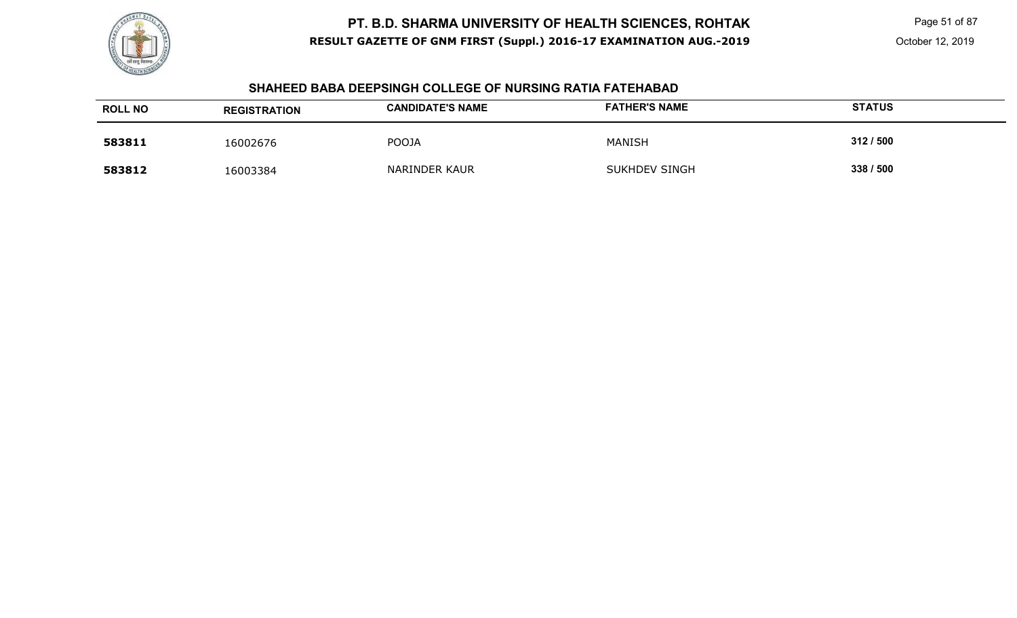

Page 51 of 87

#### **SHAHEED BABA DEEPSINGH COLLEGE OF NURSING RATIA FATEHABAD**

| <b>ROLL NO</b> | <b>REGISTRATION</b> | <b>CANDIDATE'S NAME</b> | <b>FATHER'S NAME</b> | <b>STATUS</b> |
|----------------|---------------------|-------------------------|----------------------|---------------|
| 583811         | 16002676            | <b>POOJA</b>            | MANISH               | 312/500       |
| 583812         | 16003384            | <b>NARINDER KAUR</b>    | <b>SUKHDEV SINGH</b> | 338 / 500     |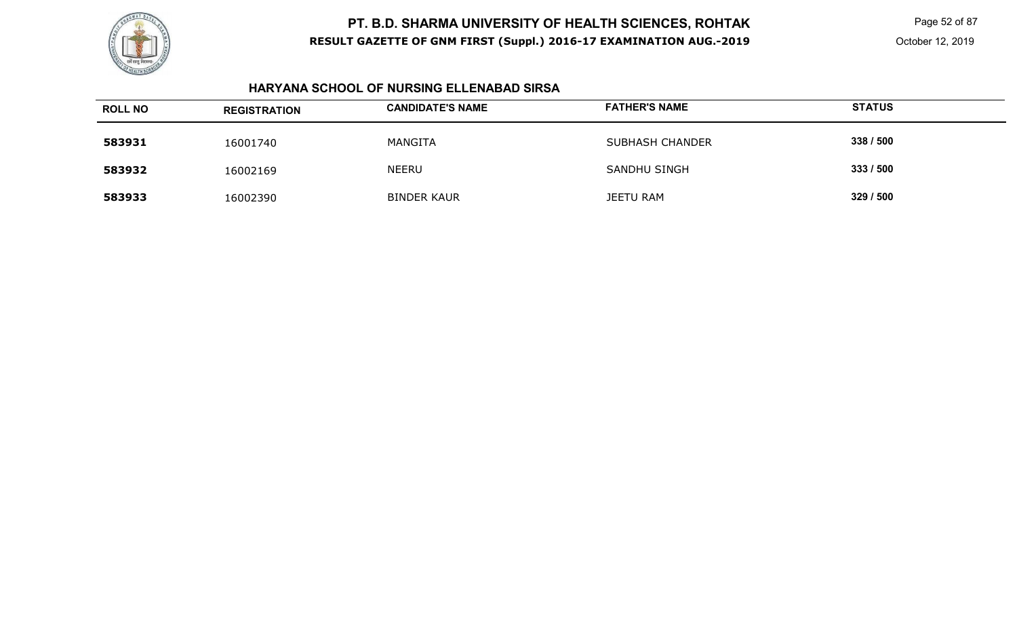

Page 52 of 87

#### **HARYANA SCHOOL OF NURSING ELLENABAD SIRSA**

| <b>ROLL NO</b> | <b>REGISTRATION</b> | <b>CANDIDATE'S NAME</b> | <b>FATHER'S NAME</b>   | <b>STATUS</b> |
|----------------|---------------------|-------------------------|------------------------|---------------|
| 583931         | 16001740            | MANGITA                 | <b>SUBHASH CHANDER</b> | 338 / 500     |
| 583932         | 16002169            | <b>NEERU</b>            | SANDHU SINGH           | 333/500       |
| 583933         | 16002390            | <b>BINDER KAUR</b>      | <b>JEETU RAM</b>       | 329 / 500     |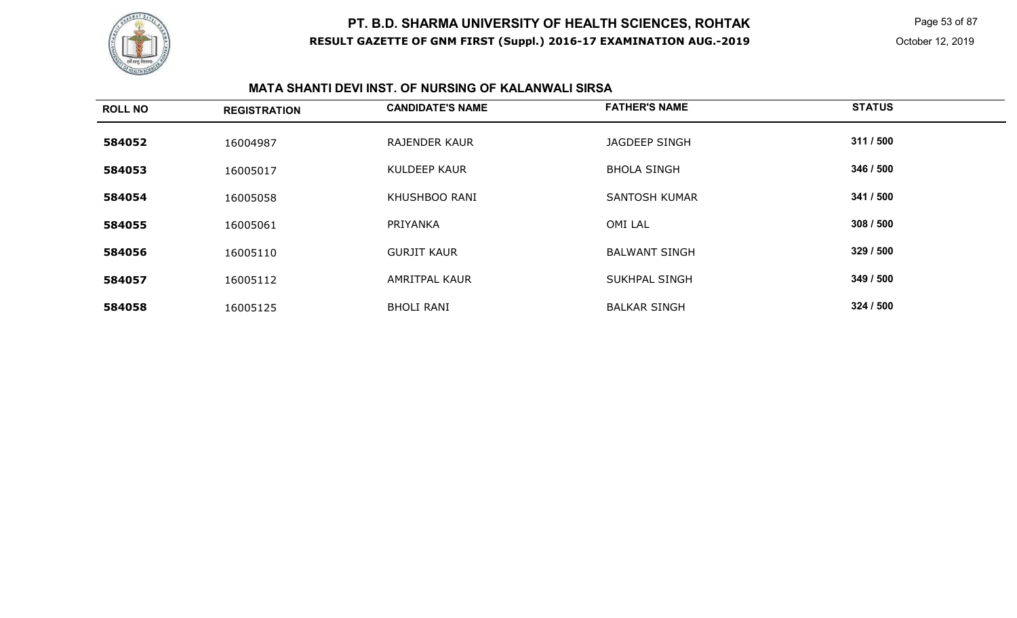

Page 53 of 87

#### **MATA SHANTI DEVI INST. OF NURSING OF KALANWALI SIRSA**

| <b>ROLL NO</b> | <b>REGISTRATION</b> | <b>CANDIDATE'S NAME</b> | <b>FATHER'S NAME</b> | <b>STATUS</b> |
|----------------|---------------------|-------------------------|----------------------|---------------|
| 584052         | 16004987            | <b>RAJENDER KAUR</b>    | <b>JAGDEEP SINGH</b> | 311 / 500     |
| 584053         | 16005017            | <b>KULDEEP KAUR</b>     | <b>BHOLA SINGH</b>   | 346 / 500     |
| 584054         | 16005058            | <b>KHUSHBOO RANI</b>    | <b>SANTOSH KUMAR</b> | 341 / 500     |
| 584055         | 16005061            | PRIYANKA                | <b>OMI LAL</b>       | 308/500       |
| 584056         | 16005110            | <b>GURJIT KAUR</b>      | <b>BALWANT SINGH</b> | 329 / 500     |
| 584057         | 16005112            | <b>AMRITPAL KAUR</b>    | <b>SUKHPAL SINGH</b> | 349 / 500     |
| 584058         | 16005125            | <b>BHOLI RANI</b>       | <b>BALKAR SINGH</b>  | 324 / 500     |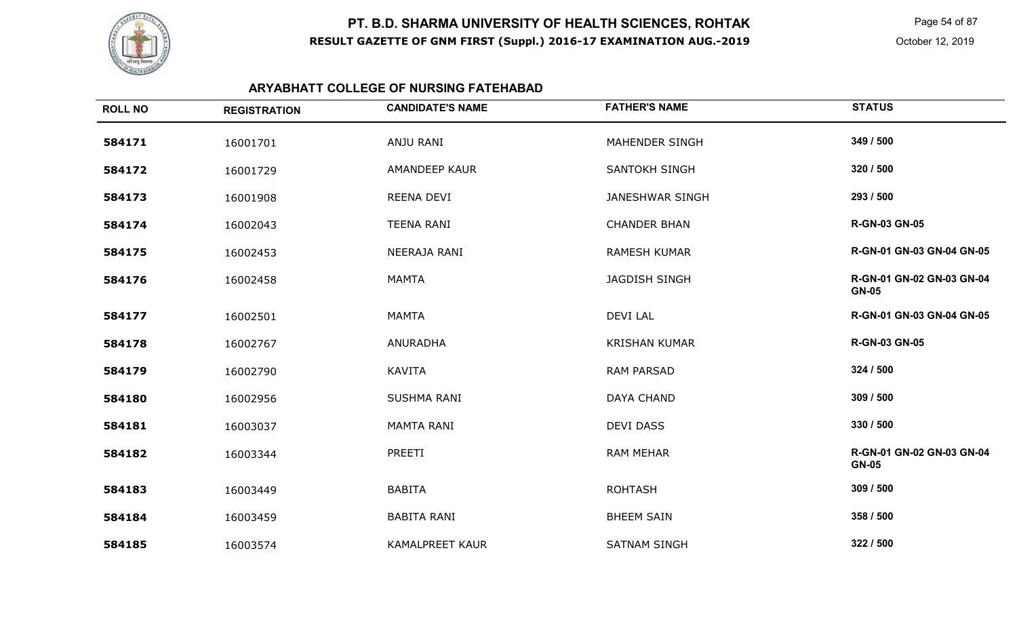

 Page 54 of 87 October 12, 2019

## **ARYABHATT COLLEGE OF NURSING FATEHABAD**

| <b>ROLL NO</b> | <b>REGISTRATION</b> | <b>CANDIDATE'S NAME</b> | <b>FATHER'S NAME</b>   | <b>STATUS</b>                             |
|----------------|---------------------|-------------------------|------------------------|-------------------------------------------|
| 584171         | 16001701            | ANJU RANI               | MAHENDER SINGH         | 349 / 500                                 |
| 584172         | 16001729            | AMANDEEP KAUR           | <b>SANTOKH SINGH</b>   | 320 / 500                                 |
| 584173         | 16001908            | REENA DEVI              | <b>JANESHWAR SINGH</b> | 293 / 500                                 |
| 584174         | 16002043            | <b>TEENA RANI</b>       | <b>CHANDER BHAN</b>    | <b>R-GN-03 GN-05</b>                      |
| 584175         | 16002453            | NEERAJA RANI            | <b>RAMESH KUMAR</b>    | R-GN-01 GN-03 GN-04 GN-05                 |
| 584176         | 16002458            | <b>MAMTA</b>            | <b>JAGDISH SINGH</b>   | R-GN-01 GN-02 GN-03 GN-04<br><b>GN-05</b> |
| 584177         | 16002501            | <b>MAMTA</b>            | <b>DEVI LAL</b>        | R-GN-01 GN-03 GN-04 GN-05                 |
| 584178         | 16002767            | <b>ANURADHA</b>         | <b>KRISHAN KUMAR</b>   | <b>R-GN-03 GN-05</b>                      |
| 584179         | 16002790            | <b>KAVITA</b>           | <b>RAM PARSAD</b>      | 324 / 500                                 |
| 584180         | 16002956            | <b>SUSHMA RANI</b>      | <b>DAYA CHAND</b>      | 309 / 500                                 |
| 584181         | 16003037            | <b>MAMTA RANI</b>       | <b>DEVI DASS</b>       | 330 / 500                                 |
| 584182         | 16003344            | PREETI                  | <b>RAM MEHAR</b>       | R-GN-01 GN-02 GN-03 GN-04<br><b>GN-05</b> |
| 584183         | 16003449            | <b>BABITA</b>           | <b>ROHTASH</b>         | 309 / 500                                 |
| 584184         | 16003459            | <b>BABITA RANI</b>      | <b>BHEEM SAIN</b>      | 358 / 500                                 |
| 584185         | 16003574            | <b>KAMALPREET KAUR</b>  | <b>SATNAM SINGH</b>    | 322 / 500                                 |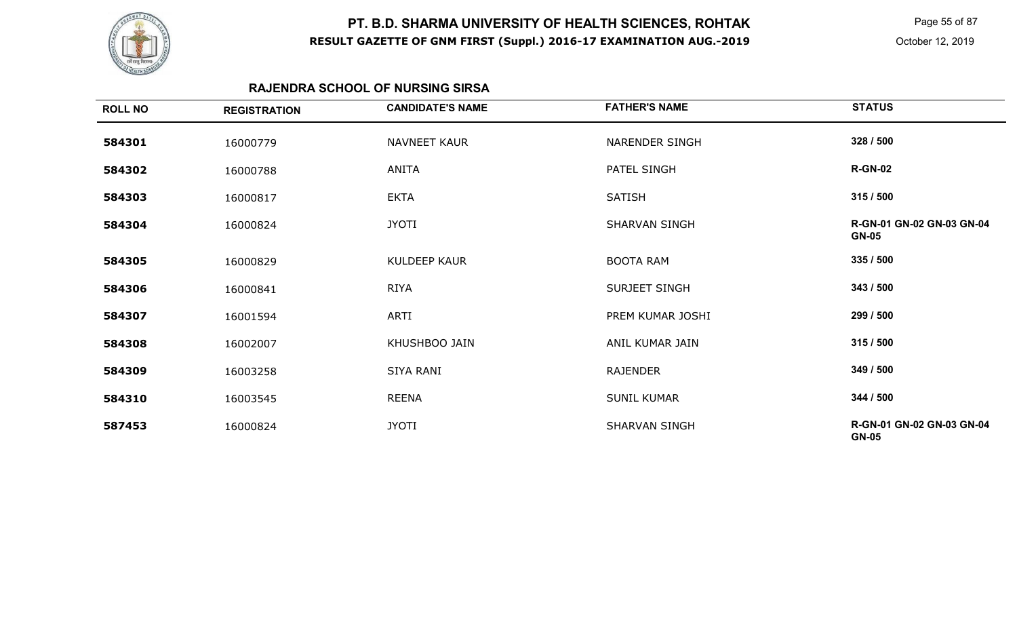

 Page 55 of 87 October 12, 2019

### **RAJENDRA SCHOOL OF NURSING SIRSA**

| <b>ROLL NO</b> | <b>REGISTRATION</b> | <b>CANDIDATE'S NAME</b> | <b>FATHER'S NAME</b>  | <b>STATUS</b>                             |
|----------------|---------------------|-------------------------|-----------------------|-------------------------------------------|
| 584301         | 16000779            | <b>NAVNEET KAUR</b>     | <b>NARENDER SINGH</b> | 328 / 500                                 |
| 584302         | 16000788            | ANITA                   | PATEL SINGH           | <b>R-GN-02</b>                            |
| 584303         | 16000817            | <b>EKTA</b>             | <b>SATISH</b>         | 315/500                                   |
| 584304         | 16000824            | <b>JYOTI</b>            | SHARVAN SINGH         | R-GN-01 GN-02 GN-03 GN-04<br><b>GN-05</b> |
| 584305         | 16000829            | KULDEEP KAUR            | <b>BOOTA RAM</b>      | 335 / 500                                 |
| 584306         | 16000841            | <b>RIYA</b>             | SURJEET SINGH         | 343 / 500                                 |
| 584307         | 16001594            | ARTI                    | PREM KUMAR JOSHI      | 299 / 500                                 |
| 584308         | 16002007            | KHUSHBOO JAIN           | ANIL KUMAR JAIN       | 315/500                                   |
| 584309         | 16003258            | SIYA RANI               | <b>RAJENDER</b>       | 349 / 500                                 |
| 584310         | 16003545            | REENA                   | <b>SUNIL KUMAR</b>    | 344 / 500                                 |
| 587453         | 16000824            | <b>JYOTI</b>            | SHARVAN SINGH         | R-GN-01 GN-02 GN-03 GN-04<br><b>GN-05</b> |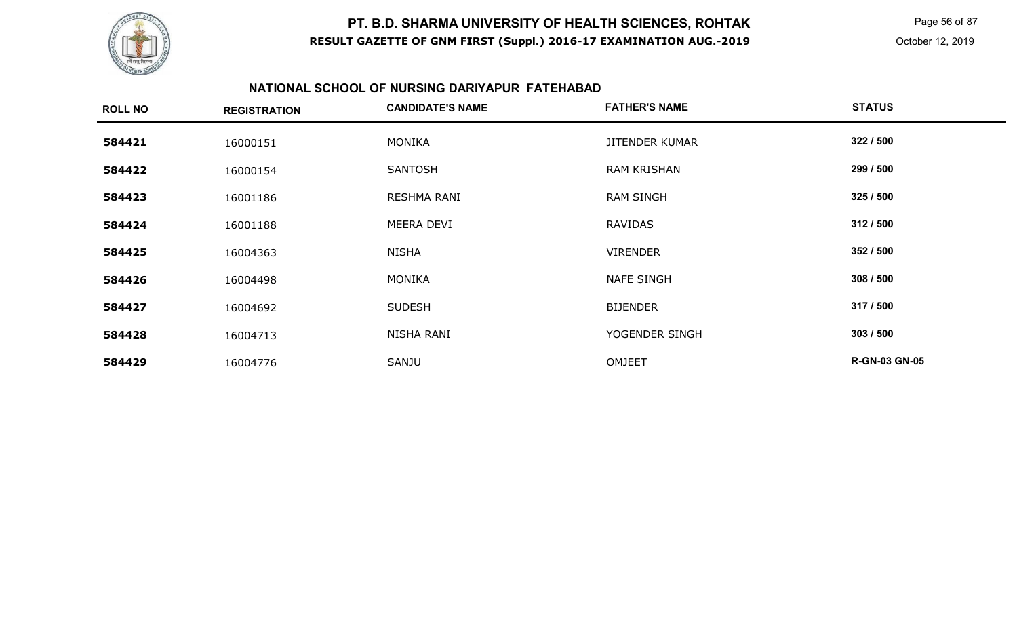

Page 56 of 87

#### **NATIONAL SCHOOL OF NURSING DARIYAPUR FATEHABAD**

| <b>ROLL NO</b> | <b>REGISTRATION</b> | <b>CANDIDATE'S NAME</b> | <b>FATHER'S NAME</b>  | <b>STATUS</b>        |
|----------------|---------------------|-------------------------|-----------------------|----------------------|
| 584421         | 16000151            | <b>MONIKA</b>           | <b>JITENDER KUMAR</b> | 322 / 500            |
| 584422         | 16000154            | <b>SANTOSH</b>          | <b>RAM KRISHAN</b>    | 299 / 500            |
| 584423         | 16001186            | RESHMA RANI             | <b>RAM SINGH</b>      | 325 / 500            |
| 584424         | 16001188            | MEERA DEVI              | RAVIDAS               | 312/500              |
| 584425         | 16004363            | <b>NISHA</b>            | <b>VIRENDER</b>       | 352 / 500            |
| 584426         | 16004498            | <b>MONIKA</b>           | <b>NAFE SINGH</b>     | 308 / 500            |
| 584427         | 16004692            | <b>SUDESH</b>           | <b>BIJENDER</b>       | 317 / 500            |
| 584428         | 16004713            | NISHA RANI              | YOGENDER SINGH        | 303 / 500            |
| 584429         | 16004776            | SANJU                   | <b>OMJEET</b>         | <b>R-GN-03 GN-05</b> |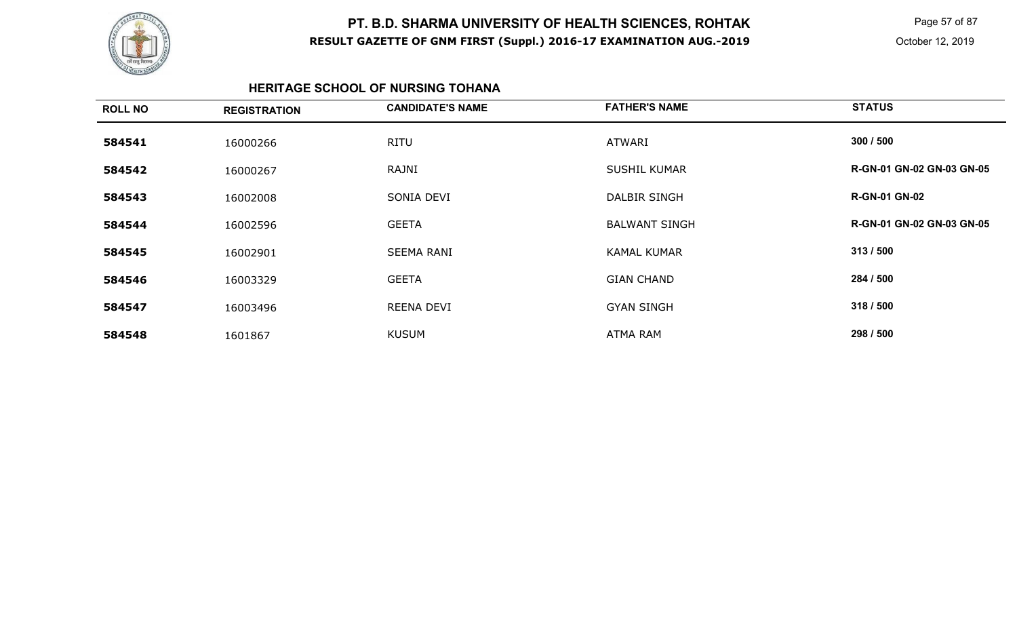

 Page 57 of 87 October 12, 2019

#### **HERITAGE SCHOOL OF NURSING TOHANA**

| 300 / 500<br><b>RITU</b><br><b>ATWARI</b><br>584541<br>16000266<br>R-GN-01 GN-02 GN-03 GN-05<br>RAJNI<br><b>SUSHIL KUMAR</b><br>584542<br>16000267<br><b>R-GN-01 GN-02</b><br><b>DALBIR SINGH</b><br>SONIA DEVI<br>584543<br>16002008<br>R-GN-01 GN-02 GN-03 GN-05<br><b>GEETA</b><br><b>BALWANT SINGH</b><br>584544<br>16002596<br>313 / 500<br><b>SEEMA RANI</b><br><b>KAMAL KUMAR</b><br>584545<br>16002901<br>284 / 500<br>584546<br><b>GEETA</b><br><b>GIAN CHAND</b><br>16003329<br>318 / 500<br><b>GYAN SINGH</b><br>584547<br>REENA DEVI<br>16003496<br>298 / 500<br><b>KUSUM</b><br>ATMA RAM<br>584548<br>1601867 | <b>ROLL NO</b> | <b>REGISTRATION</b> | <b>CANDIDATE'S NAME</b> | <b>FATHER'S NAME</b> | <b>STATUS</b> |
|----------------------------------------------------------------------------------------------------------------------------------------------------------------------------------------------------------------------------------------------------------------------------------------------------------------------------------------------------------------------------------------------------------------------------------------------------------------------------------------------------------------------------------------------------------------------------------------------------------------------------|----------------|---------------------|-------------------------|----------------------|---------------|
|                                                                                                                                                                                                                                                                                                                                                                                                                                                                                                                                                                                                                            |                |                     |                         |                      |               |
|                                                                                                                                                                                                                                                                                                                                                                                                                                                                                                                                                                                                                            |                |                     |                         |                      |               |
|                                                                                                                                                                                                                                                                                                                                                                                                                                                                                                                                                                                                                            |                |                     |                         |                      |               |
|                                                                                                                                                                                                                                                                                                                                                                                                                                                                                                                                                                                                                            |                |                     |                         |                      |               |
|                                                                                                                                                                                                                                                                                                                                                                                                                                                                                                                                                                                                                            |                |                     |                         |                      |               |
|                                                                                                                                                                                                                                                                                                                                                                                                                                                                                                                                                                                                                            |                |                     |                         |                      |               |
|                                                                                                                                                                                                                                                                                                                                                                                                                                                                                                                                                                                                                            |                |                     |                         |                      |               |
|                                                                                                                                                                                                                                                                                                                                                                                                                                                                                                                                                                                                                            |                |                     |                         |                      |               |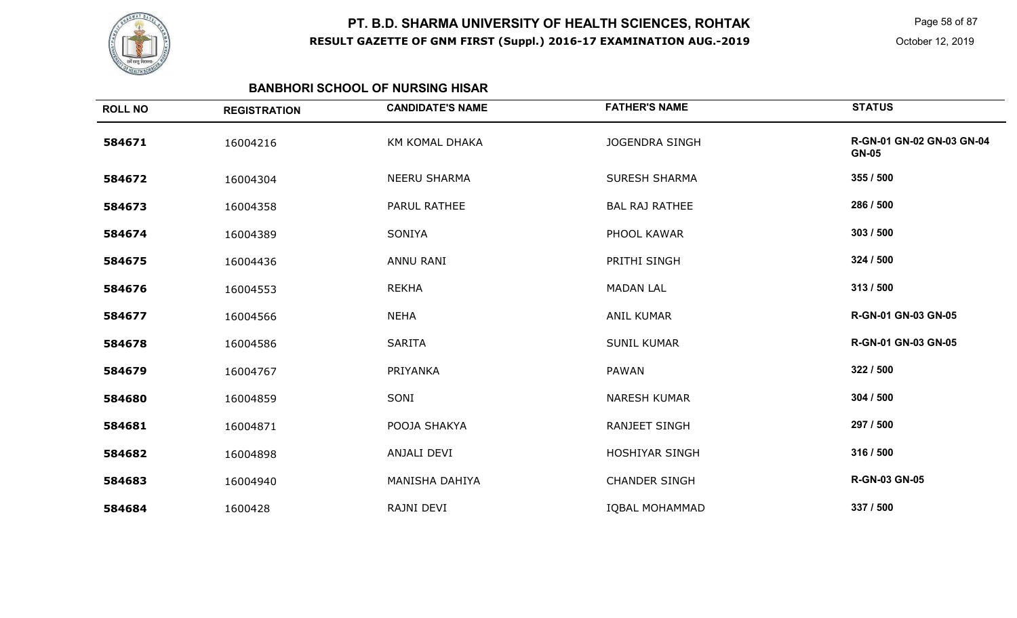

Page 58 of 87

#### **BANBHORI SCHOOL OF NURSING HISAR**

| <b>ROLL NO</b> | <b>REGISTRATION</b> | <b>CANDIDATE'S NAME</b> | <b>FATHER'S NAME</b>  | <b>STATUS</b>                             |
|----------------|---------------------|-------------------------|-----------------------|-------------------------------------------|
| 584671         | 16004216            | KM KOMAL DHAKA          | <b>JOGENDRA SINGH</b> | R-GN-01 GN-02 GN-03 GN-04<br><b>GN-05</b> |
| 584672         | 16004304            | <b>NEERU SHARMA</b>     | <b>SURESH SHARMA</b>  | 355 / 500                                 |
| 584673         | 16004358            | PARUL RATHEE            | <b>BAL RAJ RATHEE</b> | 286 / 500                                 |
| 584674         | 16004389            | SONIYA                  | PHOOL KAWAR           | 303 / 500                                 |
| 584675         | 16004436            | <b>ANNU RANI</b>        | PRITHI SINGH          | 324 / 500                                 |
| 584676         | 16004553            | <b>REKHA</b>            | <b>MADAN LAL</b>      | 313 / 500                                 |
| 584677         | 16004566            | <b>NEHA</b>             | <b>ANIL KUMAR</b>     | R-GN-01 GN-03 GN-05                       |
| 584678         | 16004586            | <b>SARITA</b>           | <b>SUNIL KUMAR</b>    | R-GN-01 GN-03 GN-05                       |
| 584679         | 16004767            | PRIYANKA                | <b>PAWAN</b>          | 322 / 500                                 |
| 584680         | 16004859            | SONI                    | <b>NARESH KUMAR</b>   | 304 / 500                                 |
| 584681         | 16004871            | POOJA SHAKYA            | <b>RANJEET SINGH</b>  | 297 / 500                                 |
| 584682         | 16004898            | ANJALI DEVI             | HOSHIYAR SINGH        | 316 / 500                                 |
| 584683         | 16004940            | MANISHA DAHIYA          | <b>CHANDER SINGH</b>  | <b>R-GN-03 GN-05</b>                      |
| 584684         | 1600428             | RAJNI DEVI              | <b>IQBAL MOHAMMAD</b> | 337 / 500                                 |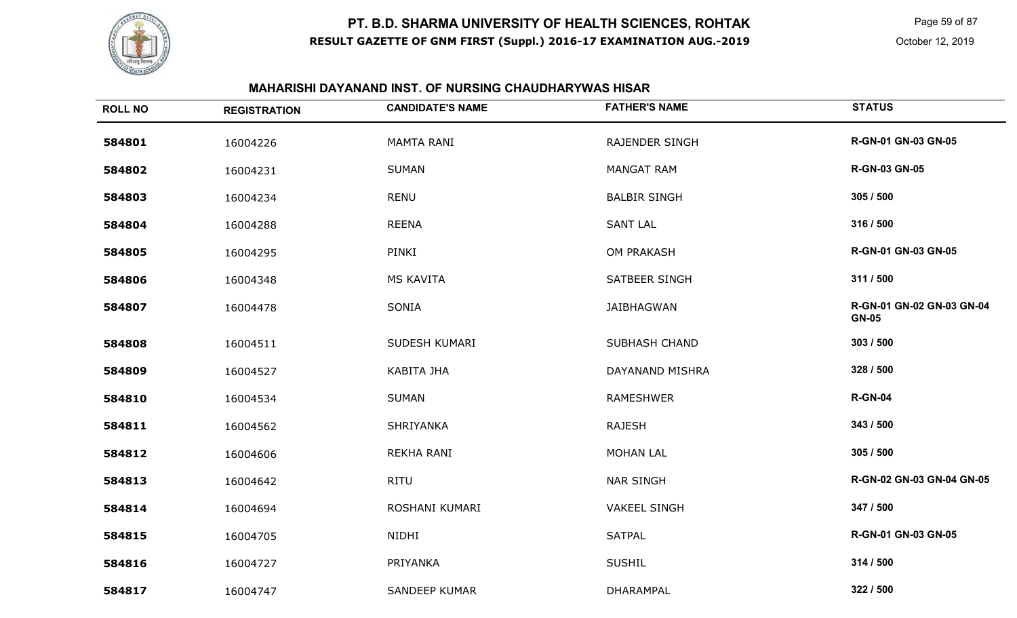

Page 59 of 87

### **MAHARISHI DAYANAND INST. OF NURSING CHAUDHARYWAS HISAR**

| <b>ROLL NO</b> | <b>REGISTRATION</b> | <b>CANDIDATE'S NAME</b> | <b>FATHER'S NAME</b>  | <b>STATUS</b>                             |
|----------------|---------------------|-------------------------|-----------------------|-------------------------------------------|
| 584801         | 16004226            | <b>MAMTA RANI</b>       | <b>RAJENDER SINGH</b> | R-GN-01 GN-03 GN-05                       |
| 584802         | 16004231            | <b>SUMAN</b>            | <b>MANGAT RAM</b>     | <b>R-GN-03 GN-05</b>                      |
| 584803         | 16004234            | <b>RENU</b>             | <b>BALBIR SINGH</b>   | 305 / 500                                 |
| 584804         | 16004288            | <b>REENA</b>            | <b>SANT LAL</b>       | 316 / 500                                 |
| 584805         | 16004295            | PINKI                   | OM PRAKASH            | R-GN-01 GN-03 GN-05                       |
| 584806         | 16004348            | <b>MS KAVITA</b>        | <b>SATBEER SINGH</b>  | 311 / 500                                 |
| 584807         | 16004478            | SONIA                   | <b>JAIBHAGWAN</b>     | R-GN-01 GN-02 GN-03 GN-04<br><b>GN-05</b> |
| 584808         | 16004511            | SUDESH KUMARI           | <b>SUBHASH CHAND</b>  | 303 / 500                                 |
| 584809         | 16004527            | KABITA JHA              | DAYANAND MISHRA       | 328 / 500                                 |
| 584810         | 16004534            | <b>SUMAN</b>            | <b>RAMESHWER</b>      | <b>R-GN-04</b>                            |
| 584811         | 16004562            | SHRIYANKA               | <b>RAJESH</b>         | 343 / 500                                 |
| 584812         | 16004606            | REKHA RANI              | <b>MOHAN LAL</b>      | 305 / 500                                 |
| 584813         | 16004642            | <b>RITU</b>             | <b>NAR SINGH</b>      | R-GN-02 GN-03 GN-04 GN-05                 |
| 584814         | 16004694            | ROSHANI KUMARI          | <b>VAKEEL SINGH</b>   | 347 / 500                                 |
| 584815         | 16004705            | NIDHI                   | <b>SATPAL</b>         | R-GN-01 GN-03 GN-05                       |
| 584816         | 16004727            | PRIYANKA                | <b>SUSHIL</b>         | 314 / 500                                 |
| 584817         | 16004747            | <b>SANDEEP KUMAR</b>    | DHARAMPAL             | 322 / 500                                 |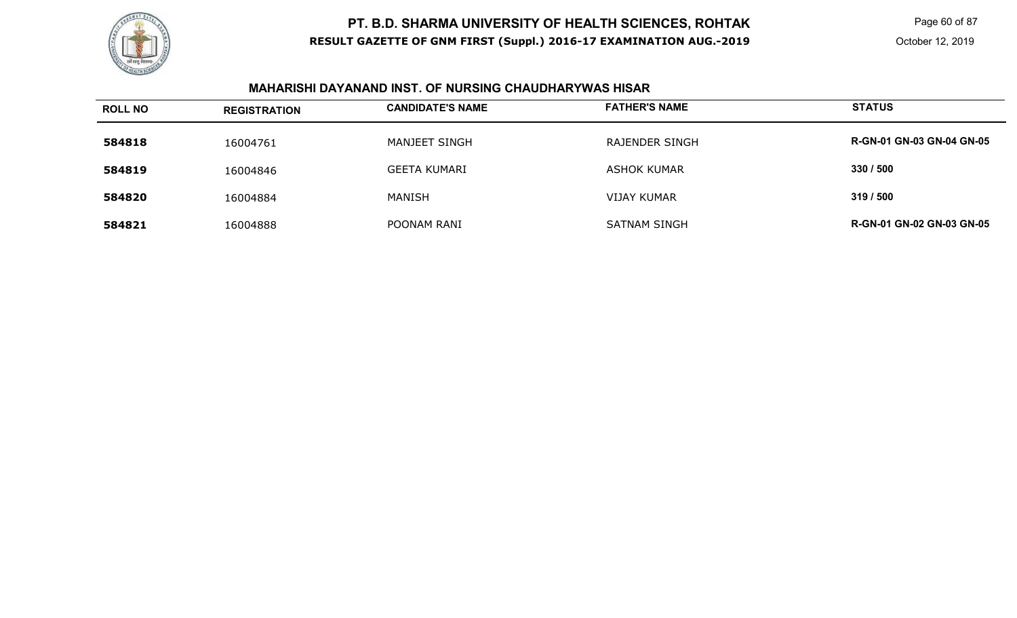

 Page 60 of 87 October 12, 2019

### **MAHARISHI DAYANAND INST. OF NURSING CHAUDHARYWAS HISAR**

| <b>ROLL NO</b> | <b>REGISTRATION</b> | <b>CANDIDATE'S NAME</b> | <b>FATHER'S NAME</b>  | <b>STATUS</b>                    |
|----------------|---------------------|-------------------------|-----------------------|----------------------------------|
| 584818         | 16004761            | MANJEET SINGH           | <b>RAJENDER SINGH</b> | <b>R-GN-01 GN-03 GN-04 GN-05</b> |
| 584819         | 16004846            | <b>GEETA KUMARI</b>     | ASHOK KUMAR           | 330 / 500                        |
| 584820         | 16004884            | MANISH                  | <b>VIJAY KUMAR</b>    | 319/500                          |
| 584821         | 16004888            | POONAM RANI             | <b>SATNAM SINGH</b>   | <b>R-GN-01 GN-02 GN-03 GN-05</b> |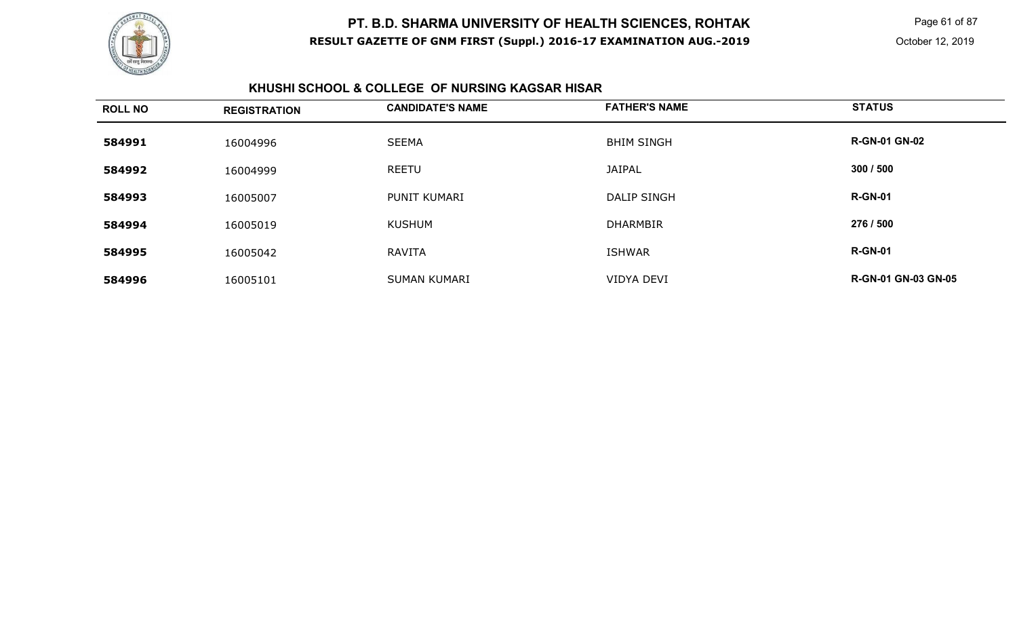

 Page 61 of 87 October 12, 2019

#### **KHUSHI SCHOOL & COLLEGE OF NURSING KAGSAR HISAR**

| <b>ROLL NO</b> | <b>REGISTRATION</b> | <b>CANDIDATE'S NAME</b> | <b>FATHER'S NAME</b> | <b>STATUS</b>              |
|----------------|---------------------|-------------------------|----------------------|----------------------------|
| 584991         | 16004996            | <b>SEEMA</b>            | <b>BHIM SINGH</b>    | <b>R-GN-01 GN-02</b>       |
| 584992         | 16004999            | <b>REETU</b>            | <b>JAIPAL</b>        | 300 / 500                  |
| 584993         | 16005007            | PUNIT KUMARI            | DALIP SINGH          | <b>R-GN-01</b>             |
| 584994         | 16005019            | <b>KUSHUM</b>           | <b>DHARMBIR</b>      | 276 / 500                  |
| 584995         | 16005042            | RAVITA                  | <b>ISHWAR</b>        | <b>R-GN-01</b>             |
| 584996         | 16005101            | <b>SUMAN KUMARI</b>     | VIDYA DEVI           | <b>R-GN-01 GN-03 GN-05</b> |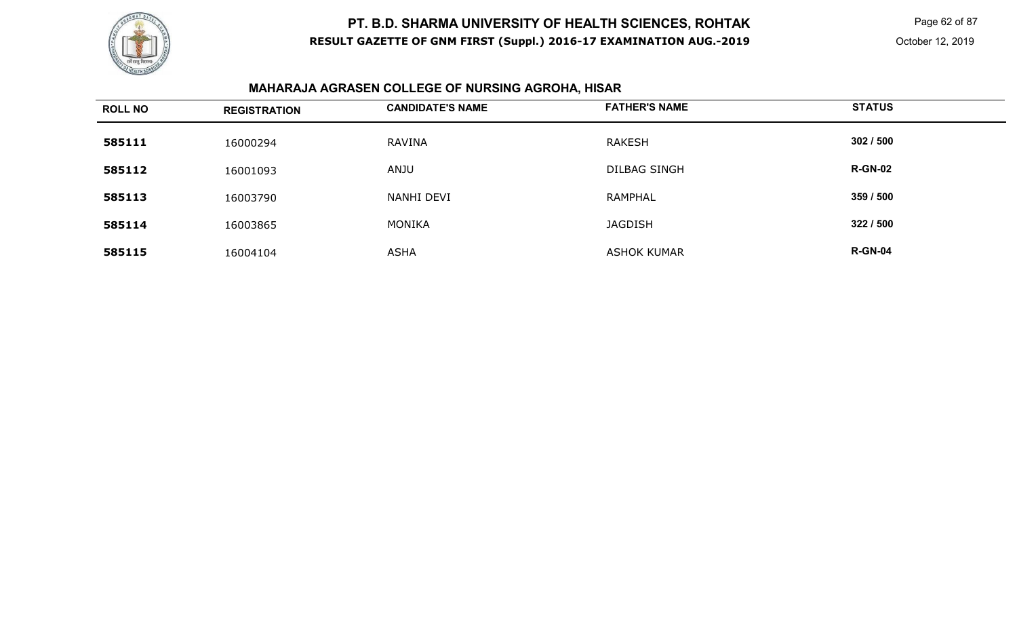

 Page 62 of 87 October 12, 2019

# **MAHARAJA AGRASEN COLLEGE OF NURSING AGROHA, HISAR**

| <b>ROLL NO</b> | <b>REGISTRATION</b> | <b>CANDIDATE'S NAME</b> | <b>FATHER'S NAME</b> | <b>STATUS</b>  |
|----------------|---------------------|-------------------------|----------------------|----------------|
| 585111         | 16000294            | RAVINA                  | <b>RAKESH</b>        | 302 / 500      |
| 585112         | 16001093            | <b>ANJU</b>             | <b>DILBAG SINGH</b>  | <b>R-GN-02</b> |
| 585113         | 16003790            | NANHI DEVI              | <b>RAMPHAL</b>       | 359 / 500      |
| 585114         | 16003865            | MONIKA                  | <b>JAGDISH</b>       | 322 / 500      |
| 585115         | 16004104            | <b>ASHA</b>             | <b>ASHOK KUMAR</b>   | <b>R-GN-04</b> |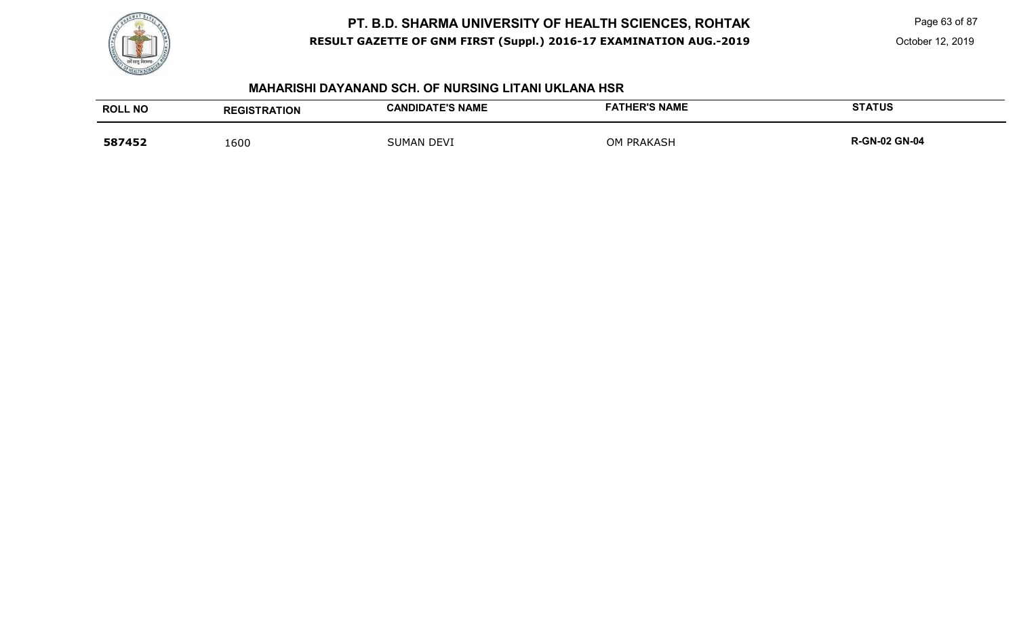

Page 63 of 87

October 12, 2019

#### **MAHARISHI DAYANAND SCH. OF NURSING LITANI UKLANA HSR**

| <b>ROLL NO</b> | <b>REGISTRATION</b> | <b>CANDIDATE'S NAME</b> | <b>FATHER'S NAME</b> | <b>STATUS</b>        |
|----------------|---------------------|-------------------------|----------------------|----------------------|
| 587452         | 1600                | SUMAN DEVI              | <b>OM PRAKASH</b>    | <b>R-GN-02 GN-04</b> |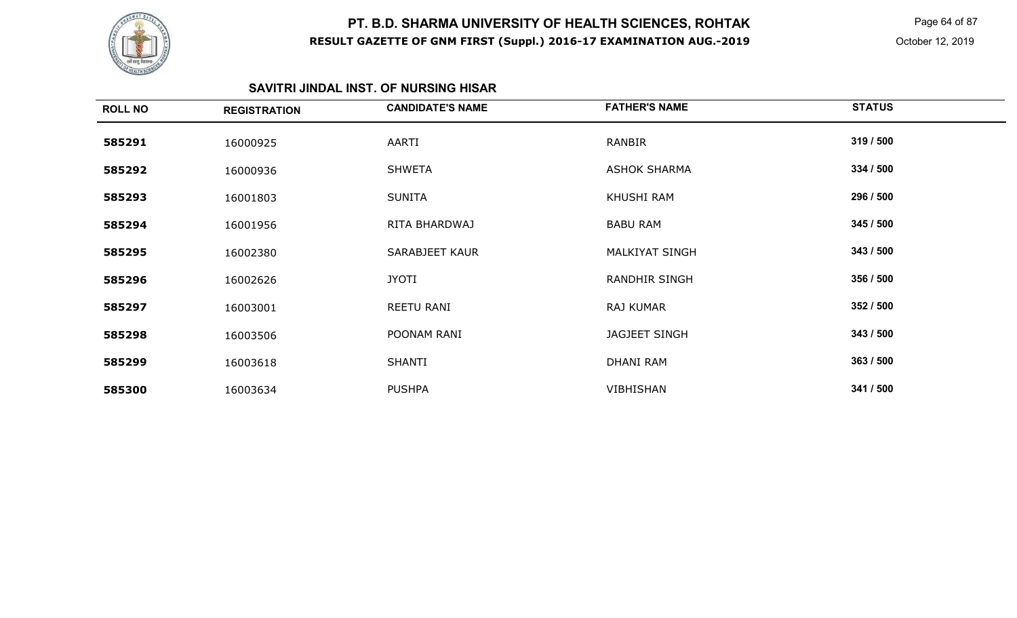

 Page 64 of 87 October 12, 2019

# **SAVITRI JINDAL INST. OF NURSING HISAR**

| <b>ROLL NO</b> | <b>REGISTRATION</b> | <b>CANDIDATE'S NAME</b> | <b>FATHER'S NAME</b>  | <b>STATUS</b> |
|----------------|---------------------|-------------------------|-----------------------|---------------|
| 585291         | 16000925            | AARTI                   | <b>RANBIR</b>         | 319 / 500     |
| 585292         | 16000936            | <b>SHWETA</b>           | <b>ASHOK SHARMA</b>   | 334 / 500     |
| 585293         | 16001803            | <b>SUNITA</b>           | KHUSHI RAM            | 296 / 500     |
| 585294         | 16001956            | RITA BHARDWAJ           | <b>BABU RAM</b>       | 345 / 500     |
| 585295         | 16002380            | SARABJEET KAUR          | <b>MALKIYAT SINGH</b> | 343 / 500     |
| 585296         | 16002626            | <b>JYOTI</b>            | <b>RANDHIR SINGH</b>  | 356 / 500     |
| 585297         | 16003001            | REETU RANI              | RAJ KUMAR             | 352 / 500     |
| 585298         | 16003506            | POONAM RANI             | JAGJEET SINGH         | 343 / 500     |
| 585299         | 16003618            | <b>SHANTI</b>           | <b>DHANI RAM</b>      | 363 / 500     |
| 585300         | 16003634            | <b>PUSHPA</b>           | <b>VIBHISHAN</b>      | 341 / 500     |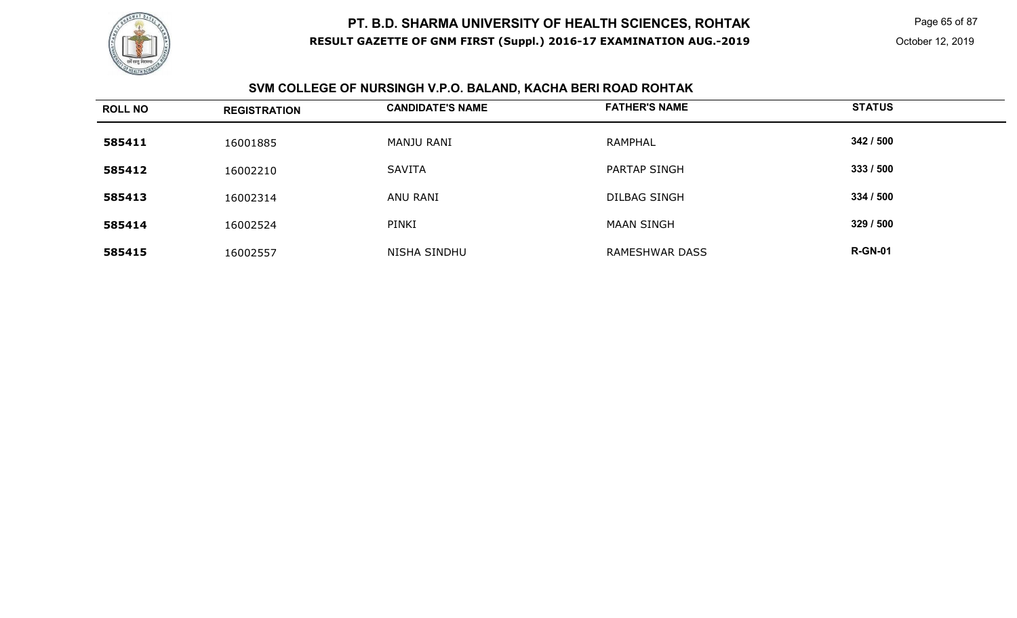

Page 65 of 87

# **SVM COLLEGE OF NURSINGH V.P.O. BALAND, KACHA BERI ROAD ROHTAK**

| <b>ROLL NO</b> | <b>REGISTRATION</b> | <b>CANDIDATE'S NAME</b> | <b>FATHER'S NAME</b> | <b>STATUS</b>  |
|----------------|---------------------|-------------------------|----------------------|----------------|
| 585411         | 16001885            | MANJU RANI              | <b>RAMPHAL</b>       | 342 / 500      |
| 585412         | 16002210            | <b>SAVITA</b>           | <b>PARTAP SINGH</b>  | 333 / 500      |
| 585413         | 16002314            | ANU RANI                | <b>DILBAG SINGH</b>  | 334 / 500      |
| 585414         | 16002524            | PINKI                   | <b>MAAN SINGH</b>    | 329 / 500      |
| 585415         | 16002557            | <b>NISHA SINDHU</b>     | RAMESHWAR DASS       | <b>R-GN-01</b> |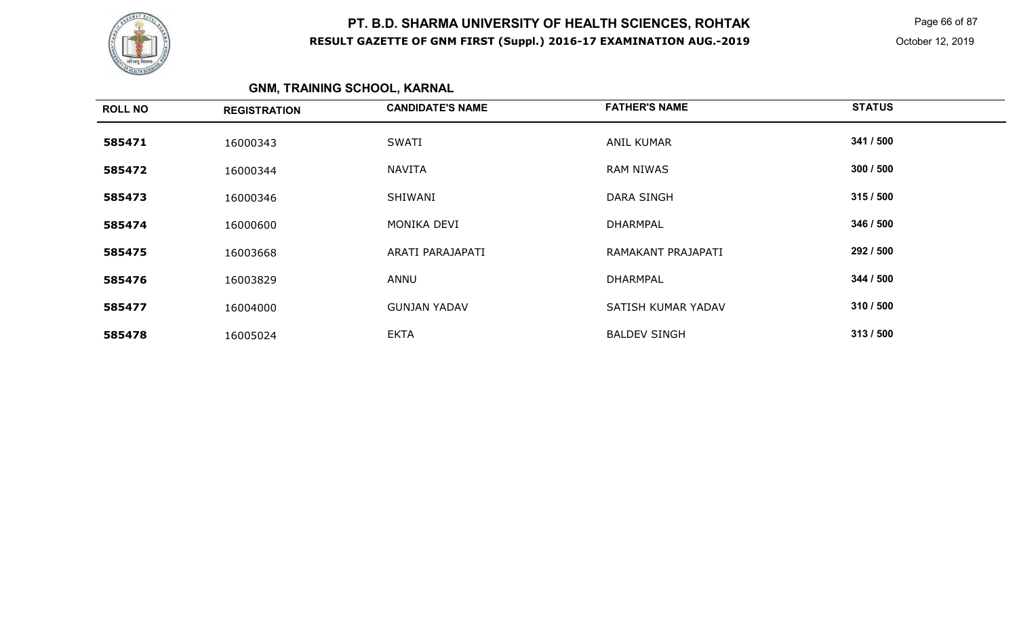

 Page 66 of 87 October 12, 2019

# **GNM, TRAINING SCHOOL, KARNAL**

| <b>ROLL NO</b> | <b>REGISTRATION</b> | <b>CANDIDATE'S NAME</b> | <b>FATHER'S NAME</b> | <b>STATUS</b> |
|----------------|---------------------|-------------------------|----------------------|---------------|
| 585471         | 16000343            | SWATI                   | <b>ANIL KUMAR</b>    | 341 / 500     |
| 585472         | 16000344            | <b>NAVITA</b>           | <b>RAM NIWAS</b>     | 300 / 500     |
| 585473         | 16000346            | SHIWANI                 | <b>DARA SINGH</b>    | 315/500       |
| 585474         | 16000600            | MONIKA DEVI             | <b>DHARMPAL</b>      | 346 / 500     |
| 585475         | 16003668            | ARATI PARAJAPATI        | RAMAKANT PRAJAPATI   | 292 / 500     |
| 585476         | 16003829            | ANNU                    | <b>DHARMPAL</b>      | 344 / 500     |
| 585477         | 16004000            | <b>GUNJAN YADAV</b>     | SATISH KUMAR YADAV   | 310 / 500     |
| 585478         | 16005024            | <b>EKTA</b>             | <b>BALDEV SINGH</b>  | 313 / 500     |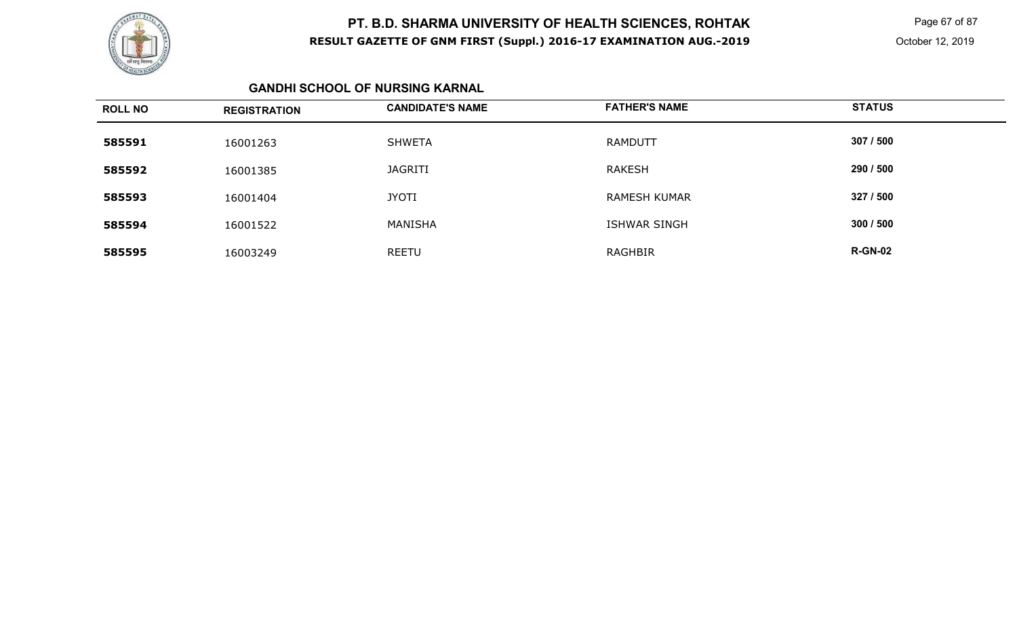

 Page 67 of 87 October 12, 2019

#### **GANDHI SCHOOL OF NURSING KARNAL**

| <b>ROLL NO</b> | <b>REGISTRATION</b> | <b>CANDIDATE'S NAME</b> | <b>FATHER'S NAME</b> | <b>STATUS</b>  |
|----------------|---------------------|-------------------------|----------------------|----------------|
| 585591         | 16001263            | <b>SHWETA</b>           | <b>RAMDUTT</b>       | 307 / 500      |
| 585592         | 16001385            | <b>JAGRITI</b>          | <b>RAKESH</b>        | 290 / 500      |
| 585593         | 16001404            | <b>JYOTI</b>            | <b>RAMESH KUMAR</b>  | 327 / 500      |
| 585594         | 16001522            | MANISHA                 | ISHWAR SINGH         | 300 / 500      |
| 585595         | 16003249            | <b>REETU</b>            | <b>RAGHBIR</b>       | <b>R-GN-02</b> |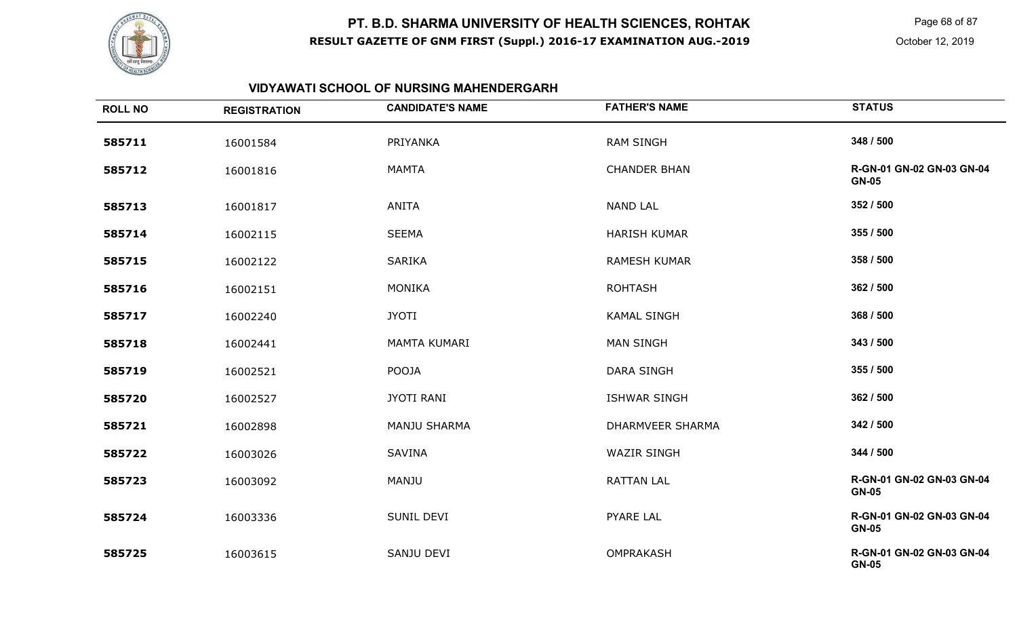

Page 68 of 87

### **VIDYAWATI SCHOOL OF NURSING MAHENDERGARH**

| <b>ROLL NO</b> | <b>REGISTRATION</b> | <b>CANDIDATE'S NAME</b> | <b>FATHER'S NAME</b>    | <b>STATUS</b>                             |
|----------------|---------------------|-------------------------|-------------------------|-------------------------------------------|
| 585711         | 16001584            | PRIYANKA                | <b>RAM SINGH</b>        | 348 / 500                                 |
| 585712         | 16001816            | <b>MAMTA</b>            | <b>CHANDER BHAN</b>     | R-GN-01 GN-02 GN-03 GN-04<br><b>GN-05</b> |
| 585713         | 16001817            | <b>ANITA</b>            | <b>NAND LAL</b>         | 352 / 500                                 |
| 585714         | 16002115            | <b>SEEMA</b>            | <b>HARISH KUMAR</b>     | 355 / 500                                 |
| 585715         | 16002122            | <b>SARIKA</b>           | <b>RAMESH KUMAR</b>     | 358 / 500                                 |
| 585716         | 16002151            | <b>MONIKA</b>           | <b>ROHTASH</b>          | 362 / 500                                 |
| 585717         | 16002240            | <b>JYOTI</b>            | <b>KAMAL SINGH</b>      | 368 / 500                                 |
| 585718         | 16002441            | MAMTA KUMARI            | <b>MAN SINGH</b>        | 343 / 500                                 |
| 585719         | 16002521            | POOJA                   | DARA SINGH              | 355 / 500                                 |
| 585720         | 16002527            | <b>JYOTI RANI</b>       | <b>ISHWAR SINGH</b>     | 362 / 500                                 |
| 585721         | 16002898            | <b>MANJU SHARMA</b>     | <b>DHARMVEER SHARMA</b> | 342 / 500                                 |
| 585722         | 16003026            | <b>SAVINA</b>           | <b>WAZIR SINGH</b>      | 344 / 500                                 |
| 585723         | 16003092            | MANJU                   | <b>RATTAN LAL</b>       | R-GN-01 GN-02 GN-03 GN-04<br><b>GN-05</b> |
| 585724         | 16003336            | SUNIL DEVI              | PYARE LAL               | R-GN-01 GN-02 GN-03 GN-04<br><b>GN-05</b> |
| 585725         | 16003615            | SANJU DEVI              | <b>OMPRAKASH</b>        | R-GN-01 GN-02 GN-03 GN-04<br><b>GN-05</b> |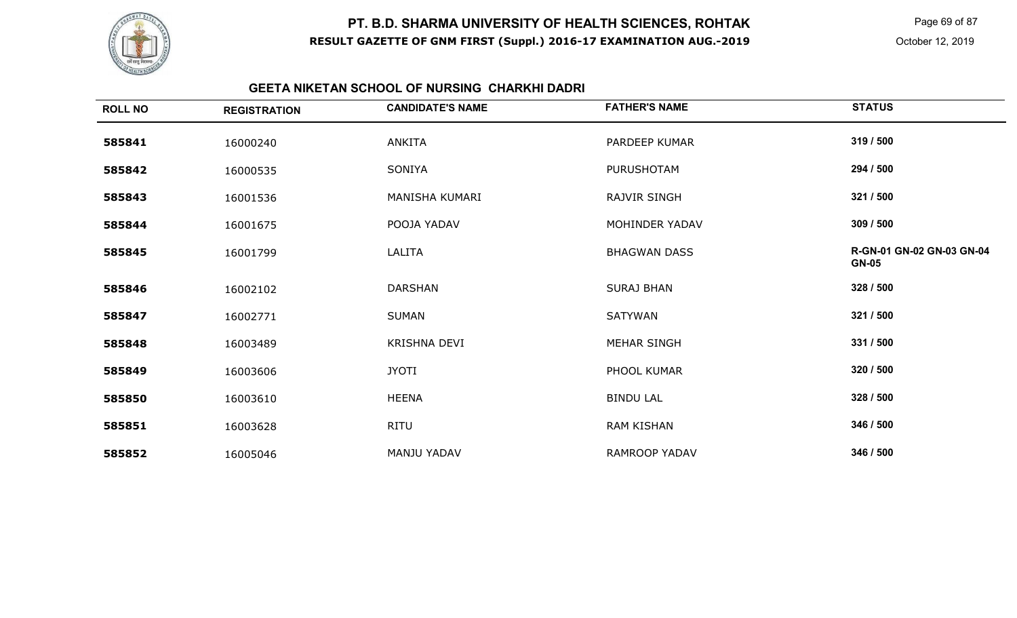

Page 69 of 87

### **GEETA NIKETAN SCHOOL OF NURSING CHARKHI DADRI**

| <b>ROLL NO</b> | <b>REGISTRATION</b> | <b>CANDIDATE'S NAME</b> | <b>FATHER'S NAME</b> | <b>STATUS</b>                             |
|----------------|---------------------|-------------------------|----------------------|-------------------------------------------|
| 585841         | 16000240            | ANKITA                  | <b>PARDEEP KUMAR</b> | 319 / 500                                 |
| 585842         | 16000535            | SONIYA                  | <b>PURUSHOTAM</b>    | 294 / 500                                 |
| 585843         | 16001536            | MANISHA KUMARI          | <b>RAJVIR SINGH</b>  | 321 / 500                                 |
| 585844         | 16001675            | POOJA YADAV             | MOHINDER YADAV       | 309 / 500                                 |
| 585845         | 16001799            | LALITA                  | <b>BHAGWAN DASS</b>  | R-GN-01 GN-02 GN-03 GN-04<br><b>GN-05</b> |
| 585846         | 16002102            | <b>DARSHAN</b>          | <b>SURAJ BHAN</b>    | 328 / 500                                 |
| 585847         | 16002771            | <b>SUMAN</b>            | <b>SATYWAN</b>       | 321 / 500                                 |
| 585848         | 16003489            | <b>KRISHNA DEVI</b>     | MEHAR SINGH          | 331 / 500                                 |
| 585849         | 16003606            | <b>JYOTI</b>            | PHOOL KUMAR          | 320 / 500                                 |
| 585850         | 16003610            | <b>HEENA</b>            | <b>BINDU LAL</b>     | 328 / 500                                 |
| 585851         | 16003628            | RITU                    | <b>RAM KISHAN</b>    | 346 / 500                                 |
| 585852         | 16005046            | <b>MANJU YADAV</b>      | <b>RAMROOP YADAV</b> | 346 / 500                                 |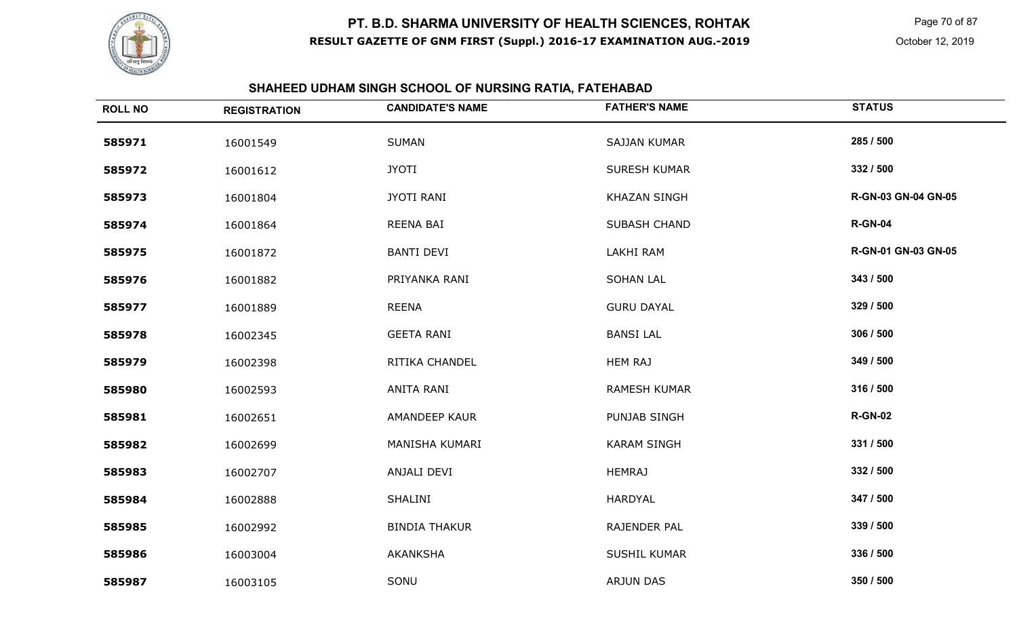

 Page 70 of 87 October 12, 2019

# **SHAHEED UDHAM SINGH SCHOOL OF NURSING RATIA, FATEHABAD**

| <b>ROLL NO</b> | <b>REGISTRATION</b> | <b>CANDIDATE'S NAME</b> | <b>FATHER'S NAME</b> | <b>STATUS</b>              |
|----------------|---------------------|-------------------------|----------------------|----------------------------|
| 585971         | 16001549            | <b>SUMAN</b>            | <b>SAJJAN KUMAR</b>  | 285 / 500                  |
| 585972         | 16001612            | <b>JYOTI</b>            | <b>SURESH KUMAR</b>  | 332 / 500                  |
| 585973         | 16001804            | <b>JYOTI RANI</b>       | <b>KHAZAN SINGH</b>  | <b>R-GN-03 GN-04 GN-05</b> |
| 585974         | 16001864            | REENA BAI               | <b>SUBASH CHAND</b>  | <b>R-GN-04</b>             |
| 585975         | 16001872            | <b>BANTI DEVI</b>       | LAKHI RAM            | R-GN-01 GN-03 GN-05        |
| 585976         | 16001882            | PRIYANKA RANI           | <b>SOHAN LAL</b>     | 343 / 500                  |
| 585977         | 16001889            | <b>REENA</b>            | <b>GURU DAYAL</b>    | 329 / 500                  |
| 585978         | 16002345            | <b>GEETA RANI</b>       | <b>BANSI LAL</b>     | 306 / 500                  |
| 585979         | 16002398            | RITIKA CHANDEL          | <b>HEM RAJ</b>       | 349 / 500                  |
| 585980         | 16002593            | ANITA RANI              | <b>RAMESH KUMAR</b>  | 316 / 500                  |
| 585981         | 16002651            | AMANDEEP KAUR           | PUNJAB SINGH         | <b>R-GN-02</b>             |
| 585982         | 16002699            | MANISHA KUMARI          | <b>KARAM SINGH</b>   | 331 / 500                  |
| 585983         | 16002707            | ANJALI DEVI             | <b>HEMRAJ</b>        | 332 / 500                  |
| 585984         | 16002888            | SHALINI                 | <b>HARDYAL</b>       | 347 / 500                  |
| 585985         | 16002992            | <b>BINDIA THAKUR</b>    | RAJENDER PAL         | 339 / 500                  |
| 585986         | 16003004            | <b>AKANKSHA</b>         | <b>SUSHIL KUMAR</b>  | 336 / 500                  |
| 585987         | 16003105            | SONU                    | <b>ARJUN DAS</b>     | 350 / 500                  |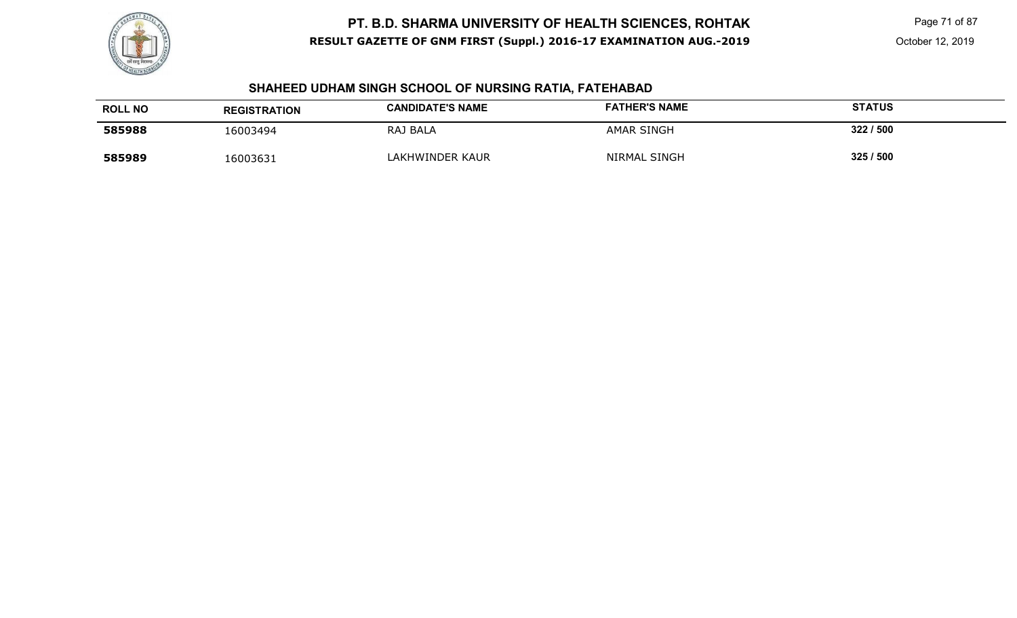

# **SHAHEED UDHAM SINGH SCHOOL OF NURSING RATIA, FATEHABAD**

| <b>ROLL NO</b> | <b>REGISTRATION</b> | <b>CANDIDATE'S NAME</b> | <b>FATHER'S NAME</b> | <b>STATUS</b> |
|----------------|---------------------|-------------------------|----------------------|---------------|
| 585988         | 16003494            | RAJ BALA                | <b>AMAR SINGH</b>    | 322/500       |
| 585989         | 16003631            | LAKHWINDER KAUR         | NIRMAL SINGH         | 325/500       |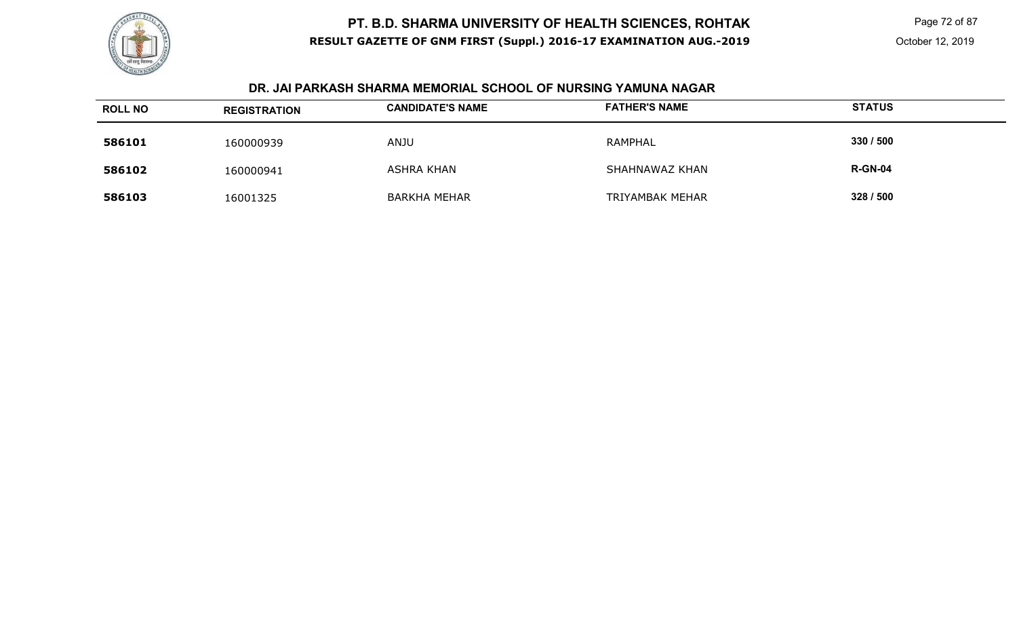

 Page 72 of 87 October 12, 2019

#### **DR. JAI PARKASH SHARMA MEMORIAL SCHOOL OF NURSING YAMUNA NAGAR**

| <b>ROLL NO</b> | <b>REGISTRATION</b> | <b>CANDIDATE'S NAME</b> | <b>FATHER'S NAME</b>   | <b>STATUS</b>  |
|----------------|---------------------|-------------------------|------------------------|----------------|
| 586101         | 160000939           | <b>ANJU</b>             | RAMPHAL                | 330 / 500      |
| 586102         | 160000941           | <b>ASHRA KHAN</b>       | SHAHNAWAZ KHAN         | <b>R-GN-04</b> |
| 586103         | 16001325            | <b>BARKHA MEHAR</b>     | <b>TRIYAMBAK MEHAR</b> | 328 / 500      |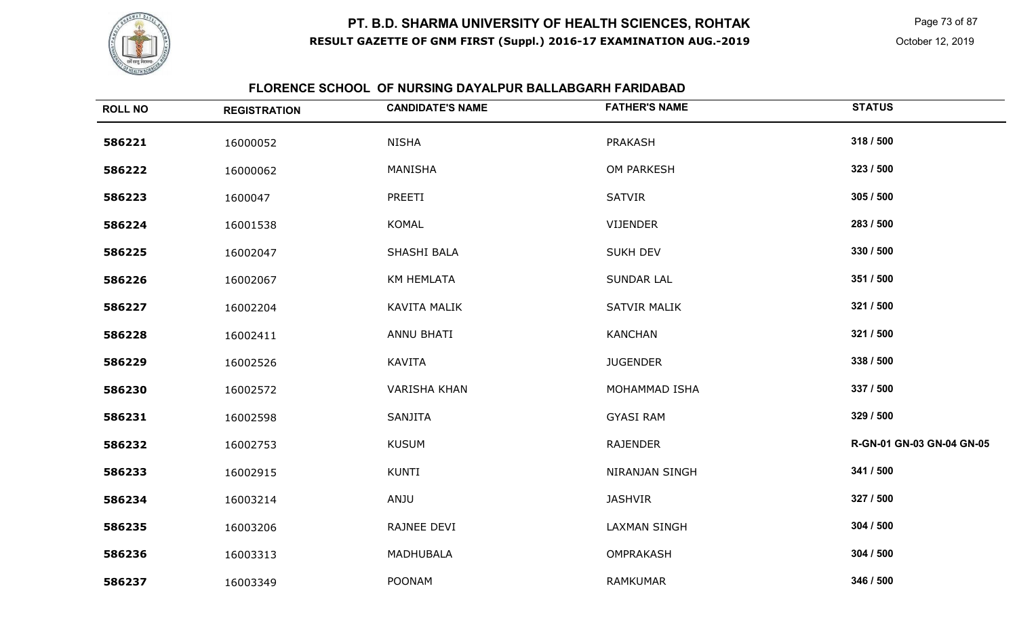

 Page 73 of 87 October 12, 2019

#### **FLORENCE SCHOOL OF NURSING DAYALPUR BALLABGARH FARIDABAD**

| <b>ROLL NO</b> | <b>REGISTRATION</b> | <b>CANDIDATE'S NAME</b> | <b>FATHER'S NAME</b> | <b>STATUS</b>             |
|----------------|---------------------|-------------------------|----------------------|---------------------------|
| 586221         | 16000052            | <b>NISHA</b>            | <b>PRAKASH</b>       | 318 / 500                 |
| 586222         | 16000062            | MANISHA                 | OM PARKESH           | 323 / 500                 |
| 586223         | 1600047             | PREETI                  | <b>SATVIR</b>        | 305 / 500                 |
| 586224         | 16001538            | KOMAL                   | VIJENDER             | 283 / 500                 |
| 586225         | 16002047            | SHASHI BALA             | <b>SUKH DEV</b>      | 330 / 500                 |
| 586226         | 16002067            | KM HEMLATA              | <b>SUNDAR LAL</b>    | 351 / 500                 |
| 586227         | 16002204            | KAVITA MALIK            | <b>SATVIR MALIK</b>  | 321 / 500                 |
| 586228         | 16002411            | ANNU BHATI              | <b>KANCHAN</b>       | 321 / 500                 |
| 586229         | 16002526            | KAVITA                  | <b>JUGENDER</b>      | 338 / 500                 |
| 586230         | 16002572            | <b>VARISHA KHAN</b>     | MOHAMMAD ISHA        | 337 / 500                 |
| 586231         | 16002598            | SANJITA                 | <b>GYASI RAM</b>     | 329 / 500                 |
| 586232         | 16002753            | <b>KUSUM</b>            | <b>RAJENDER</b>      | R-GN-01 GN-03 GN-04 GN-05 |
| 586233         | 16002915            | <b>KUNTI</b>            | NIRANJAN SINGH       | 341 / 500                 |
| 586234         | 16003214            | ANJU                    | <b>JASHVIR</b>       | 327 / 500                 |
| 586235         | 16003206            | RAJNEE DEVI             | <b>LAXMAN SINGH</b>  | 304 / 500                 |
| 586236         | 16003313            | MADHUBALA               | OMPRAKASH            | 304 / 500                 |
| 586237         | 16003349            | <b>POONAM</b>           | RAMKUMAR             | 346 / 500                 |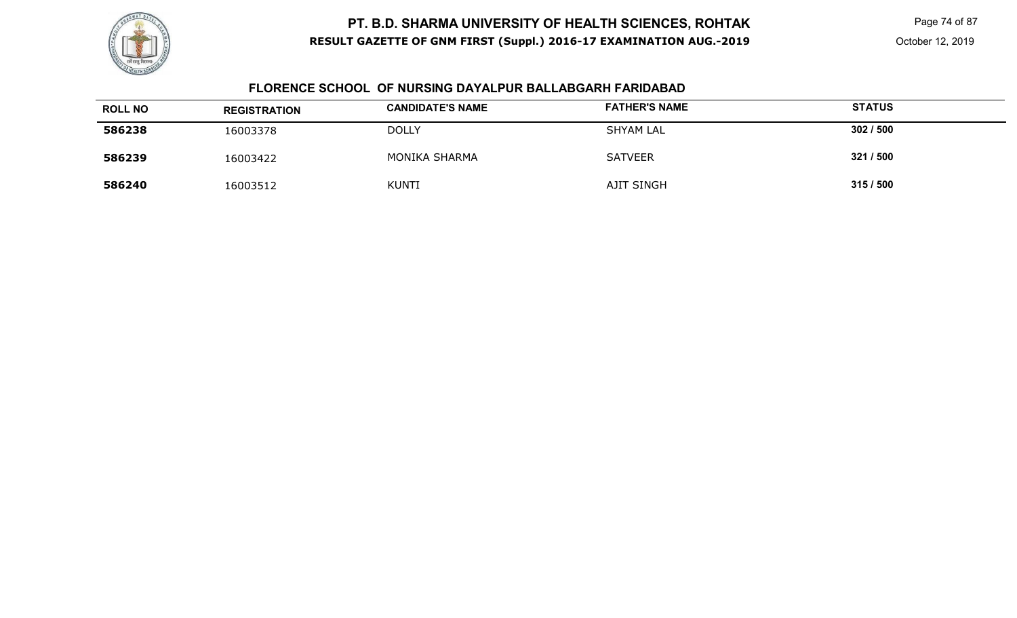

Page 74 of 87

#### **FLORENCE SCHOOL OF NURSING DAYALPUR BALLABGARH FARIDABAD**

| <b>ROLL NO</b> | <b>REGISTRATION</b> | <b>CANDIDATE'S NAME</b> | <b>FATHER'S NAME</b> | <b>STATUS</b> |
|----------------|---------------------|-------------------------|----------------------|---------------|
| 586238         | 16003378            | <b>DOLLY</b>            | <b>SHYAM LAL</b>     | 302/500       |
| 586239         | 16003422            | <b>MONIKA SHARMA</b>    | <b>SATVEER</b>       | 321 / 500     |
| 586240         | 16003512            | <b>KUNTI</b>            | AJIT SINGH           | 315/500       |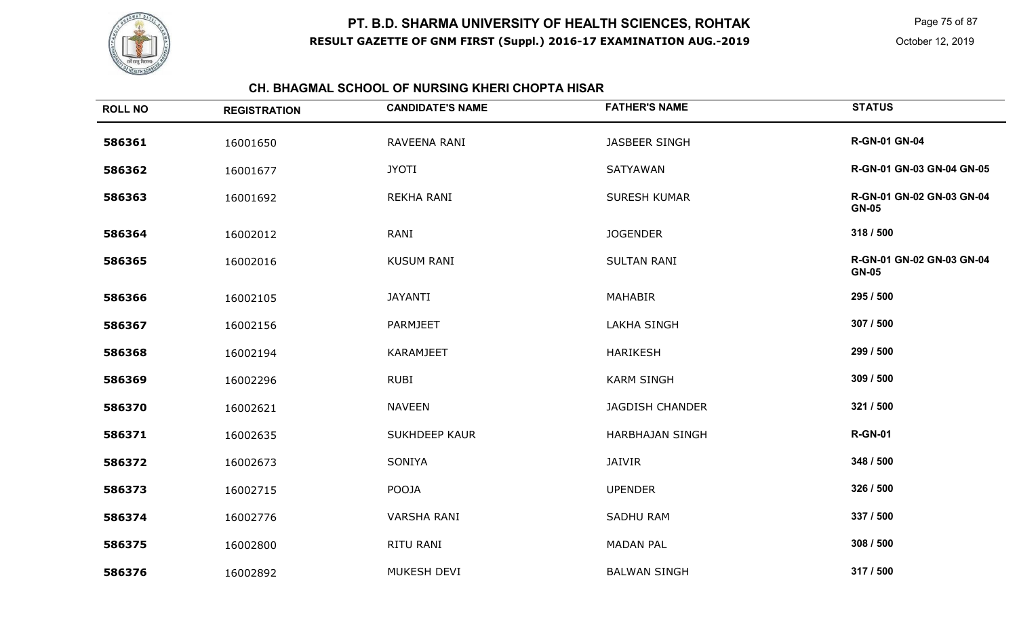

Page 75 of 87

#### **CH. BHAGMAL SCHOOL OF NURSING KHERI CHOPTA HISAR**

| <b>ROLL NO</b> | <b>REGISTRATION</b> | <b>CANDIDATE'S NAME</b> | <b>FATHER'S NAME</b>   | <b>STATUS</b>                             |
|----------------|---------------------|-------------------------|------------------------|-------------------------------------------|
| 586361         | 16001650            | RAVEENA RANI            | <b>JASBEER SINGH</b>   | <b>R-GN-01 GN-04</b>                      |
| 586362         | 16001677            | <b>JYOTI</b>            | SATYAWAN               | R-GN-01 GN-03 GN-04 GN-05                 |
| 586363         | 16001692            | REKHA RANI              | <b>SURESH KUMAR</b>    | R-GN-01 GN-02 GN-03 GN-04<br><b>GN-05</b> |
| 586364         | 16002012            | RANI                    | <b>JOGENDER</b>        | 318 / 500                                 |
| 586365         | 16002016            | <b>KUSUM RANI</b>       | <b>SULTAN RANI</b>     | R-GN-01 GN-02 GN-03 GN-04<br><b>GN-05</b> |
| 586366         | 16002105            | <b>JAYANTI</b>          | <b>MAHABIR</b>         | 295 / 500                                 |
| 586367         | 16002156            | PARMJEET                | <b>LAKHA SINGH</b>     | 307 / 500                                 |
| 586368         | 16002194            | <b>KARAMJEET</b>        | <b>HARIKESH</b>        | 299 / 500                                 |
| 586369         | 16002296            | <b>RUBI</b>             | <b>KARM SINGH</b>      | 309 / 500                                 |
| 586370         | 16002621            | <b>NAVEEN</b>           | <b>JAGDISH CHANDER</b> | 321 / 500                                 |
| 586371         | 16002635            | <b>SUKHDEEP KAUR</b>    | <b>HARBHAJAN SINGH</b> | <b>R-GN-01</b>                            |
| 586372         | 16002673            | SONIYA                  | <b>JAIVIR</b>          | 348 / 500                                 |
| 586373         | 16002715            | POOJA                   | <b>UPENDER</b>         | 326 / 500                                 |
| 586374         | 16002776            | <b>VARSHA RANI</b>      | <b>SADHU RAM</b>       | 337 / 500                                 |
| 586375         | 16002800            | RITU RANI               | <b>MADAN PAL</b>       | 308 / 500                                 |
| 586376         | 16002892            | MUKESH DEVI             | <b>BALWAN SINGH</b>    | 317 / 500                                 |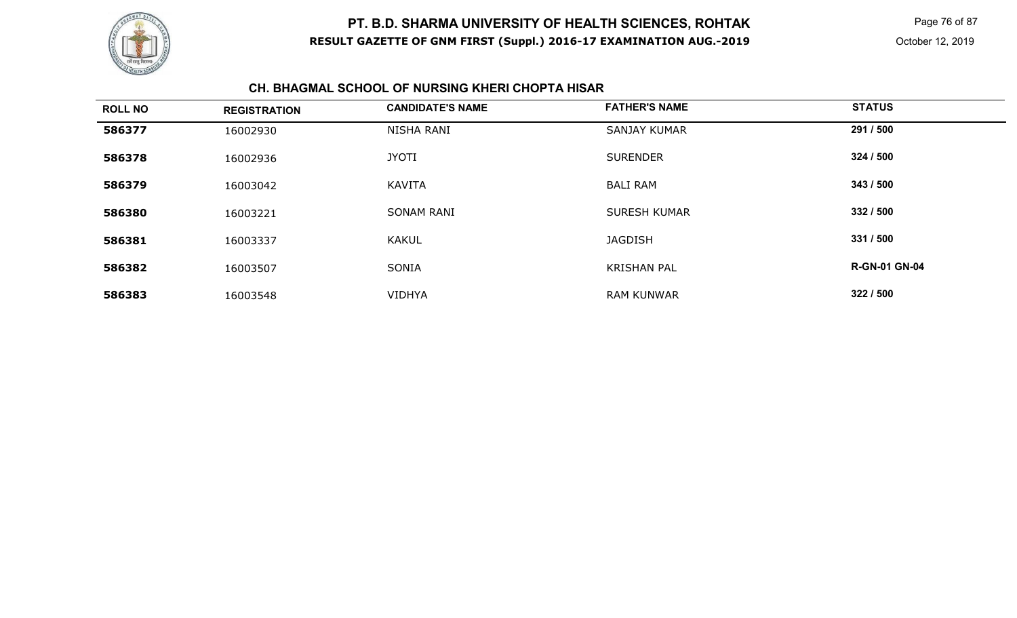

Page 76 of 87

#### **CH. BHAGMAL SCHOOL OF NURSING KHERI CHOPTA HISAR**

| <b>ROLL NO</b> | <b>REGISTRATION</b> | <b>CANDIDATE'S NAME</b> | <b>FATHER'S NAME</b> | <b>STATUS</b>        |
|----------------|---------------------|-------------------------|----------------------|----------------------|
| 586377         | 16002930            | NISHA RANI              | <b>SANJAY KUMAR</b>  | 291 / 500            |
| 586378         | 16002936            | <b>JYOTI</b>            | <b>SURENDER</b>      | 324 / 500            |
| 586379         | 16003042            | <b>KAVITA</b>           | <b>BALI RAM</b>      | 343 / 500            |
| 586380         | 16003221            | <b>SONAM RANI</b>       | <b>SURESH KUMAR</b>  | 332 / 500            |
| 586381         | 16003337            | <b>KAKUL</b>            | <b>JAGDISH</b>       | 331 / 500            |
| 586382         | 16003507            | <b>SONIA</b>            | <b>KRISHAN PAL</b>   | <b>R-GN-01 GN-04</b> |
| 586383         | 16003548            | <b>VIDHYA</b>           | <b>RAM KUNWAR</b>    | 322 / 500            |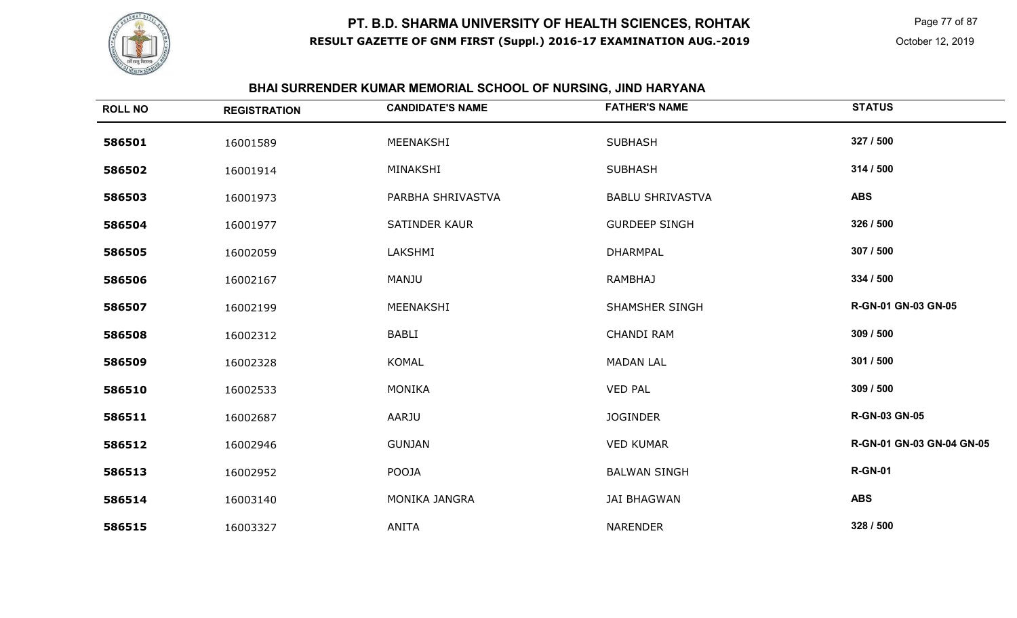

# **BHAI SURRENDER KUMAR MEMORIAL SCHOOL OF NURSING, JIND HARYANA**

| <b>ROLL NO</b> | <b>REGISTRATION</b> | <b>CANDIDATE'S NAME</b> | <b>FATHER'S NAME</b>    | <b>STATUS</b>             |
|----------------|---------------------|-------------------------|-------------------------|---------------------------|
| 586501         | 16001589            | MEENAKSHI               | <b>SUBHASH</b>          | 327 / 500                 |
| 586502         | 16001914            | MINAKSHI                | <b>SUBHASH</b>          | 314 / 500                 |
| 586503         | 16001973            | PARBHA SHRIVASTVA       | <b>BABLU SHRIVASTVA</b> | <b>ABS</b>                |
| 586504         | 16001977            | <b>SATINDER KAUR</b>    | <b>GURDEEP SINGH</b>    | 326 / 500                 |
| 586505         | 16002059            | LAKSHMI                 | <b>DHARMPAL</b>         | 307 / 500                 |
| 586506         | 16002167            | MANJU                   | <b>RAMBHAJ</b>          | 334 / 500                 |
| 586507         | 16002199            | MEENAKSHI               | <b>SHAMSHER SINGH</b>   | R-GN-01 GN-03 GN-05       |
| 586508         | 16002312            | <b>BABLI</b>            | <b>CHANDI RAM</b>       | 309 / 500                 |
| 586509         | 16002328            | <b>KOMAL</b>            | <b>MADAN LAL</b>        | 301 / 500                 |
| 586510         | 16002533            | <b>MONIKA</b>           | <b>VED PAL</b>          | 309 / 500                 |
| 586511         | 16002687            | AARJU                   | <b>JOGINDER</b>         | <b>R-GN-03 GN-05</b>      |
| 586512         | 16002946            | <b>GUNJAN</b>           | <b>VED KUMAR</b>        | R-GN-01 GN-03 GN-04 GN-05 |
| 586513         | 16002952            | POOJA                   | <b>BALWAN SINGH</b>     | <b>R-GN-01</b>            |
| 586514         | 16003140            | MONIKA JANGRA           | <b>JAI BHAGWAN</b>      | <b>ABS</b>                |
| 586515         | 16003327            | <b>ANITA</b>            | NARENDER                | 328 / 500                 |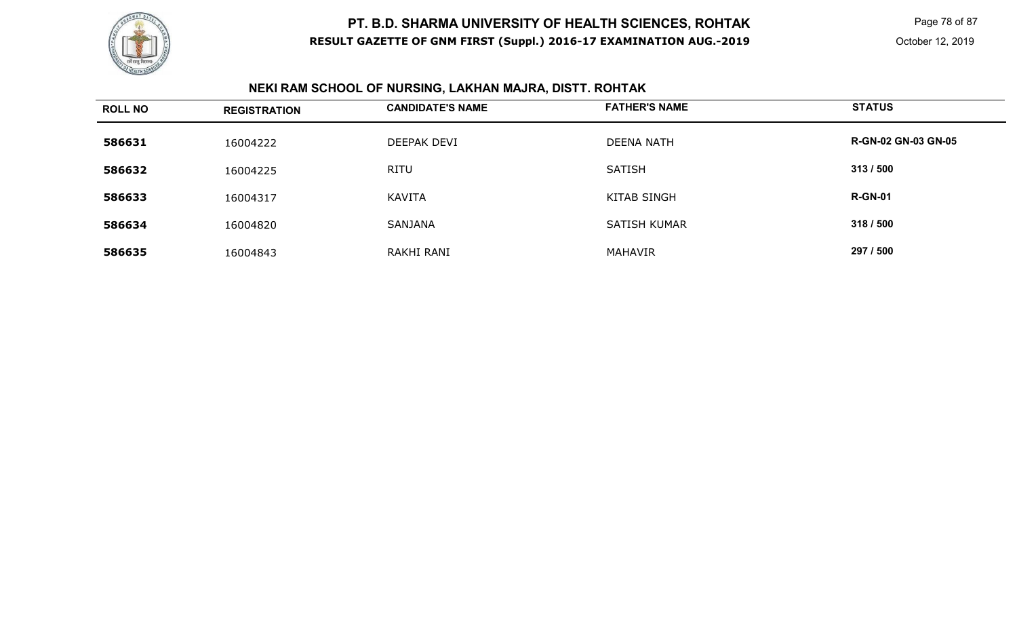

Page 78 of 87

# **NEKI RAM SCHOOL OF NURSING, LAKHAN MAJRA, DISTT. ROHTAK**

| <b>ROLL NO</b> | <b>REGISTRATION</b> | <b>CANDIDATE'S NAME</b> | <b>FATHER'S NAME</b> | <b>STATUS</b>              |
|----------------|---------------------|-------------------------|----------------------|----------------------------|
| 586631         | 16004222            | DEEPAK DEVI             | <b>DEENA NATH</b>    | <b>R-GN-02 GN-03 GN-05</b> |
| 586632         | 16004225            | <b>RITU</b>             | <b>SATISH</b>        | 313 / 500                  |
| 586633         | 16004317            | KAVITA                  | <b>KITAB SINGH</b>   | <b>R-GN-01</b>             |
| 586634         | 16004820            | SANJANA                 | <b>SATISH KUMAR</b>  | 318 / 500                  |
| 586635         | 16004843            | RAKHI RANI              | <b>MAHAVIR</b>       | 297 / 500                  |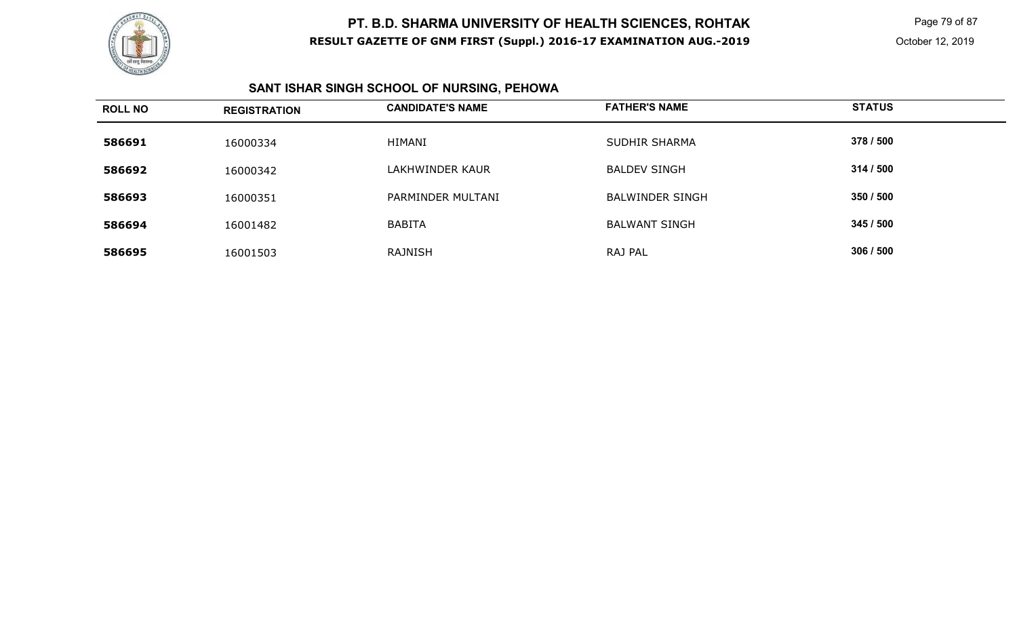

 Page 79 of 87 October 12, 2019

# **SANT ISHAR SINGH SCHOOL OF NURSING, PEHOWA**

| <b>ROLL NO</b> | <b>REGISTRATION</b> | <b>CANDIDATE'S NAME</b> | <b>FATHER'S NAME</b>   | <b>STATUS</b> |
|----------------|---------------------|-------------------------|------------------------|---------------|
| 586691         | 16000334            | HIMANI                  | <b>SUDHIR SHARMA</b>   | 378 / 500     |
| 586692         | 16000342            | LAKHWINDER KAUR         | <b>BALDEV SINGH</b>    | 314/500       |
| 586693         | 16000351            | PARMINDER MULTANI       | <b>BALWINDER SINGH</b> | 350 / 500     |
| 586694         | 16001482            | <b>BABITA</b>           | <b>BALWANT SINGH</b>   | 345 / 500     |
| 586695         | 16001503            | RAJNISH                 | RAJ PAL                | 306 / 500     |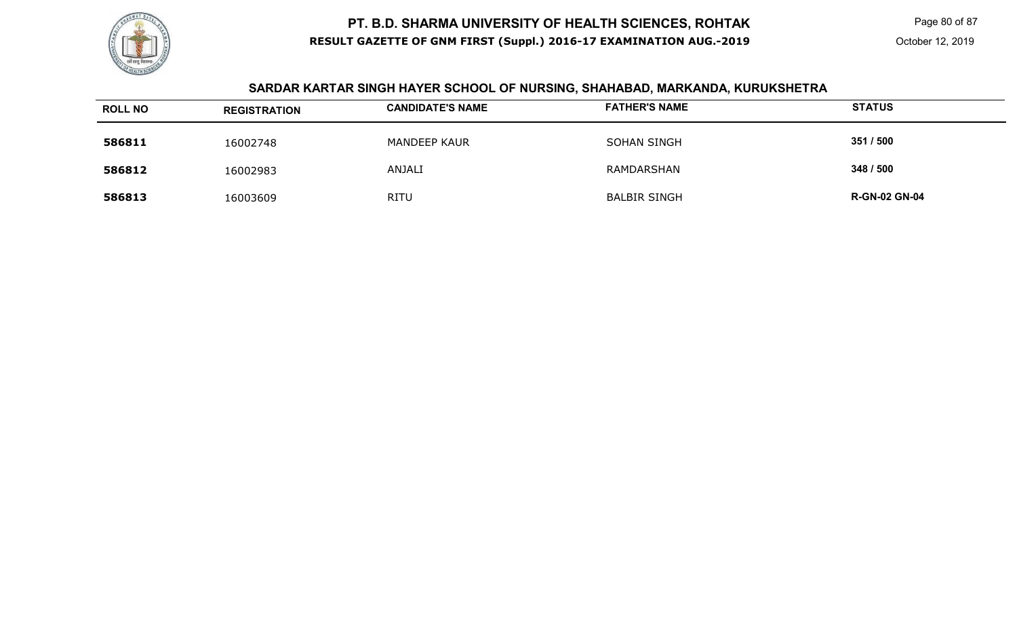

Page 80 of 87

# **SARDAR KARTAR SINGH HAYER SCHOOL OF NURSING, SHAHABAD, MARKANDA, KURUKSHETRA**

| <b>ROLL NO</b> | <b>REGISTRATION</b> | <b>CANDIDATE'S NAME</b> | <b>FATHER'S NAME</b> | <b>STATUS</b>        |
|----------------|---------------------|-------------------------|----------------------|----------------------|
| 586811         | 16002748            | <b>MANDEEP KAUR</b>     | SOHAN SINGH          | 351 / 500            |
| 586812         | 16002983            | <b>ANJALI</b>           | RAMDARSHAN           | 348 / 500            |
| 586813         | 16003609            | <b>RITU</b>             | <b>BALBIR SINGH</b>  | <b>R-GN-02 GN-04</b> |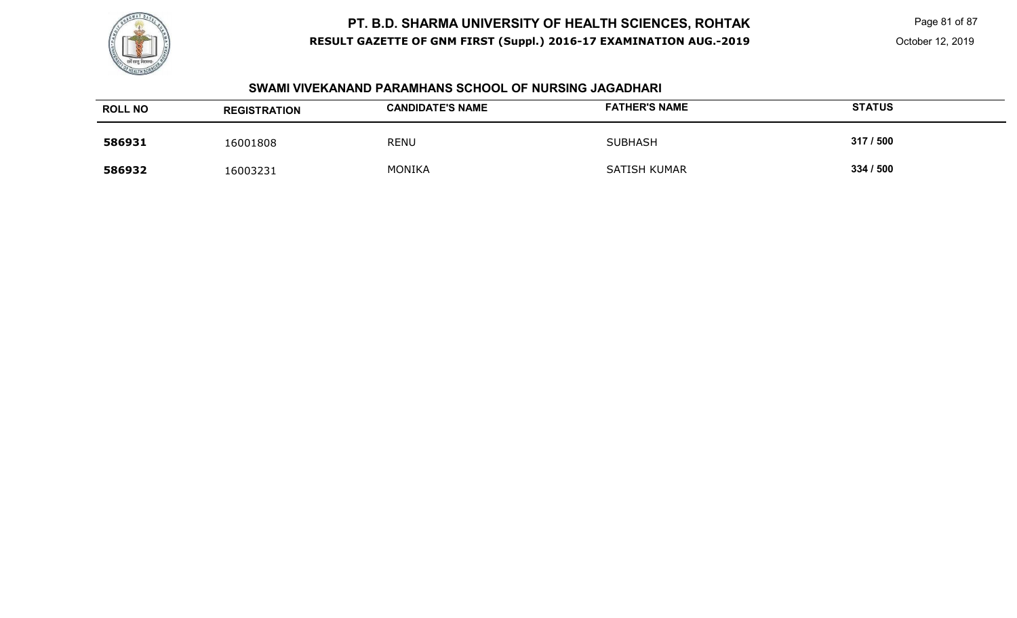

 Page 81 of 87 October 12, 2019

#### **SWAMI VIVEKANAND PARAMHANS SCHOOL OF NURSING JAGADHARI**

| <b>ROLL NO</b> | <b>REGISTRATION</b> | <b>CANDIDATE'S NAME</b> | <b>FATHER'S NAME</b> | <b>STATUS</b> |
|----------------|---------------------|-------------------------|----------------------|---------------|
| 586931         | 16001808            | <b>RENU</b>             | <b>SUBHASH</b>       | 317/500       |
| 586932         | 16003231            | <b>MONIKA</b>           | <b>SATISH KUMAR</b>  | 334 / 500     |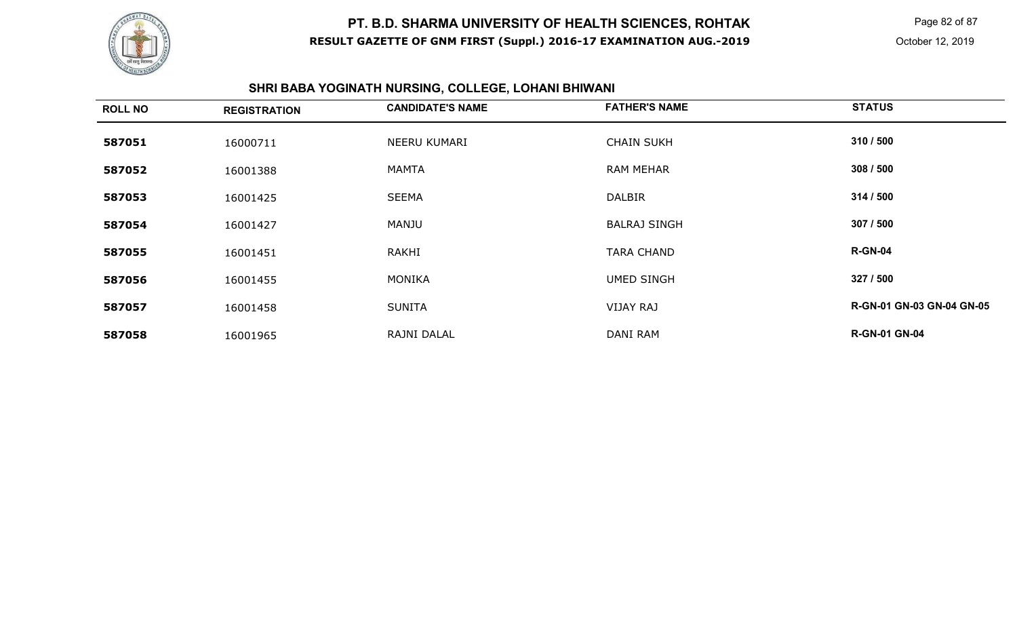

Page 82 of 87

October 12, 2019

#### **SHRI BABA YOGINATH NURSING, COLLEGE, LOHANI BHIWANI**

| <b>ROLL NO</b> | <b>REGISTRATION</b> | <b>CANDIDATE'S NAME</b> | <b>FATHER'S NAME</b> | <b>STATUS</b>                    |
|----------------|---------------------|-------------------------|----------------------|----------------------------------|
| 587051         | 16000711            | NEERU KUMARI            | <b>CHAIN SUKH</b>    | 310 / 500                        |
| 587052         | 16001388            | <b>MAMTA</b>            | <b>RAM MEHAR</b>     | 308 / 500                        |
| 587053         | 16001425            | <b>SEEMA</b>            | <b>DALBIR</b>        | 314 / 500                        |
| 587054         | 16001427            | MANJU                   | <b>BALRAJ SINGH</b>  | 307 / 500                        |
| 587055         | 16001451            | RAKHI                   | <b>TARA CHAND</b>    | <b>R-GN-04</b>                   |
| 587056         | 16001455            | <b>MONIKA</b>           | <b>UMED SINGH</b>    | 327 / 500                        |
| 587057         | 16001458            | <b>SUNITA</b>           | <b>VIJAY RAJ</b>     | <b>R-GN-01 GN-03 GN-04 GN-05</b> |
| 587058         | 16001965            | RAJNI DALAL             | DANI RAM             | <b>R-GN-01 GN-04</b>             |
|                |                     |                         |                      |                                  |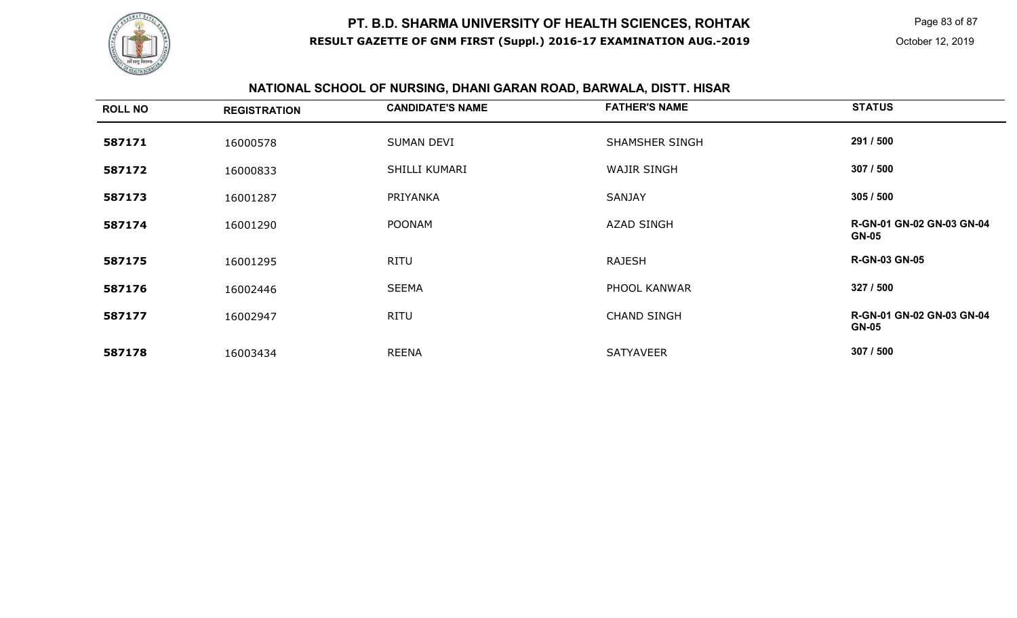

Page 83 of 87

# **NATIONAL SCHOOL OF NURSING, DHANI GARAN ROAD, BARWALA, DISTT. HISAR**

| <b>ROLL NO</b> | <b>REGISTRATION</b> | <b>CANDIDATE'S NAME</b> | <b>FATHER'S NAME</b> | <b>STATUS</b>                             |
|----------------|---------------------|-------------------------|----------------------|-------------------------------------------|
| 587171         | 16000578            | SUMAN DEVI              | SHAMSHER SINGH       | 291 / 500                                 |
| 587172         | 16000833            | SHILLI KUMARI           | <b>WAJIR SINGH</b>   | 307 / 500                                 |
| 587173         | 16001287            | PRIYANKA                | <b>SANJAY</b>        | 305/500                                   |
| 587174         | 16001290            | <b>POONAM</b>           | <b>AZAD SINGH</b>    | R-GN-01 GN-02 GN-03 GN-04<br><b>GN-05</b> |
| 587175         | 16001295            | <b>RITU</b>             | <b>RAJESH</b>        | <b>R-GN-03 GN-05</b>                      |
| 587176         | 16002446            | <b>SEEMA</b>            | PHOOL KANWAR         | 327 / 500                                 |
| 587177         | 16002947            | <b>RITU</b>             | <b>CHAND SINGH</b>   | R-GN-01 GN-02 GN-03 GN-04<br><b>GN-05</b> |
| 587178         | 16003434            | <b>REENA</b>            | <b>SATYAVEER</b>     | 307 / 500                                 |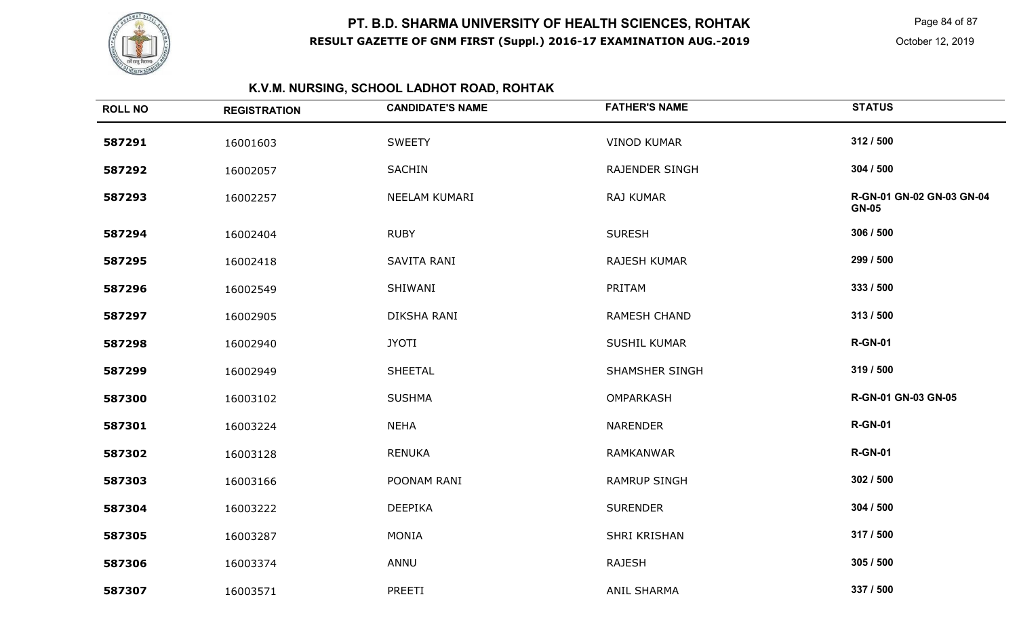

Page 84 of 87

# **K.V.M. NURSING, SCHOOL LADHOT ROAD, ROHTAK**

| <b>ROLL NO</b> | <b>REGISTRATION</b> | <b>CANDIDATE'S NAME</b> | <b>FATHER'S NAME</b>  | <b>STATUS</b>                             |
|----------------|---------------------|-------------------------|-----------------------|-------------------------------------------|
| 587291         | 16001603            | <b>SWEETY</b>           | <b>VINOD KUMAR</b>    | 312 / 500                                 |
| 587292         | 16002057            | <b>SACHIN</b>           | <b>RAJENDER SINGH</b> | 304 / 500                                 |
| 587293         | 16002257            | NEELAM KUMARI           | RAJ KUMAR             | R-GN-01 GN-02 GN-03 GN-04<br><b>GN-05</b> |
| 587294         | 16002404            | <b>RUBY</b>             | <b>SURESH</b>         | 306 / 500                                 |
| 587295         | 16002418            | SAVITA RANI             | RAJESH KUMAR          | 299 / 500                                 |
| 587296         | 16002549            | SHIWANI                 | PRITAM                | 333 / 500                                 |
| 587297         | 16002905            | DIKSHA RANI             | <b>RAMESH CHAND</b>   | 313 / 500                                 |
| 587298         | 16002940            | <b>JYOTI</b>            | <b>SUSHIL KUMAR</b>   | <b>R-GN-01</b>                            |
| 587299         | 16002949            | <b>SHEETAL</b>          | <b>SHAMSHER SINGH</b> | 319 / 500                                 |
| 587300         | 16003102            | <b>SUSHMA</b>           | <b>OMPARKASH</b>      | R-GN-01 GN-03 GN-05                       |
| 587301         | 16003224            | <b>NEHA</b>             | <b>NARENDER</b>       | <b>R-GN-01</b>                            |
| 587302         | 16003128            | <b>RENUKA</b>           | <b>RAMKANWAR</b>      | <b>R-GN-01</b>                            |
| 587303         | 16003166            | POONAM RANI             | <b>RAMRUP SINGH</b>   | 302 / 500                                 |
| 587304         | 16003222            | <b>DEEPIKA</b>          | <b>SURENDER</b>       | 304 / 500                                 |
| 587305         | 16003287            | <b>MONIA</b>            | SHRI KRISHAN          | 317 / 500                                 |
| 587306         | 16003374            | ANNU                    | <b>RAJESH</b>         | 305 / 500                                 |
| 587307         | 16003571            | PREETI                  | <b>ANIL SHARMA</b>    | 337 / 500                                 |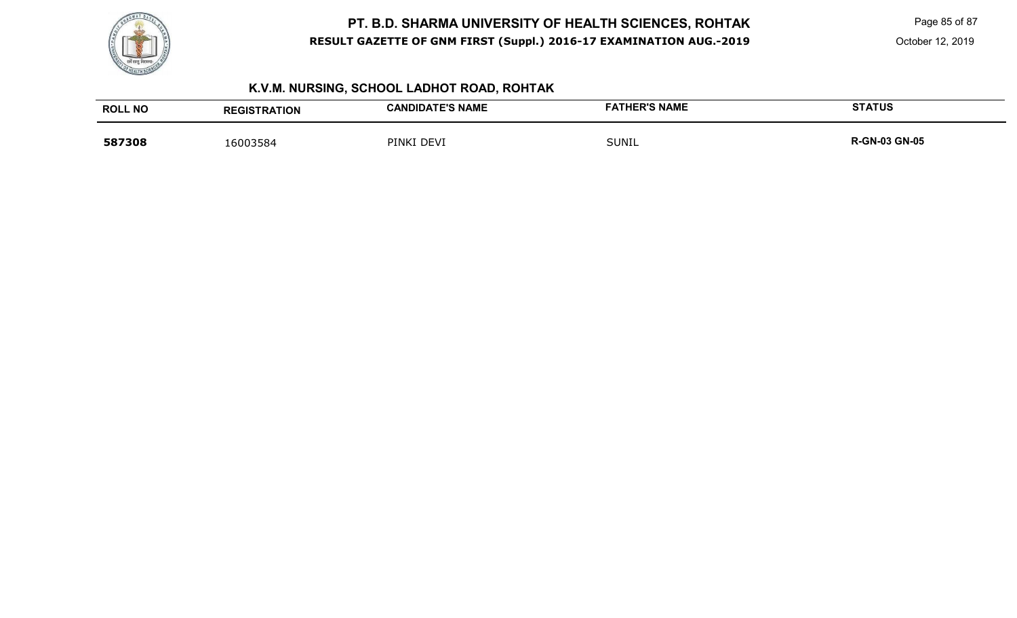

Page 85 of 87

October 12, 2019

# **K.V.M. NURSING, SCHOOL LADHOT ROAD, ROHTAK**

| <b>ROLL NO</b> | <b>REGISTRATION</b> | <b>CANDIDATE'S NAME</b> | <b>FATHER'S NAME</b> | <b>STATUS</b>        |
|----------------|---------------------|-------------------------|----------------------|----------------------|
| 587308         | 16003584            | PINKI DEVI              | <b>SUNIL</b>         | <b>R-GN-03 GN-05</b> |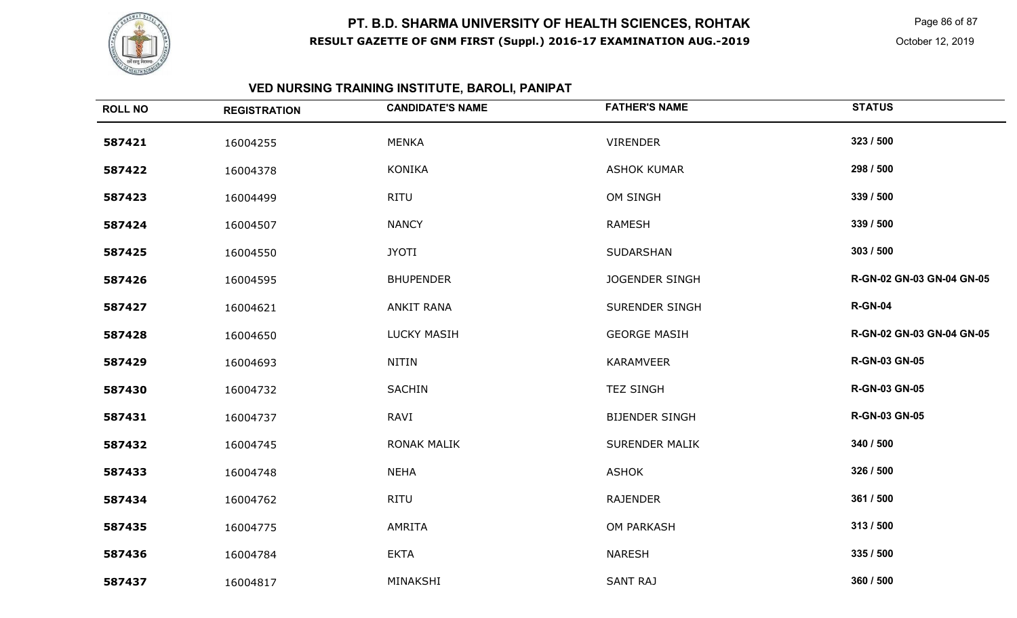

Page 86 of 87

# **VED NURSING TRAINING INSTITUTE, BAROLI, PANIPAT**

| <b>ROLL NO</b> | <b>REGISTRATION</b> | <b>CANDIDATE'S NAME</b> | <b>FATHER'S NAME</b>  | <b>STATUS</b>             |
|----------------|---------------------|-------------------------|-----------------------|---------------------------|
| 587421         | 16004255            | <b>MENKA</b>            | <b>VIRENDER</b>       | 323 / 500                 |
| 587422         | 16004378            | <b>KONIKA</b>           | <b>ASHOK KUMAR</b>    | 298 / 500                 |
| 587423         | 16004499            | <b>RITU</b>             | OM SINGH              | 339 / 500                 |
| 587424         | 16004507            | <b>NANCY</b>            | <b>RAMESH</b>         | 339 / 500                 |
| 587425         | 16004550            | <b>JYOTI</b>            | SUDARSHAN             | 303 / 500                 |
| 587426         | 16004595            | <b>BHUPENDER</b>        | <b>JOGENDER SINGH</b> | R-GN-02 GN-03 GN-04 GN-05 |
| 587427         | 16004621            | <b>ANKIT RANA</b>       | <b>SURENDER SINGH</b> | <b>R-GN-04</b>            |
| 587428         | 16004650            | <b>LUCKY MASIH</b>      | <b>GEORGE MASIH</b>   | R-GN-02 GN-03 GN-04 GN-05 |
| 587429         | 16004693            | <b>NITIN</b>            | <b>KARAMVEER</b>      | <b>R-GN-03 GN-05</b>      |
| 587430         | 16004732            | <b>SACHIN</b>           | <b>TEZ SINGH</b>      | <b>R-GN-03 GN-05</b>      |
| 587431         | 16004737            | <b>RAVI</b>             | <b>BIJENDER SINGH</b> | <b>R-GN-03 GN-05</b>      |
| 587432         | 16004745            | <b>RONAK MALIK</b>      | <b>SURENDER MALIK</b> | 340 / 500                 |
| 587433         | 16004748            | <b>NEHA</b>             | <b>ASHOK</b>          | 326 / 500                 |
| 587434         | 16004762            | <b>RITU</b>             | <b>RAJENDER</b>       | 361 / 500                 |
| 587435         | 16004775            | <b>AMRITA</b>           | OM PARKASH            | 313 / 500                 |
| 587436         | 16004784            | <b>EKTA</b>             | <b>NARESH</b>         | 335 / 500                 |
| 587437         | 16004817            | MINAKSHI                | <b>SANT RAJ</b>       | 360 / 500                 |